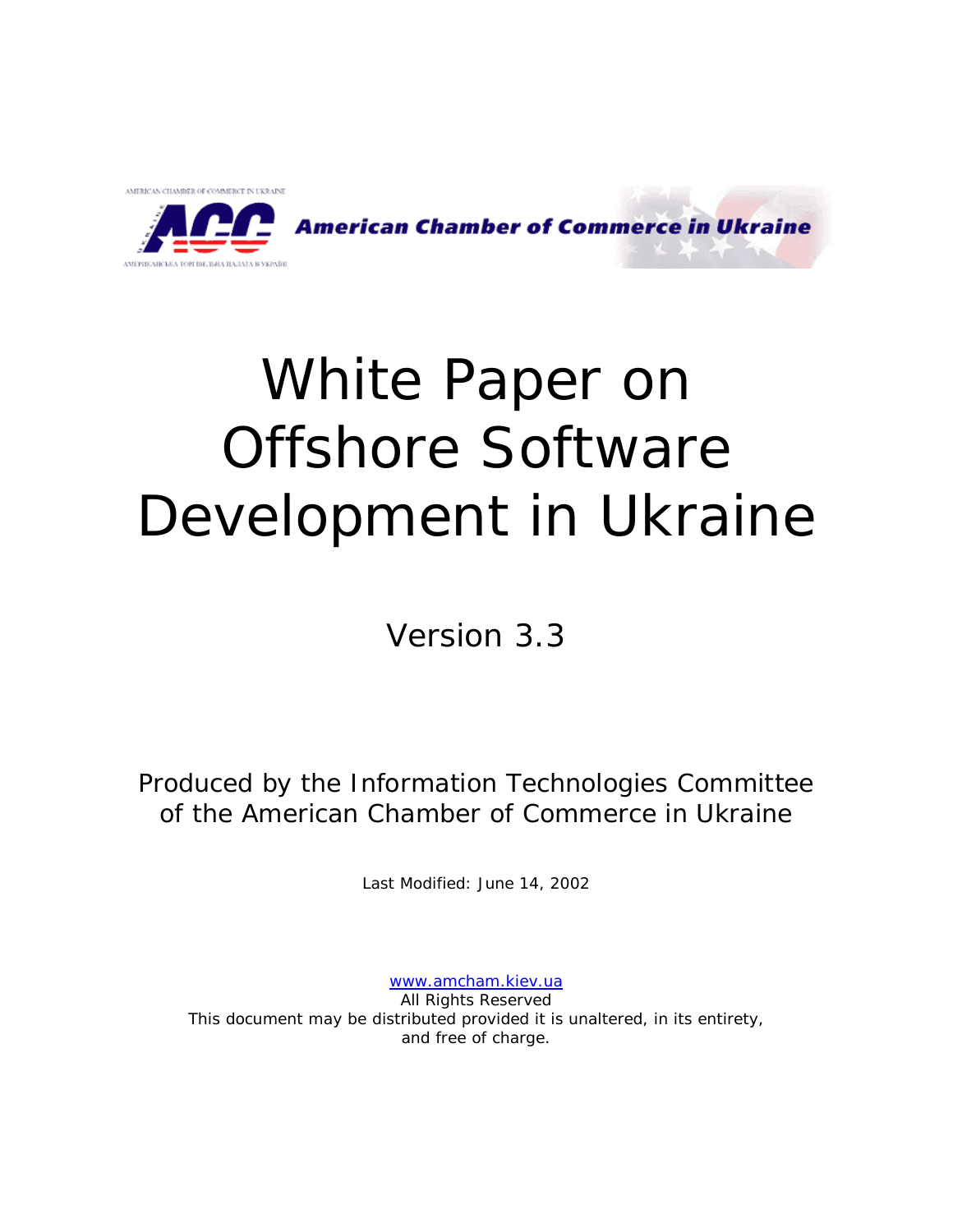

.<br>АМЕРИКАНСЬКА ТОРГІВЕЛЬНА ПАЛАТА В УКРАЇН

**American Chamber of Commerce in Ukraine** 

# White Paper on Offshore Software Development in Ukraine

Version 3.3

Produced by the Information Technologies Committee of the American Chamber of Commerce in Ukraine

Last Modified: June 14, 2002

[www.amcham.kiev.ua](http://www.amcham.kiev.ua/) All Rights Reserved This document may be distributed provided it is unaltered, in its entirety, and free of charge.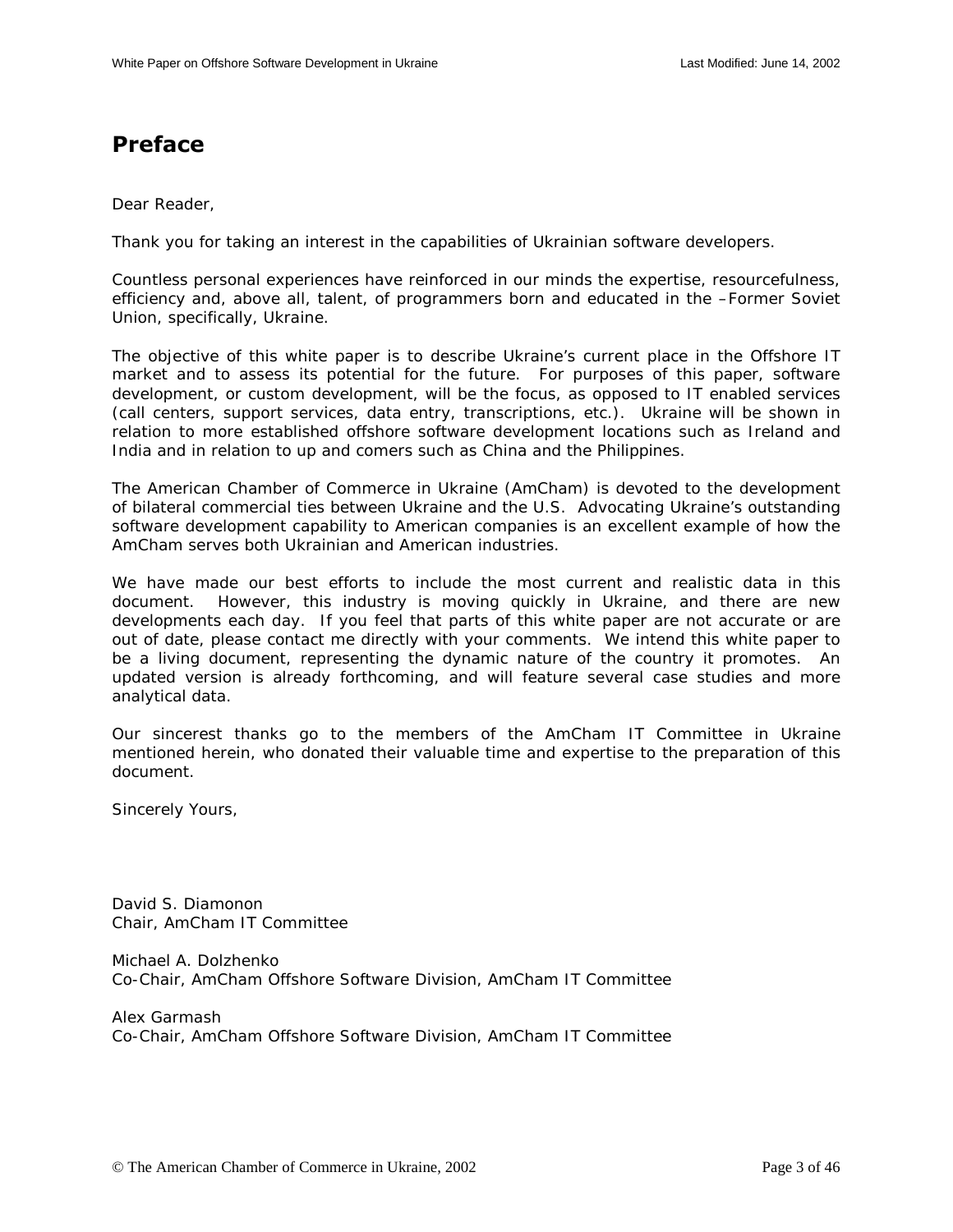# <span id="page-2-0"></span>**Preface**

Dear Reader,

Thank you for taking an interest in the capabilities of Ukrainian software developers.

Countless personal experiences have reinforced in our minds the expertise, resourcefulness, efficiency and, above all, talent, of programmers born and educated in the –Former Soviet Union, specifically, Ukraine.

The objective of this white paper is to describe Ukraine's current place in the Offshore IT market and to assess its potential for the future. For purposes of this paper, software development, or custom development, will be the focus, as opposed to IT enabled services (call centers, support services, data entry, transcriptions, etc.). Ukraine will be shown in relation to more established offshore software development locations such as Ireland and India and in relation to up and comers such as China and the Philippines.

The American Chamber of Commerce in Ukraine (AmCham) is devoted to the development of bilateral commercial ties between Ukraine and the U.S. Advocating Ukraine's outstanding software development capability to American companies is an excellent example of how the AmCham serves both Ukrainian and American industries.

We have made our best efforts to include the most current and realistic data in this document. However, this industry is moving quickly in Ukraine, and there are new developments each day. If you feel that parts of this white paper are not accurate or are out of date, please contact me directly with your comments. We intend this white paper to be a living document, representing the dynamic nature of the country it promotes. An updated version is already forthcoming, and will feature several case studies and more analytical data.

Our sincerest thanks go to the members of the AmCham IT Committee in Ukraine mentioned herein, who donated their valuable time and expertise to the preparation of this document.

Sincerely Yours,

David S. Diamonon Chair, AmCham IT Committee

Michael A. Dolzhenko Co-Chair, AmCham Offshore Software Division, AmCham IT Committee

Alex Garmash Co-Chair, AmCham Offshore Software Division, AmCham IT Committee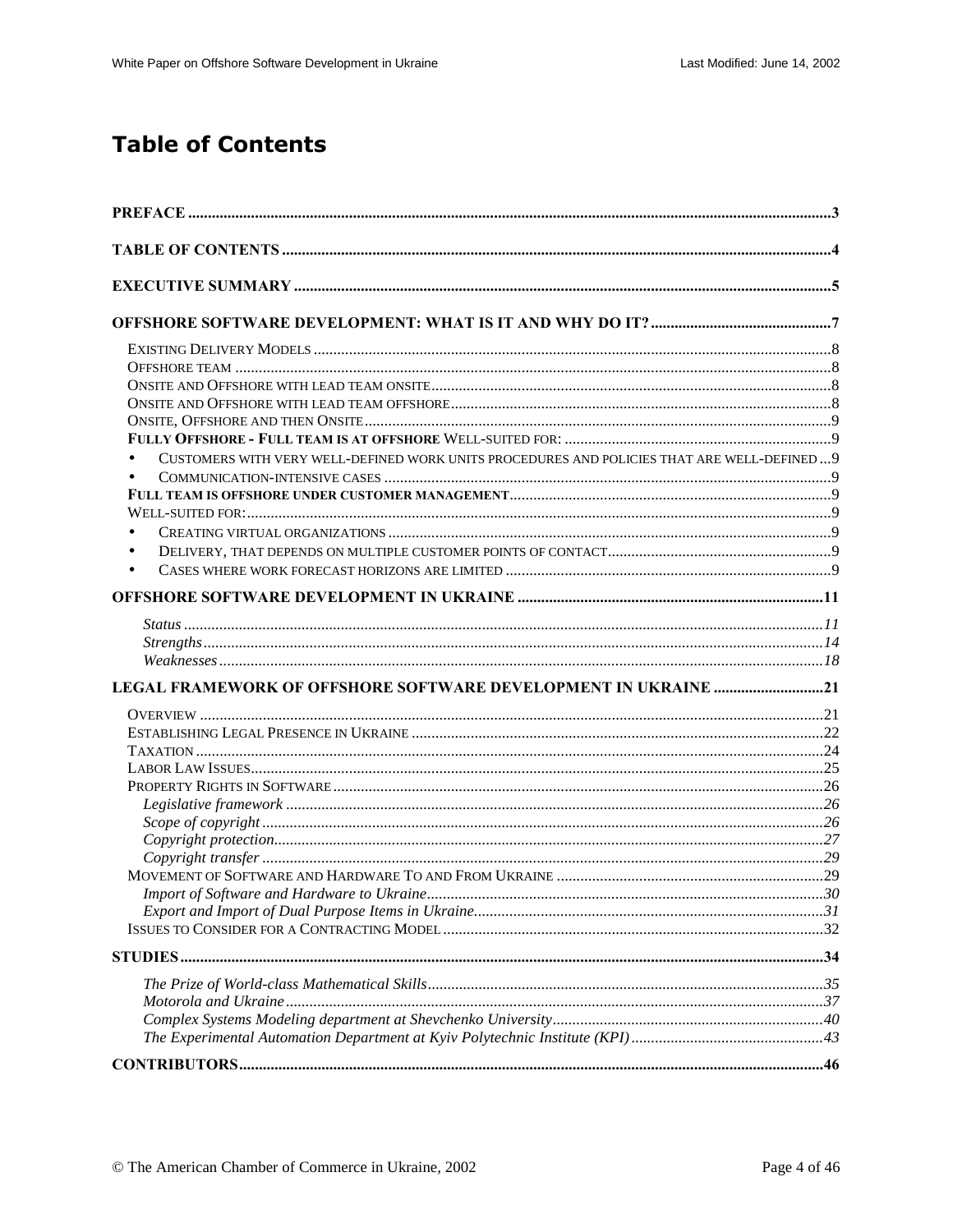# **Table of Contents**

| CUSTOMERS WITH VERY WELL-DEFINED WORK UNITS PROCEDURES AND POLICIES THAT ARE WELL-DEFINED 9<br>$\bullet$<br>$\bullet$ |  |
|-----------------------------------------------------------------------------------------------------------------------|--|
|                                                                                                                       |  |
|                                                                                                                       |  |
| LEGAL FRAMEWORK OF OFFSHORE SOFTWARE DEVELOPMENT IN UKRAINE 21                                                        |  |
|                                                                                                                       |  |
|                                                                                                                       |  |
|                                                                                                                       |  |
|                                                                                                                       |  |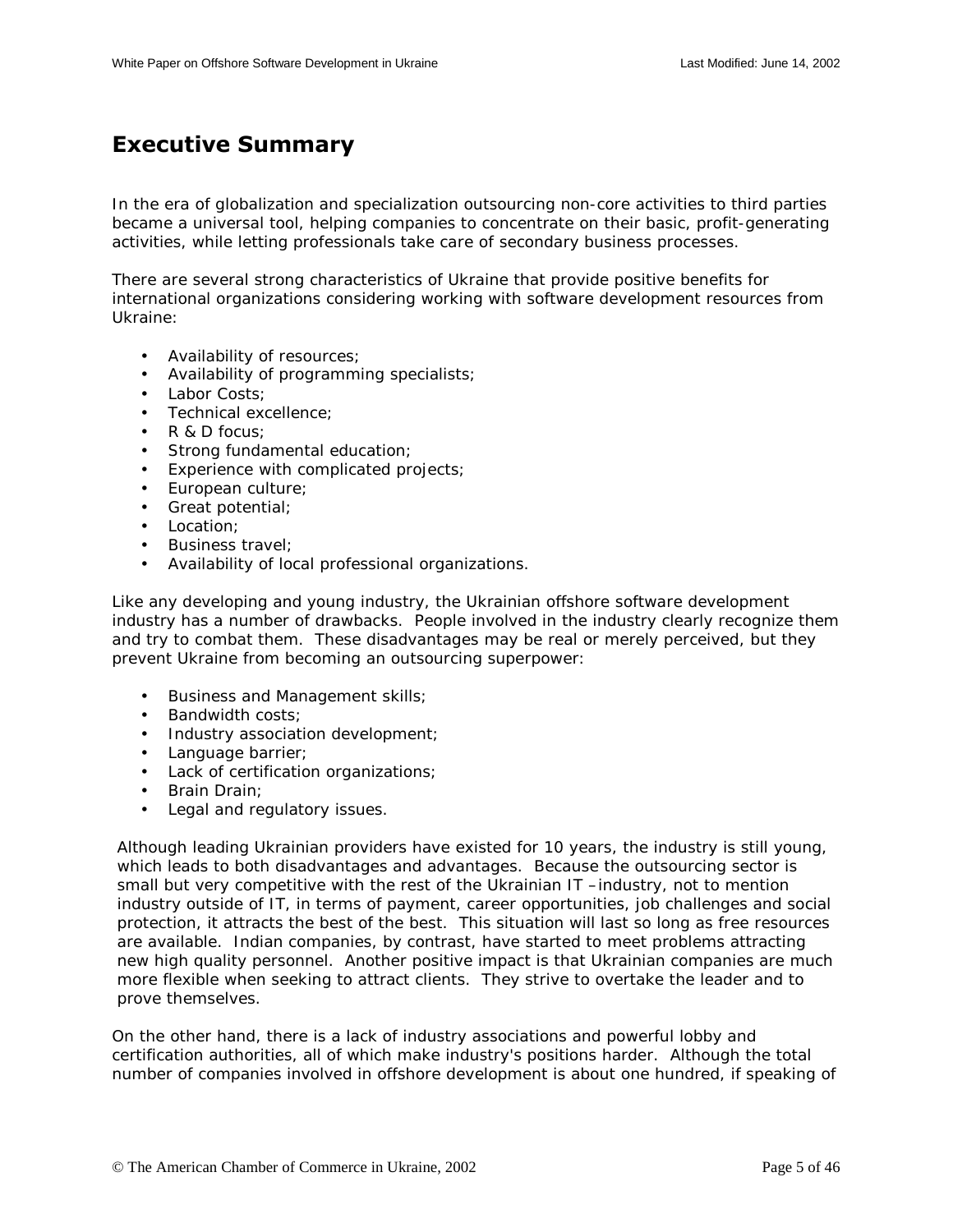# <span id="page-4-0"></span>**Executive Summary**

In the era of globalization and specialization outsourcing non-core activities to third parties became a universal tool, helping companies to concentrate on their basic, profit-generating activities, while letting professionals take care of secondary business processes.

There are several strong characteristics of Ukraine that provide positive benefits for international organizations considering working with software development resources from Ukraine:

- Availability of resources;
- Availability of programming specialists;
- Labor Costs;
- Technical excellence;
- R & D focus:
- Strong fundamental education;
- Experience with complicated projects;
- European culture;
- Great potential;
- Location:
- Business travel;
- Availability of local professional organizations.

Like any developing and young industry, the Ukrainian offshore software development industry has a number of drawbacks. People involved in the industry clearly recognize them and try to combat them. These disadvantages may be real or merely perceived, but they prevent Ukraine from becoming an outsourcing superpower:

- Business and Management skills;
- Bandwidth costs;
- Industry association development;
- Language barrier;
- Lack of certification organizations;
- Brain Drain;
- Legal and regulatory issues.

Although leading Ukrainian providers have existed for 10 years, the industry is still young, which leads to both disadvantages and advantages. Because the outsourcing sector is small but very competitive with the rest of the Ukrainian IT –industry, not to mention industry outside of IT, in terms of payment, career opportunities, job challenges and social protection, it attracts the best of the best. This situation will last so long as free resources are available. Indian companies, by contrast, have started to meet problems attracting new high quality personnel. Another positive impact is that Ukrainian companies are much more flexible when seeking to attract clients. They strive to overtake the leader and to prove themselves.

On the other hand, there is a lack of industry associations and powerful lobby and certification authorities, all of which make industry's positions harder. Although the total number of companies involved in offshore development is about one hundred, if speaking of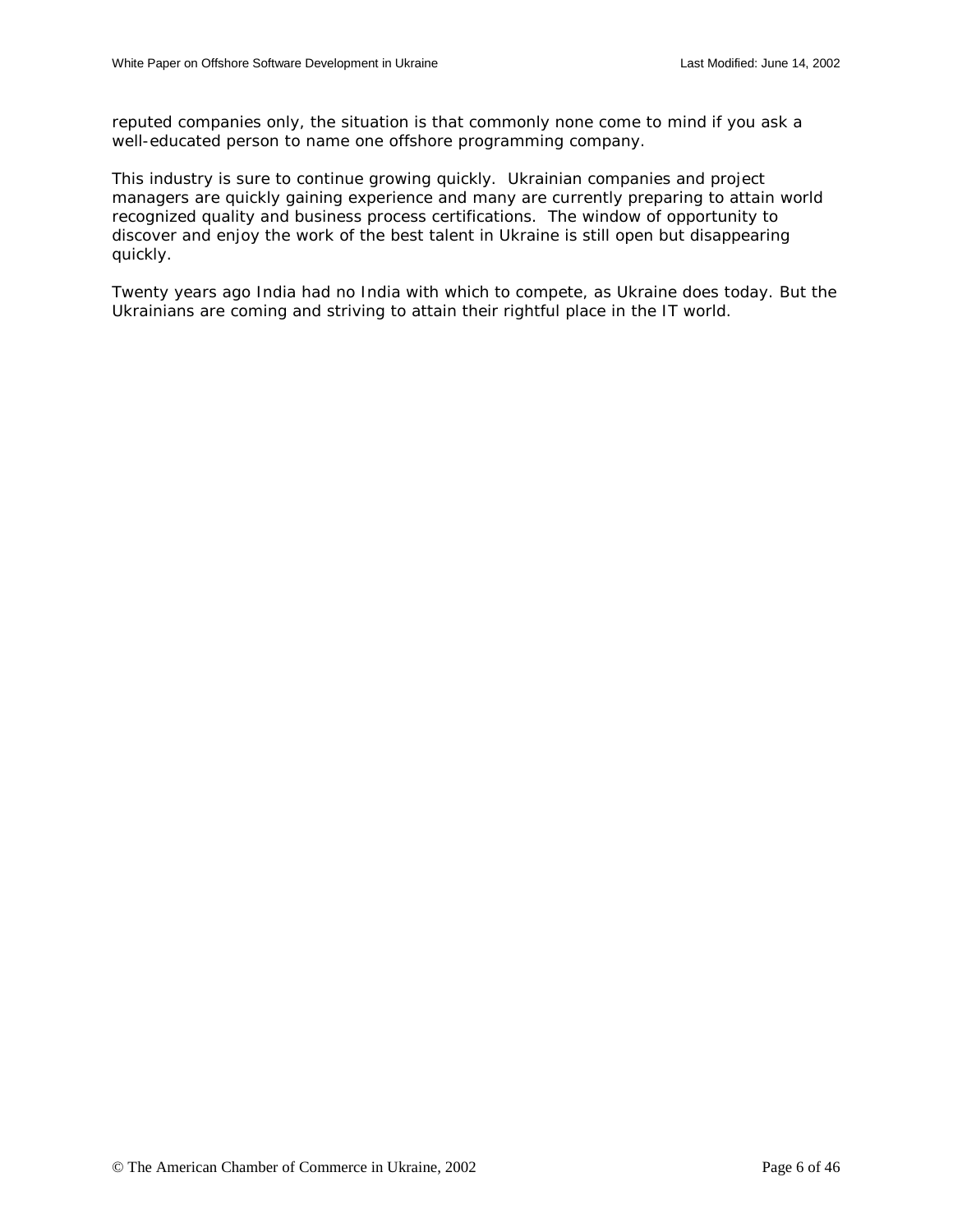reputed companies only, the situation is that commonly none come to mind if you ask a well-educated person to name one offshore programming company.

This industry is sure to continue growing quickly. Ukrainian companies and project managers are quickly gaining experience and many are currently preparing to attain world recognized quality and business process certifications. The window of opportunity to discover and enjoy the work of the best talent in Ukraine is still open but disappearing quickly.

Twenty years ago India had no India with which to compete, as Ukraine does today. But the Ukrainians are coming and striving to attain their rightful place in the IT world.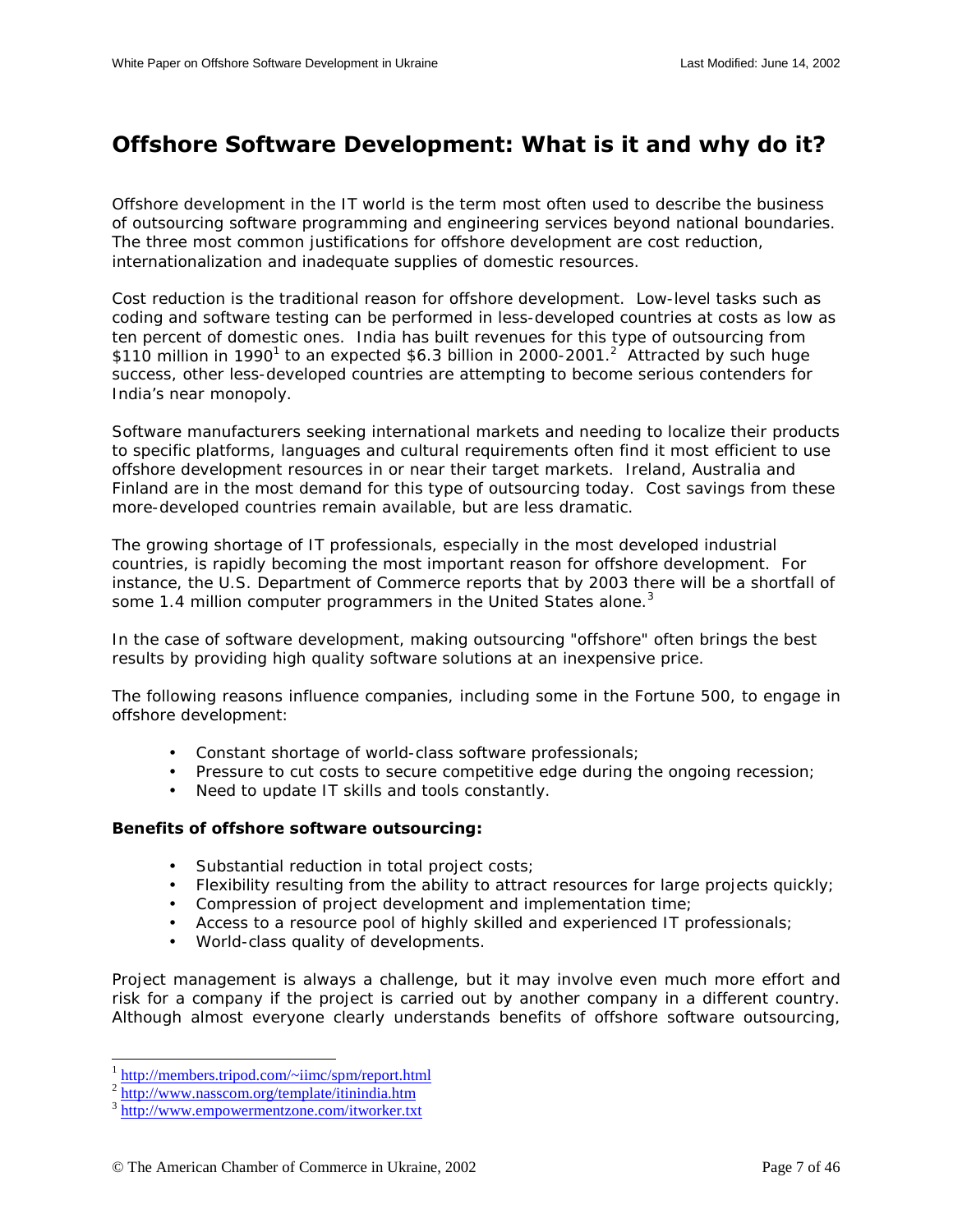# <span id="page-6-0"></span>**Offshore Software Development: What is it and why do it?**

Offshore development in the IT world is the term most often used to describe the business of outsourcing software programming and engineering services beyond national boundaries. The three most common justifications for offshore development are cost reduction, internationalization and inadequate supplies of domestic resources.

Cost reduction is the traditional reason for offshore development. Low-level tasks such as coding and software testing can be performed in less-developed countries at costs as low as ten percent of domestic ones. India has built revenues for this type of outsourcing from \$110 million in 1990<sup>1</sup> to an expected \$6.3 billion in 2000-2001.<sup>2</sup> Attracted by such huge success, other less-developed countries are attempting to become serious contenders for India's near monopoly.

Software manufacturers seeking international markets and needing to localize their products to specific platforms, languages and cultural requirements often find it most efficient to use offshore development resources in or near their target markets. Ireland, Australia and Finland are in the most demand for this type of outsourcing today. Cost savings from these more-developed countries remain available, but are less dramatic.

The growing shortage of IT professionals, especially in the most developed industrial countries, is rapidly becoming the most important reason for offshore development. For instance, the U.S. Department of Commerce reports that by 2003 there will be a shortfall of some 1.4 million computer programmers in the United States alone.<sup>3</sup>

In the case of software development, making outsourcing "offshore" often brings the best results by providing high quality software solutions at an inexpensive price.

The following reasons influence companies, including some in the Fortune 500, to engage in offshore development:

- Constant shortage of world-class software professionals;
- Pressure to cut costs to secure competitive edge during the ongoing recession;
- Need to update IT skills and tools constantly.

#### **Benefits of offshore software outsourcing:**

- Substantial reduction in total project costs;
- Flexibility resulting from the ability to attract resources for large projects quickly;
- Compression of project development and implementation time;
- Access to a resource pool of highly skilled and experienced IT professionals;
- World-class quality of developments.

Project management is always a challenge, but it may involve even much more effort and risk for a company if the project is carried out by another company in a different country. Although almost everyone clearly understands benefits of offshore software outsourcing,

1

 $\frac{1}{2} \frac{\text{http://members.tripod.com/~iimc/spm/report.html}}{\text{http://www.nasscom.org/template/itinindia.htm}}$ <br> $\frac{1}{3} \frac{\text{http://www.nasscom.org/template/itinindia.htm}}{\text{http://www.empowermentzone.com/itworker.txt}}$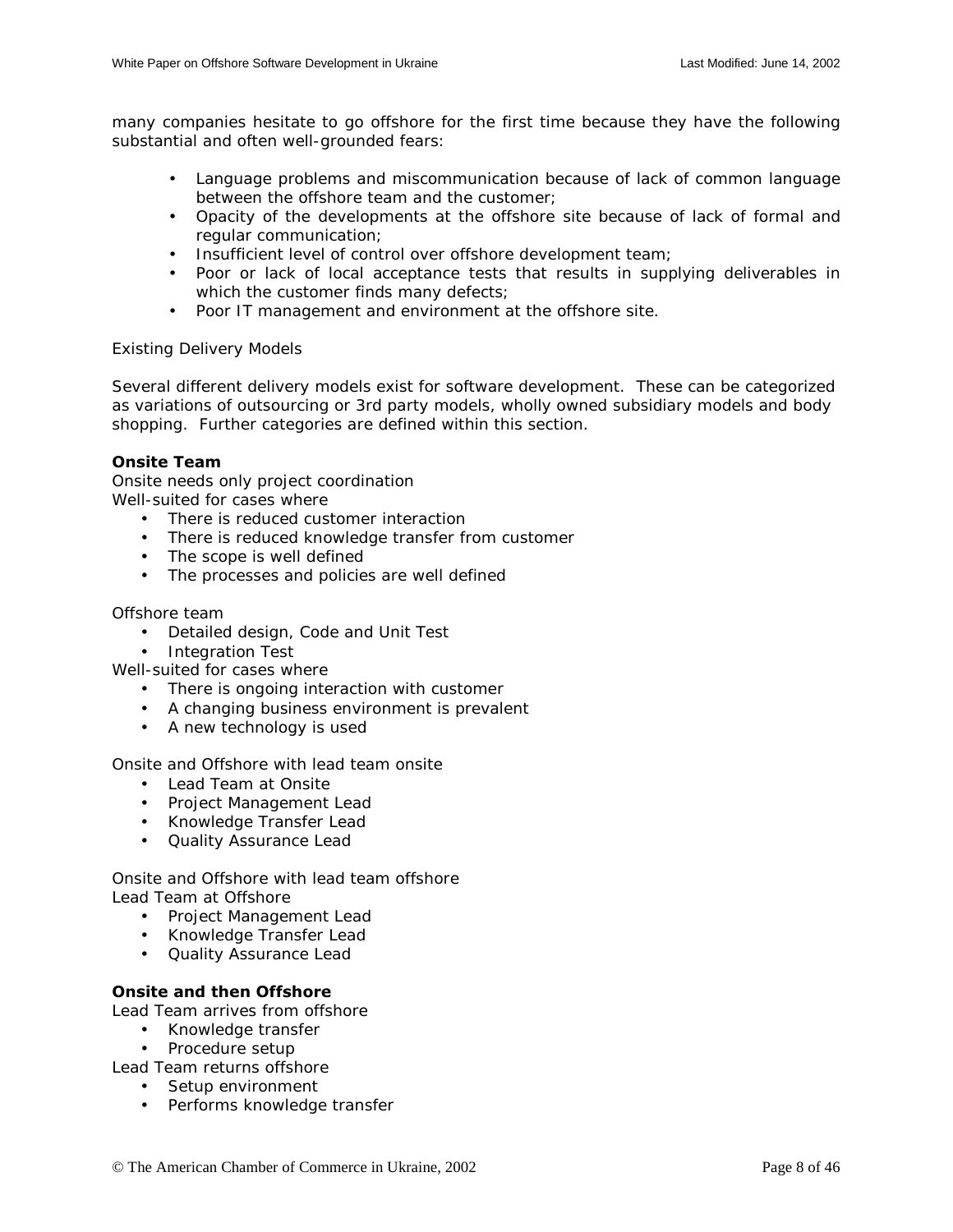<span id="page-7-0"></span>many companies hesitate to go offshore for the first time because they have the following substantial and often well-grounded fears:

- Language problems and miscommunication because of lack of common language between the offshore team and the customer;
- Opacity of the developments at the offshore site because of lack of formal and regular communication;
- Insufficient level of control over offshore development team;
- Poor or lack of local acceptance tests that results in supplying deliverables in which the customer finds many defects;
- Poor IT management and environment at the offshore site.

## Existing Delivery Models

Several different delivery models exist for software development. These can be categorized as variations of outsourcing or 3rd party models, wholly owned subsidiary models and body shopping. Further categories are defined within this section.

## **Onsite Team**

Onsite needs only project coordination Well-suited for cases where

- There is reduced customer interaction
- There is reduced knowledge transfer from customer
- The scope is well defined
- The processes and policies are well defined

## Offshore team

- Detailed design, Code and Unit Test
- Integration Test

Well-suited for cases where

- There is ongoing interaction with customer
- A changing business environment is prevalent
- A new technology is used

Onsite and Offshore with lead team onsite

- Lead Team at Onsite
- Project Management Lead
- Knowledge Transfer Lead
- Quality Assurance Lead

Onsite and Offshore with lead team offshore Lead Team at Offshore

- Project Management Lead
- Knowledge Transfer Lead
- Quality Assurance Lead

## **Onsite and then Offshore**

Lead Team arrives from offshore

- Knowledge transfer
- Procedure setup

Lead Team returns offshore

- Setup environment
- Performs knowledge transfer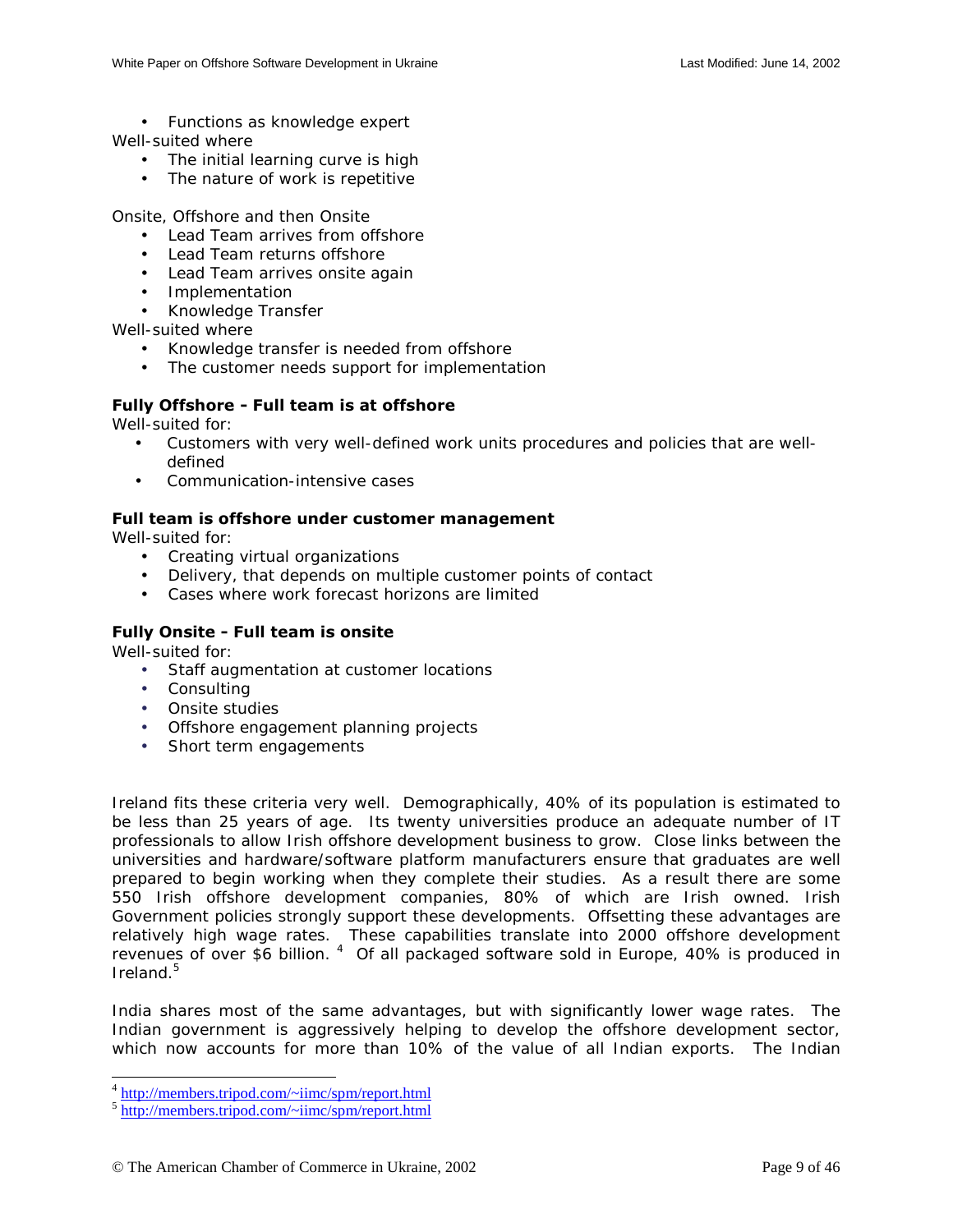• Functions as knowledge expert

<span id="page-8-0"></span>Well-suited where

- The initial learning curve is high
- The nature of work is repetitive

Onsite, Offshore and then Onsite

- Lead Team arrives from offshore
- Lead Team returns offshore
- Lead Team arrives onsite again
- Implementation
- Knowledge Transfer

Well-suited where

- Knowledge transfer is needed from offshore
- The customer needs support for implementation

## **Fully Offshore - Full team is at offshore**

Well-suited for:

- Customers with very well-defined work units procedures and policies that are welldefined
- Communication-intensive cases

## **Full team is offshore under customer management**

Well-suited for:

- Creating virtual organizations
- Delivery, that depends on multiple customer points of contact
- Cases where work forecast horizons are limited

## **Fully Onsite - Full team is onsite**

Well-suited for:

- Staff augmentation at customer locations
- Consulting
- Onsite studies
- Offshore engagement planning projects
- Short term engagements

Ireland fits these criteria very well. Demographically, 40% of its population is estimated to be less than 25 years of age. Its twenty universities produce an adequate number of IT professionals to allow Irish offshore development business to grow. Close links between the universities and hardware/software platform manufacturers ensure that graduates are well prepared to begin working when they complete their studies. As a result there are some 550 Irish offshore development companies, 80% of which are Irish owned. Irish Government policies strongly support these developments. Offsetting these advantages are relatively high wage rates. These capabilities translate into 2000 offshore development revenues of over \$6 billion. <sup>4</sup> Of all packaged software sold in Europe, 40% is produced in Ireland.5

India shares most of the same advantages, but with significantly lower wage rates. The Indian government is aggressively helping to develop the offshore development sector, which now accounts for more than 10% of the value of all Indian exports. The Indian

 $4 \text{ http://members.tripod.com/~imc/spm/report.html}$ 

 $\frac{1}{5}$  http://members.tripod.com/~iimc/spm/report.html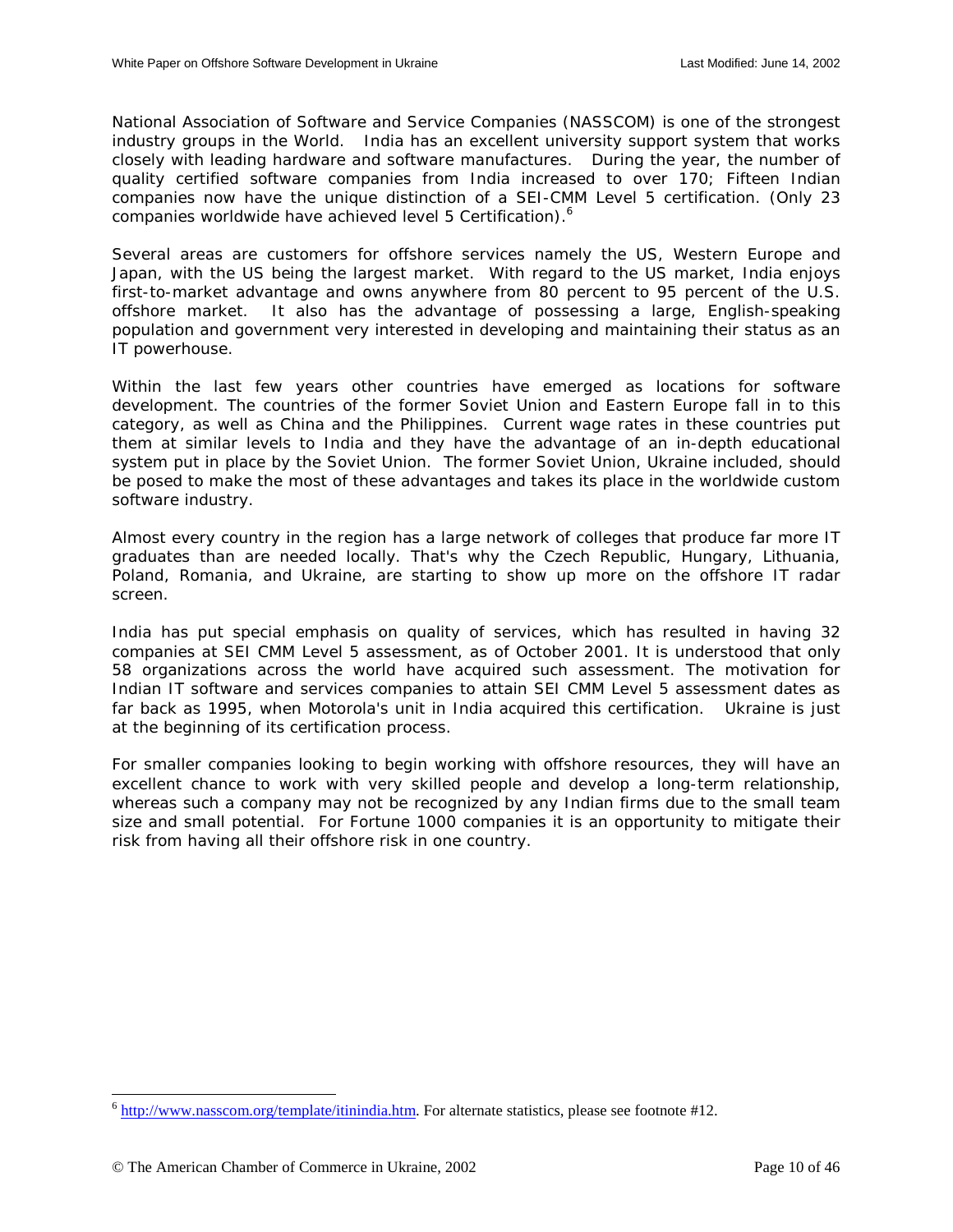National Association of Software and Service Companies (NASSCOM) is one of the strongest industry groups in the World. India has an excellent university support system that works closely with leading hardware and software manufactures. During the year, the number of quality certified software companies from India increased to over 170; Fifteen Indian companies now have the unique distinction of a SEI-CMM Level 5 certification. (Only 23 companies worldwide have achieved level 5 Certification).<sup>6</sup>

Several areas are customers for offshore services namely the US, Western Europe and Japan, with the US being the largest market. With regard to the US market, India enjoys first-to-market advantage and owns anywhere from 80 percent to 95 percent of the U.S. offshore market. It also has the advantage of possessing a large, English-speaking population and government very interested in developing and maintaining their status as an IT powerhouse.

Within the last few years other countries have emerged as locations for software development. The countries of the former Soviet Union and Eastern Europe fall in to this category, as well as China and the Philippines. Current wage rates in these countries put them at similar levels to India and they have the advantage of an in-depth educational system put in place by the Soviet Union. The former Soviet Union, Ukraine included, should be posed to make the most of these advantages and takes its place in the worldwide custom software industry.

Almost every country in the region has a large network of colleges that produce far more IT graduates than are needed locally. That's why the Czech Republic, Hungary, Lithuania, Poland, Romania, and Ukraine, are starting to show up more on the offshore IT radar screen.

India has put special emphasis on quality of services, which has resulted in having 32 companies at SEI CMM Level 5 assessment, as of October 2001. It is understood that only 58 organizations across the world have acquired such assessment. The motivation for Indian IT software and services companies to attain SEI CMM Level 5 assessment dates as far back as 1995, when Motorola's unit in India acquired this certification. Ukraine is just at the beginning of its certification process.

For smaller companies looking to begin working with offshore resources, they will have an excellent chance to work with very skilled people and develop a long-term relationship, whereas such a company may not be recognized by any Indian firms due to the small team size and small potential. For Fortune 1000 companies it is an opportunity to mitigate their risk from having all their offshore risk in one country.

 $\overline{a}$ 

 $6$  http://www.nasscom.org/template/itinindia.htm. For alternate statistics, please see footnote #12.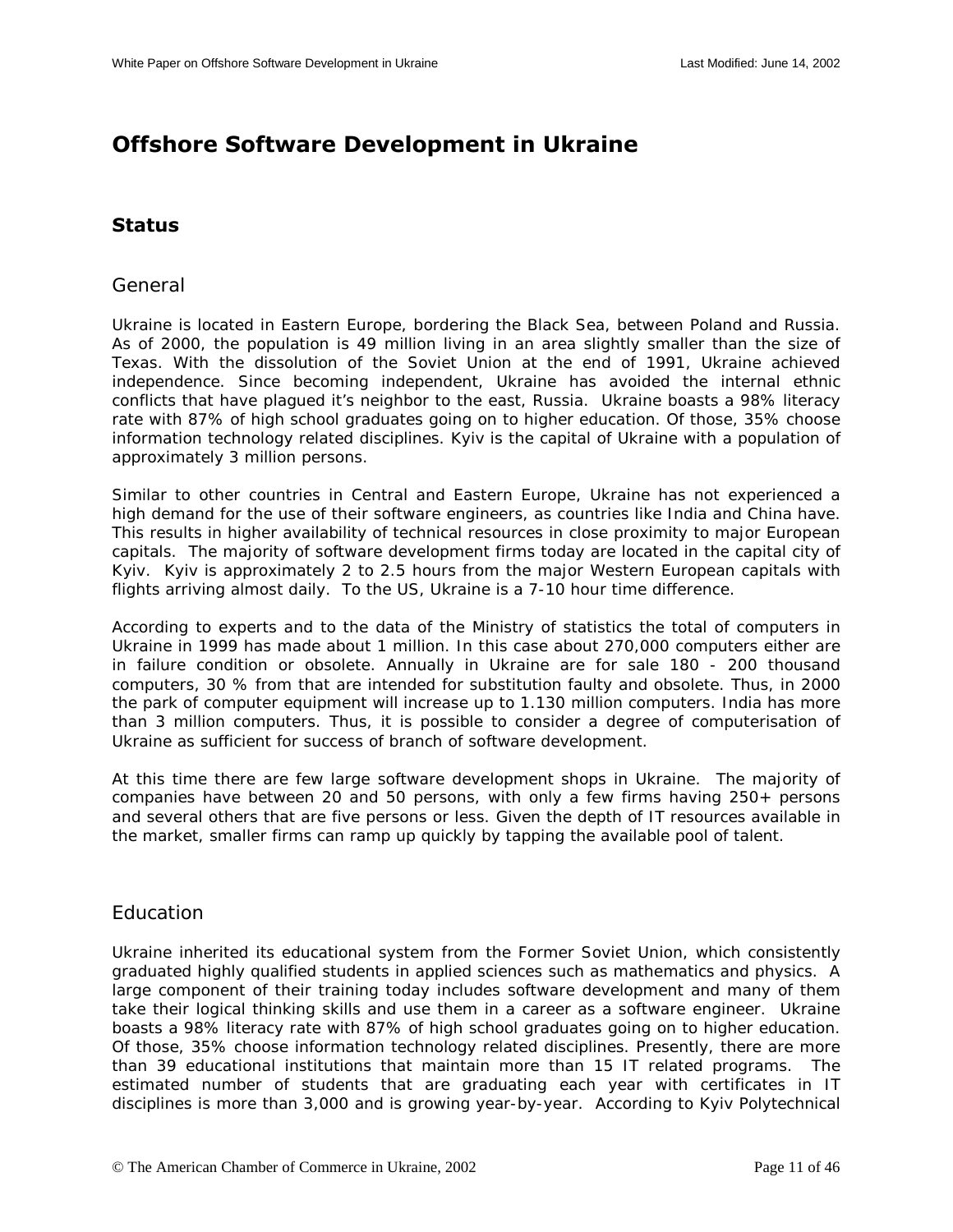# <span id="page-10-0"></span>**Offshore Software Development in Ukraine**

## **Status**

## General

Ukraine is located in Eastern Europe, bordering the Black Sea, between Poland and Russia. As of 2000, the population is 49 million living in an area slightly smaller than the size of Texas. With the dissolution of the Soviet Union at the end of 1991, Ukraine achieved independence. Since becoming independent, Ukraine has avoided the internal ethnic conflicts that have plagued it's neighbor to the east, Russia. Ukraine boasts a 98% literacy rate with 87% of high school graduates going on to higher education. Of those, 35% choose information technology related disciplines. Kyiv is the capital of Ukraine with a population of approximately 3 million persons.

Similar to other countries in Central and Eastern Europe, Ukraine has not experienced a high demand for the use of their software engineers, as countries like India and China have. This results in higher availability of technical resources in close proximity to major European capitals. The majority of software development firms today are located in the capital city of Kyiv. Kyiv is approximately 2 to 2.5 hours from the major Western European capitals with flights arriving almost daily. To the US, Ukraine is a 7-10 hour time difference.

According to experts and to the data of the Ministry of statistics the total of computers in Ukraine in 1999 has made about 1 million. In this case about 270,000 computers either are in failure condition or obsolete. Annually in Ukraine are for sale 180 - 200 thousand computers, 30 % from that are intended for substitution faulty and obsolete. Thus, in 2000 the park of computer equipment will increase up to 1.130 million computers. India has more than 3 million computers. Thus, it is possible to consider a degree of computerisation of Ukraine as sufficient for success of branch of software development.

At this time there are few large software development shops in Ukraine. The majority of companies have between 20 and 50 persons, with only a few firms having 250+ persons and several others that are five persons or less. Given the depth of IT resources available in the market, smaller firms can ramp up quickly by tapping the available pool of talent.

## Education

Ukraine inherited its educational system from the Former Soviet Union, which consistently graduated highly qualified students in applied sciences such as mathematics and physics. A large component of their training today includes software development and many of them take their logical thinking skills and use them in a career as a software engineer. Ukraine boasts a 98% literacy rate with 87% of high school graduates going on to higher education. Of those, 35% choose information technology related disciplines. Presently, there are more than 39 educational institutions that maintain more than 15 IT related programs. The estimated number of students that are graduating each year with certificates in IT disciplines is more than 3,000 and is growing year-by-year. According to Kyiv Polytechnical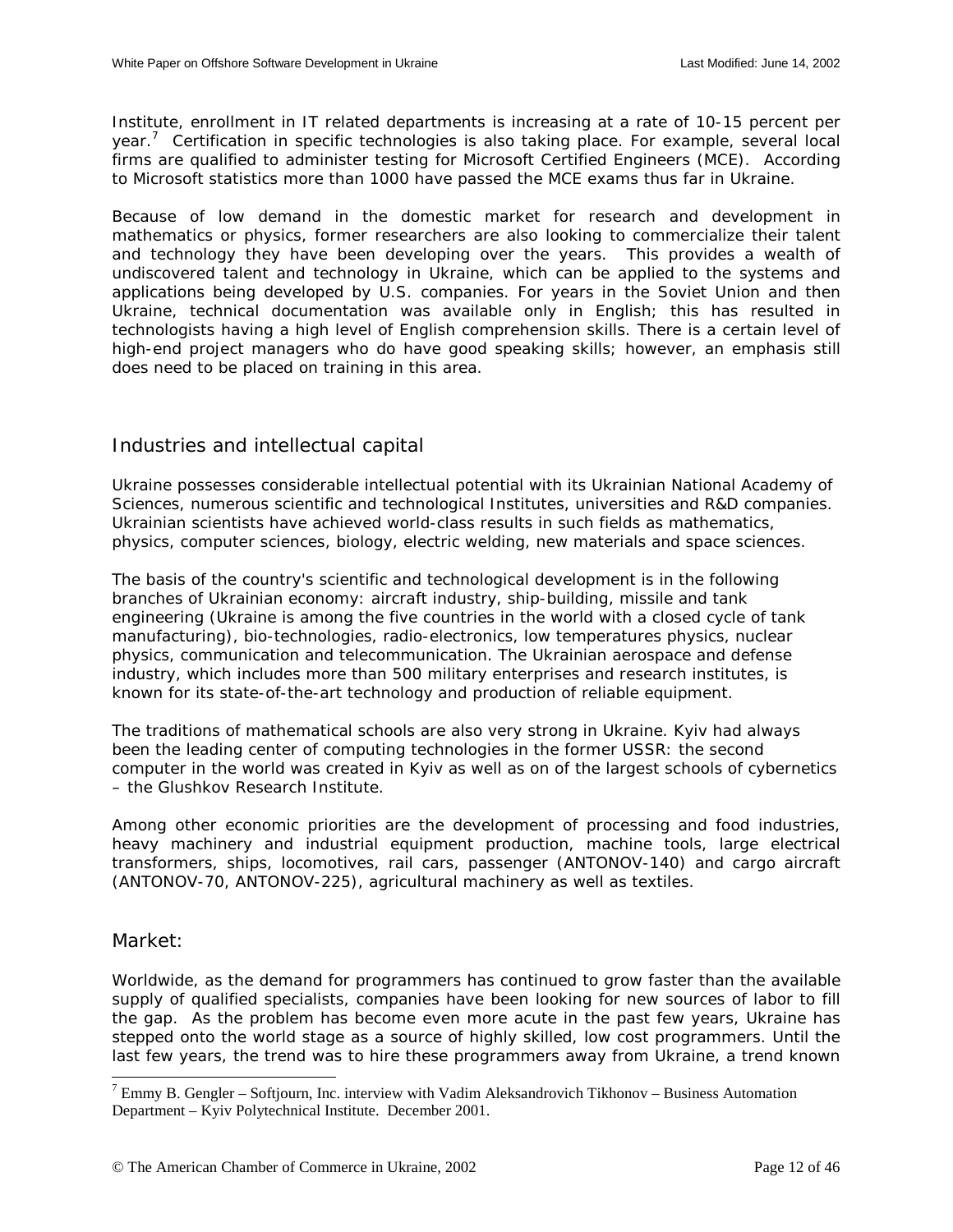Institute, enrollment in IT related departments is increasing at a rate of 10-15 percent per year.<sup>7</sup> Certification in specific technologies is also taking place. For example, several local firms are qualified to administer testing for Microsoft Certified Engineers (MCE). According to Microsoft statistics more than 1000 have passed the MCE exams thus far in Ukraine.

Because of low demand in the domestic market for research and development in mathematics or physics, former researchers are also looking to commercialize their talent and technology they have been developing over the years. This provides a wealth of undiscovered talent and technology in Ukraine, which can be applied to the systems and applications being developed by U.S. companies. For years in the Soviet Union and then Ukraine, technical documentation was available only in English; this has resulted in technologists having a high level of English comprehension skills. There is a certain level of high-end project managers who do have good speaking skills; however, an emphasis still does need to be placed on training in this area.

## Industries and intellectual capital

Ukraine possesses considerable intellectual potential with its Ukrainian National Academy of Sciences, numerous scientific and technological Institutes, universities and R&D companies. Ukrainian scientists have achieved world-class results in such fields as mathematics, physics, computer sciences, biology, electric welding, new materials and space sciences.

The basis of the country's scientific and technological development is in the following branches of Ukrainian economy: aircraft industry, ship-building, missile and tank engineering (Ukraine is among the five countries in the world with a closed cycle of tank manufacturing), bio-technologies, radio-electronics, low temperatures physics, nuclear physics, communication and telecommunication. The Ukrainian aerospace and defense industry, which includes more than 500 military enterprises and research institutes, is known for its state-of-the-art technology and production of reliable equipment.

The traditions of mathematical schools are also very strong in Ukraine. Kyiv had always been the leading center of computing technologies in the former USSR: the second computer in the world was created in Kyiv as well as on of the largest schools of cybernetics – the Glushkov Research Institute.

Among other economic priorities are the development of processing and food industries, heavy machinery and industrial equipment production, machine tools, large electrical transformers, ships, locomotives, rail cars, passenger (ANTONOV-140) and cargo aircraft (ANTONOV-70, ANTONOV-225), agricultural machinery as well as textiles.

Market:

Worldwide, as the demand for programmers has continued to grow faster than the available supply of qualified specialists, companies have been looking for new sources of labor to fill the gap. As the problem has become even more acute in the past few years, Ukraine has stepped onto the world stage as a source of highly skilled, low cost programmers. Until the last few years, the trend was to hire these programmers away from Ukraine, a trend known

<sup>&</sup>lt;sup>7</sup> Emmy B. Gengler – Softjourn, Inc. interview with Vadim Aleksandrovich Tikhonov – Business Automation Department – Kyiv Polytechnical Institute. December 2001.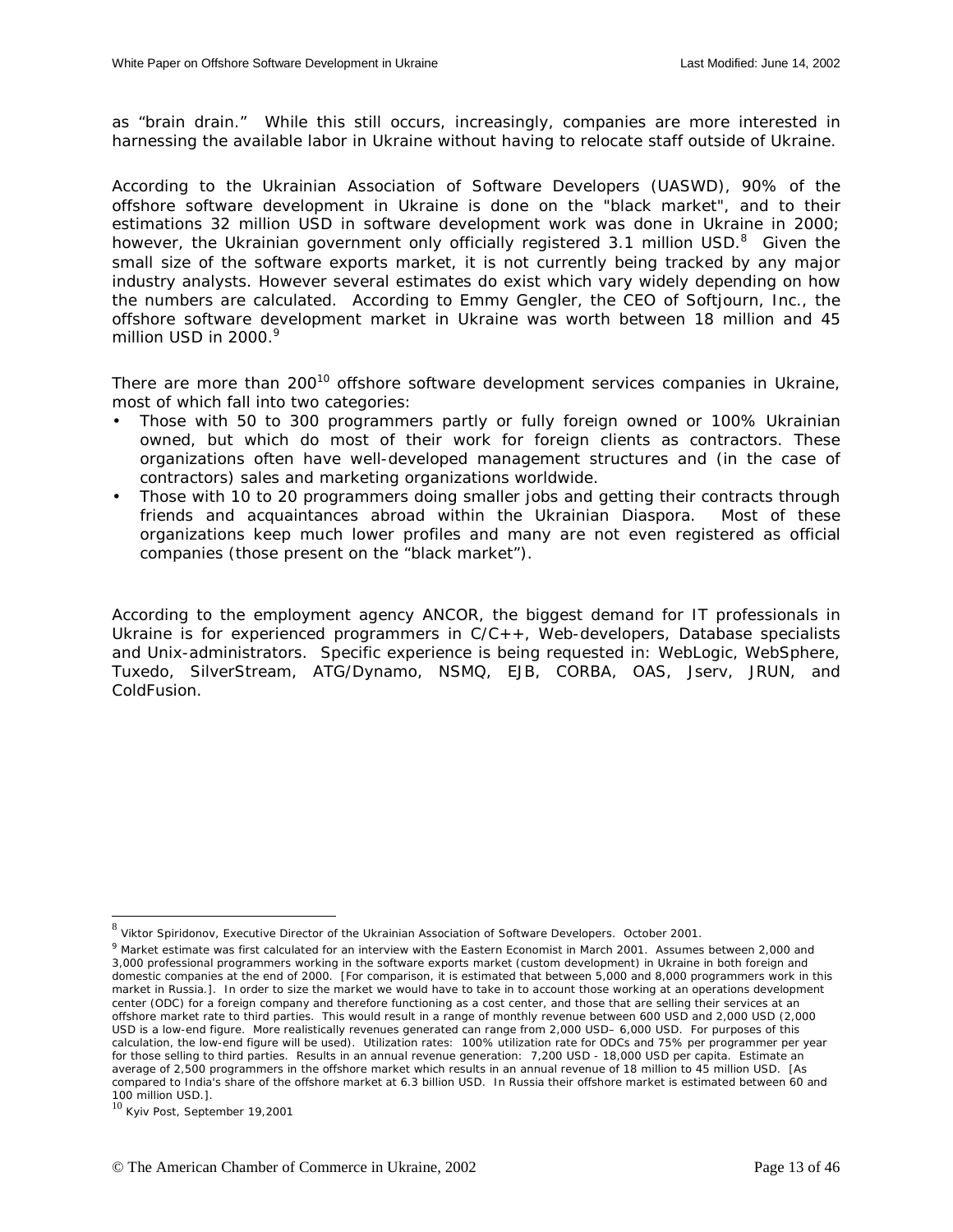as "brain drain." While this still occurs, increasingly, companies are more interested in harnessing the available labor in Ukraine without having to relocate staff outside of Ukraine.

According to the Ukrainian Association of Software Developers (UASWD), 90% of the offshore software development in Ukraine is done on the "black market", and to their estimations 32 million USD in software development work was done in Ukraine in 2000; however, the Ukrainian government only officially registered 3.1 million USD.<sup>8</sup> Given the small size of the software exports market, it is not currently being tracked by any major industry analysts. However several estimates do exist which vary widely depending on how the numbers are calculated. According to Emmy Gengler, the CEO of Softjourn, Inc., the offshore software development market in Ukraine was worth between 18 million and 45 million USD in  $2000<sup>9</sup>$ 

There are more than  $200^{10}$  offshore software development services companies in Ukraine, most of which fall into two categories:

- Those with 50 to 300 programmers partly or fully foreign owned or 100% Ukrainian owned, but which do most of their work for foreign clients as contractors. These organizations often have well-developed management structures and (in the case of contractors) sales and marketing organizations worldwide.
- Those with 10 to 20 programmers doing smaller jobs and getting their contracts through friends and acquaintances abroad within the Ukrainian Diaspora. Most of these organizations keep much lower profiles and many are not even registered as official companies (those present on the "black market").

According to the employment agency ANCOR, the biggest demand for IT professionals in Ukraine is for experienced programmers in C/C++, Web-developers, Database specialists and Unix-administrators. Specific experience is being requested in: WebLogic, WebSphere, Tuxedo, SilverStream, ATG/Dynamo, NSMQ, EJB, CORBA, OAS, Jserv, JRUN, and ColdFusion.

 $\overline{a}$ 

<sup>8</sup> Viktor Spiridonov, Executive Director of the Ukrainian Association of Software Developers. October 2001.

<sup>&</sup>lt;sup>9</sup> Market estimate was first calculated for an interview with the Eastern Economist in March 2001. Assumes between 2,000 and 3,000 professional programmers working in the software exports market (custom development) in Ukraine in both foreign and domestic companies at the end of 2000. [For comparison, it is estimated that between 5,000 and 8,000 programmers work in this market in Russia.]. In order to size the market we would have to take in to account those working at an operations development center (ODC) for a foreign company and therefore functioning as a cost center, and those that are selling their services at an offshore market rate to third parties. This would result in a range of monthly revenue between 600 USD and 2,000 USD (2,000 USD is a low-end figure. More realistically revenues generated can range from 2,000 USD– 6,000 USD. For purposes of this calculation, the low-end figure will be used). Utilization rates: 100% utilization rate for ODCs and 75% per programmer per year for those selling to third parties. Results in an annual revenue generation: 7,200 USD - 18,000 USD per capita. Estimate an average of 2,500 programmers in the offshore market which results in an annual revenue of 18 million to 45 million USD. [As compared to India's share of the offshore market at 6.3 billion USD. In Russia their offshore market is estimated between 60 and 100 million USD.].

<sup>10</sup> Kyiv Post, September 19,2001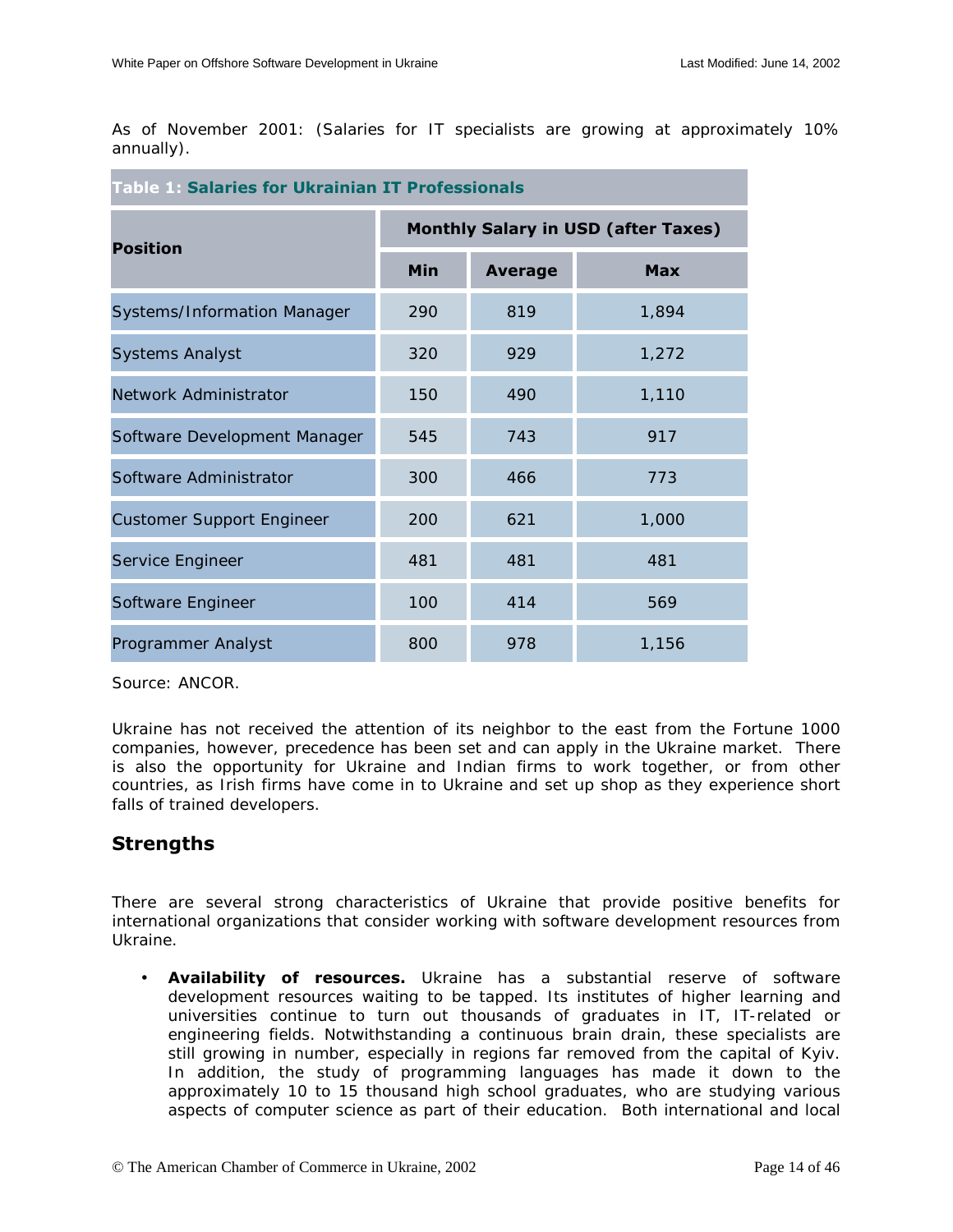<span id="page-13-0"></span>As of November 2001: (Salaries for IT specialists are growing at approximately 10% annually).

| <b>Table 1: Salaries for Ukrainian IT Professionals</b> |                                            |                |            |  |
|---------------------------------------------------------|--------------------------------------------|----------------|------------|--|
| <b>Position</b>                                         | <b>Monthly Salary in USD (after Taxes)</b> |                |            |  |
|                                                         | Min                                        | <b>Average</b> | <b>Max</b> |  |
| Systems/Information Manager                             | 290                                        | 819            | 1,894      |  |
| <b>Systems Analyst</b>                                  | 320                                        | 929            | 1,272      |  |
| Network Administrator                                   | 150                                        | 490            | 1,110      |  |
| Software Development Manager                            | 545                                        | 743            | 917        |  |
| Software Administrator                                  | 300                                        | 466            | 773        |  |
| <b>Customer Support Engineer</b>                        | 200                                        | 621            | 1,000      |  |
| Service Engineer                                        | 481                                        | 481            | 481        |  |
| Software Engineer                                       | 100                                        | 414            | 569        |  |
| Programmer Analyst                                      | 800                                        | 978            | 1,156      |  |

*Source: ANCOR.*

Ukraine has not received the attention of its neighbor to the east from the Fortune 1000 companies, however, precedence has been set and can apply in the Ukraine market. There is also the opportunity for Ukraine and Indian firms to work together, or from other countries, as Irish firms have come in to Ukraine and set up shop as they experience short falls of trained developers.

## **Strengths**

There are several strong characteristics of Ukraine that provide positive benefits for international organizations that consider working with software development resources from Ukraine.

• **Availability of resources.** Ukraine has a substantial reserve of software development resources waiting to be tapped. Its institutes of higher learning and universities continue to turn out thousands of graduates in IT, IT-related or engineering fields. Notwithstanding a continuous brain drain, these specialists are still growing in number, especially in regions far removed from the capital of Kyiv. In addition, the study of programming languages has made it down to the approximately 10 to 15 thousand high school graduates, who are studying various aspects of computer science as part of their education. Both international and local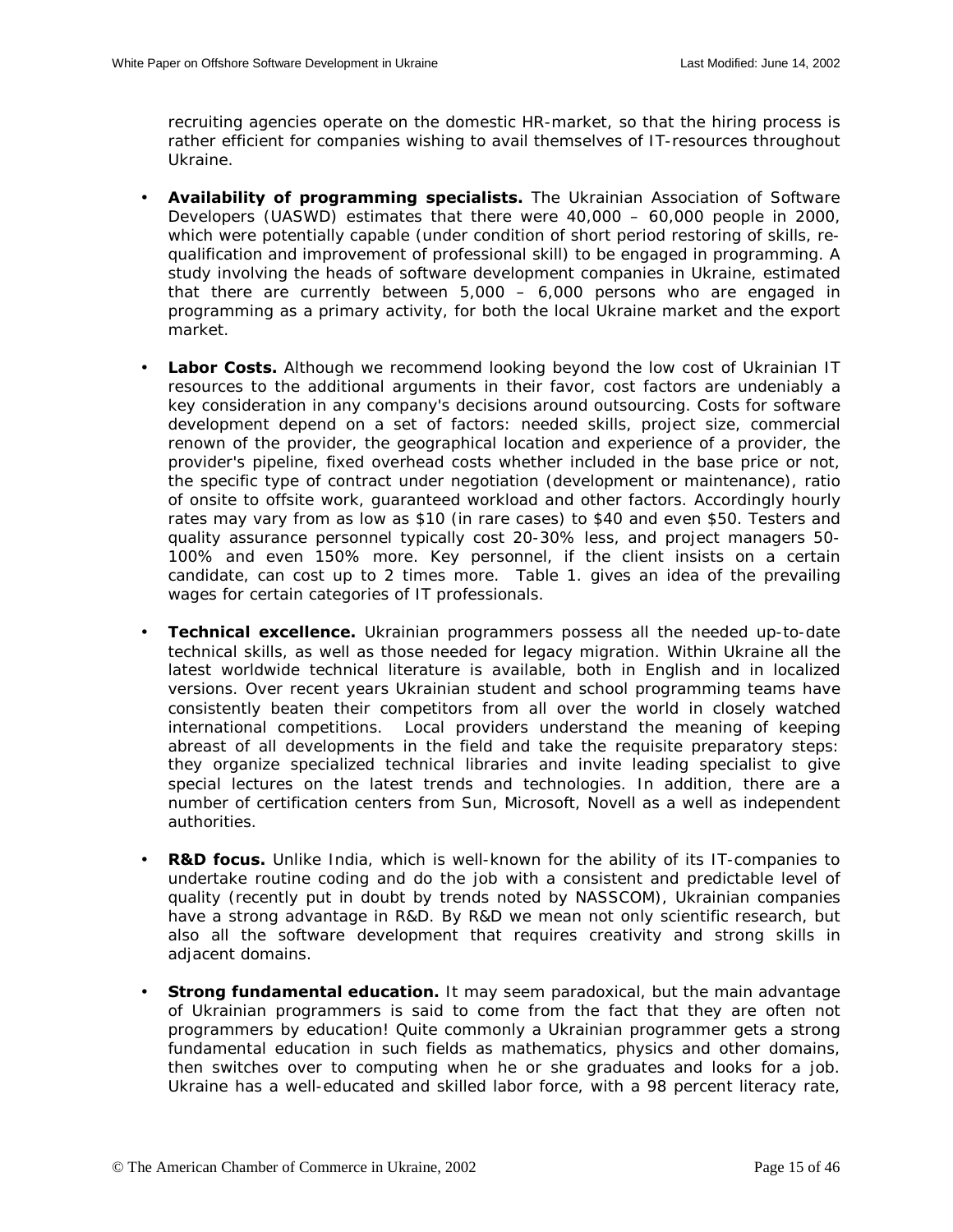recruiting agencies operate on the domestic HR-market, so that the hiring process is rather efficient for companies wishing to avail themselves of IT-resources throughout Ukraine.

- **Availability of programming specialists.** The Ukrainian Association of Software Developers (UASWD) estimates that there were 40,000 – 60,000 people in 2000, which were potentially capable (under condition of short period restoring of skills, requalification and improvement of professional skill) to be engaged in programming. A study involving the heads of software development companies in Ukraine, estimated that there are currently between 5,000 – 6,000 persons who are engaged in programming as a primary activity, for both the local Ukraine market and the export market.
- Labor Costs. Although we recommend looking beyond the low cost of Ukrainian IT resources to the additional arguments in their favor, cost factors are undeniably a key consideration in any company's decisions around outsourcing. Costs for software development depend on a set of factors: needed skills, project size, commercial renown of the provider, the geographical location and experience of a provider, the provider's pipeline, fixed overhead costs whether included in the base price or not, the specific type of contract under negotiation (development or maintenance), ratio of onsite to offsite work, guaranteed workload and other factors. Accordingly hourly rates may vary from as low as \$10 (in rare cases) to \$40 and even \$50. Testers and quality assurance personnel typically cost 20-30% less, and project managers 50- 100% and even 150% more. Key personnel, if the client insists on a certain candidate, can cost up to 2 times more. Table 1. gives an idea of the prevailing wages for certain categories of IT professionals.
- **Technical excellence.** Ukrainian programmers possess all the needed up-to-date technical skills, as well as those needed for legacy migration. Within Ukraine all the latest worldwide technical literature is available, both in English and in localized versions. Over recent years Ukrainian student and school programming teams have consistently beaten their competitors from all over the world in closely watched international competitions. Local providers understand the meaning of keeping abreast of all developments in the field and take the requisite preparatory steps: they organize specialized technical libraries and invite leading specialist to give special lectures on the latest trends and technologies. In addition, there are a number of certification centers from Sun, Microsoft, Novell as a well as independent authorities.
- **R&D focus.** Unlike India, which is well-known for the ability of its IT-companies to undertake routine coding and do the job with a consistent and predictable level of quality (recently put in doubt by trends noted by NASSCOM), Ukrainian companies have a strong advantage in R&D. By R&D we mean not only scientific research, but also all the software development that requires creativity and strong skills in adjacent domains.
- **Strong fundamental education.** It may seem paradoxical, but the main advantage of Ukrainian programmers is said to come from the fact that they are often not programmers by education! Quite commonly a Ukrainian programmer gets a strong fundamental education in such fields as mathematics, physics and other domains, then switches over to computing when he or she graduates and looks for a job. Ukraine has a well-educated and skilled labor force, with a 98 percent literacy rate,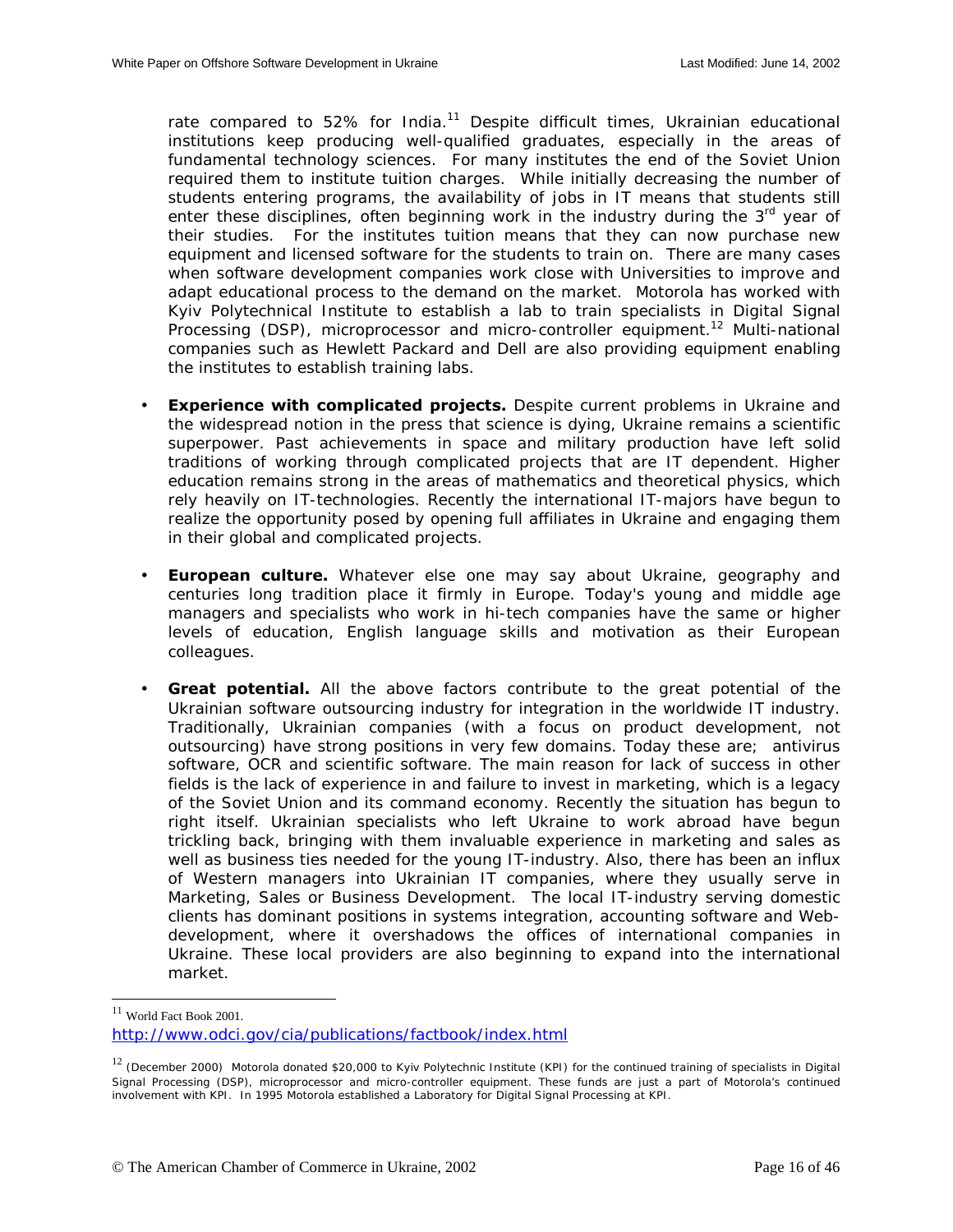rate compared to 52% for India.<sup>11</sup> Despite difficult times, Ukrainian educational institutions keep producing well-qualified graduates, especially in the areas of fundamental technology sciences. For many institutes the end of the Soviet Union required them to institute tuition charges. While initially decreasing the number of students entering programs, the availability of jobs in IT means that students still enter these disciplines, often beginning work in the industry during the 3<sup>rd</sup> year of their studies. For the institutes tuition means that they can now purchase new equipment and licensed software for the students to train on. There are many cases when software development companies work close with Universities to improve and adapt educational process to the demand on the market. Motorola has worked with Kyiv Polytechnical Institute to establish a lab to train specialists in Digital Signal Processing (DSP), microprocessor and micro-controller equipment.<sup>12</sup> Multi-national companies such as Hewlett Packard and Dell are also providing equipment enabling the institutes to establish training labs.

- **Experience with complicated projects.** Despite current problems in Ukraine and the widespread notion in the press that science is dying, Ukraine remains a scientific superpower. Past achievements in space and military production have left solid traditions of working through complicated projects that are IT dependent. Higher education remains strong in the areas of mathematics and theoretical physics, which rely heavily on IT-technologies. Recently the international IT-majors have begun to realize the opportunity posed by opening full affiliates in Ukraine and engaging them in their global and complicated projects.
- **European culture.** Whatever else one may say about Ukraine, geography and centuries long tradition place it firmly in Europe. Today's young and middle age managers and specialists who work in hi-tech companies have the same or higher levels of education, English language skills and motivation as their European colleagues.
- **Great potential.** All the above factors contribute to the great potential of the Ukrainian software outsourcing industry for integration in the worldwide IT industry. Traditionally, Ukrainian companies (with a focus on product development, not outsourcing) have strong positions in very few domains. Today these are; antivirus software, OCR and scientific software. The main reason for lack of success in other fields is the lack of experience in and failure to invest in marketing, which is a legacy of the Soviet Union and its command economy. Recently the situation has begun to right itself. Ukrainian specialists who left Ukraine to work abroad have begun trickling back, bringing with them invaluable experience in marketing and sales as well as business ties needed for the young IT-industry. Also, there has been an influx of Western managers into Ukrainian IT companies, where they usually serve in Marketing, Sales or Business Development. The local IT-industry serving domestic clients has dominant positions in systems integration, accounting software and Webdevelopment, where it overshadows the offices of international companies in Ukraine. These local providers are also beginning to expand into the international market.

-

<sup>11</sup> World Fact Book 2001. http://www.odci.gov/cia/publications/factbook/index.html

<sup>&</sup>lt;sup>12</sup> (December 2000) Motorola donated \$20,000 to Kyiv Polytechnic Institute (KPI) for the continued training of specialists in Digital Signal Processing (DSP), microprocessor and micro-controller equipment. These funds are just a part of Motorola's continued involvement with KPI. In 1995 Motorola established a Laboratory for Digital Signal Processing at KPI.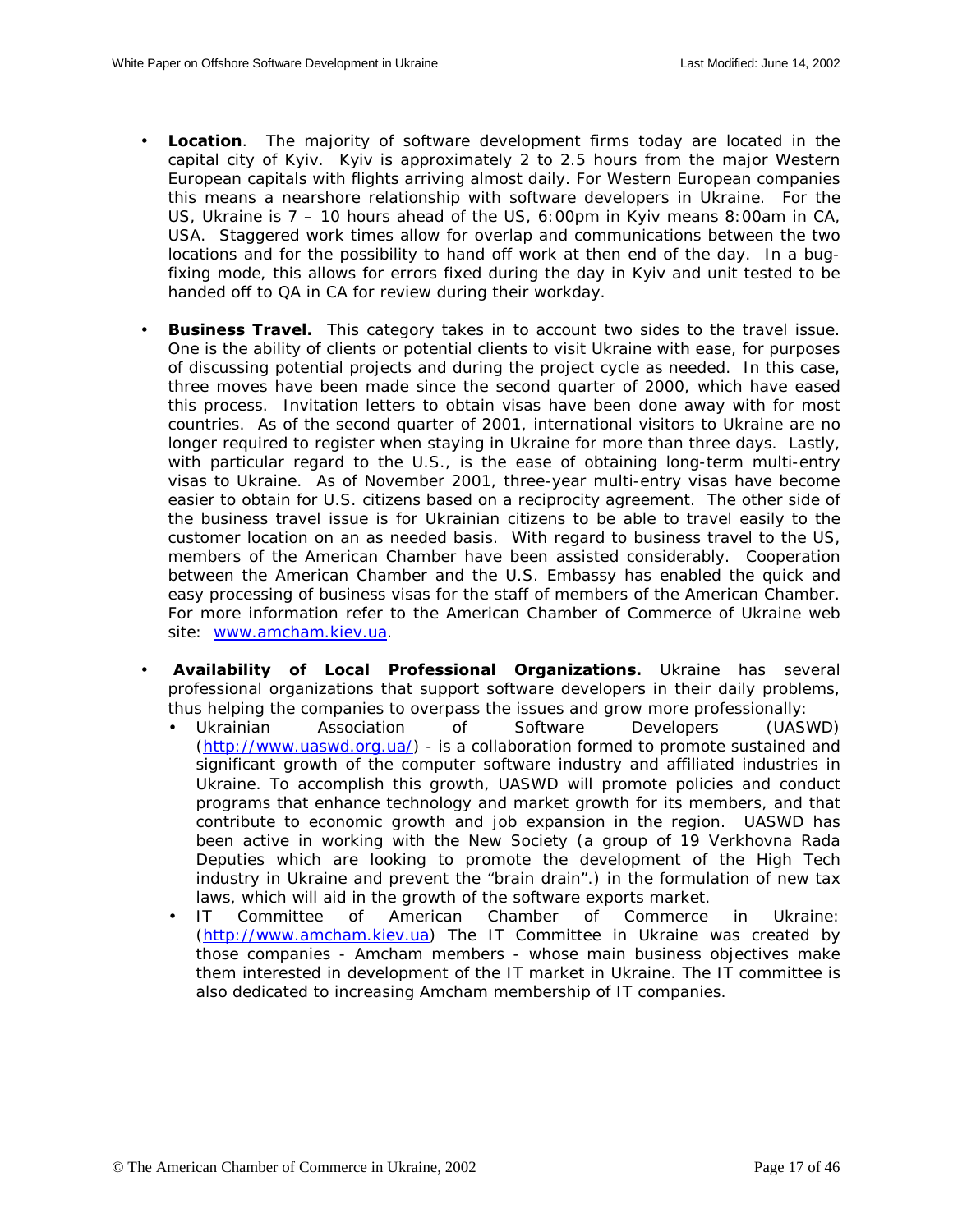- **Location**. The majority of software development firms today are located in the capital city of Kyiv. Kyiv is approximately 2 to 2.5 hours from the major Western European capitals with flights arriving almost daily. For Western European companies this means a nearshore relationship with software developers in Ukraine. For the US, Ukraine is 7 – 10 hours ahead of the US, 6:00pm in Kyiv means 8:00am in CA, USA. Staggered work times allow for overlap and communications between the two locations and for the possibility to hand off work at then end of the day. In a bugfixing mode, this allows for errors fixed during the day in Kyiv and unit tested to be handed off to QA in CA for review during their workday.
- **Business Travel.** This category takes in to account two sides to the travel issue. One is the ability of clients or potential clients to visit Ukraine with ease, for purposes of discussing potential projects and during the project cycle as needed. In this case, three moves have been made since the second quarter of 2000, which have eased this process. Invitation letters to obtain visas have been done away with for most countries. As of the second quarter of 2001, international visitors to Ukraine are no longer required to register when staying in Ukraine for more than three days. Lastly, with particular regard to the U.S., is the ease of obtaining long-term multi-entry visas to Ukraine. As of November 2001, three-year multi-entry visas have become easier to obtain for U.S. citizens based on a reciprocity agreement. The other side of the business travel issue is for Ukrainian citizens to be able to travel easily to the customer location on an as needed basis. With regard to business travel to the US, members of the American Chamber have been assisted considerably. Cooperation between the American Chamber and the U.S. Embassy has enabled the quick and easy processing of business visas for the staff of members of the American Chamber. For more information refer to the American Chamber of Commerce of Ukraine web site: [www.amcham.kiev.ua.](http://www.amcham.kiev.ua/)
- **Availability of Local Professional Organizations.** Ukraine has several professional organizations that support software developers in their daily problems, thus helping the companies to overpass the issues and grow more professionally:
	- Ukrainian Association of Software Developers (UASWD) ([http://www.uaswd.org.ua/\)](http://www.uaswd.org.ua/) - is a collaboration formed to promote sustained and significant growth of the computer software industry and affiliated industries in Ukraine. To accomplish this growth, UASWD will promote policies and conduct programs that enhance technology and market growth for its members, and that contribute to economic growth and job expansion in the region. UASWD has been active in working with the New Society (a group of 19 Verkhovna Rada Deputies which are looking to promote the development of the High Tech industry in Ukraine and prevent the "brain drain".) in the formulation of new tax laws, which will aid in the growth of the software exports market.
	- IT Committee of American Chamber of Commerce in Ukraine: ([http://www.amcham.kiev.ua\)](http://www.amcham.kiev.ua/) The IT Committee in Ukraine was created by those companies - Amcham members - whose main business objectives make them interested in development of the IT market in Ukraine. The IT committee is also dedicated to increasing Amcham membership of IT companies.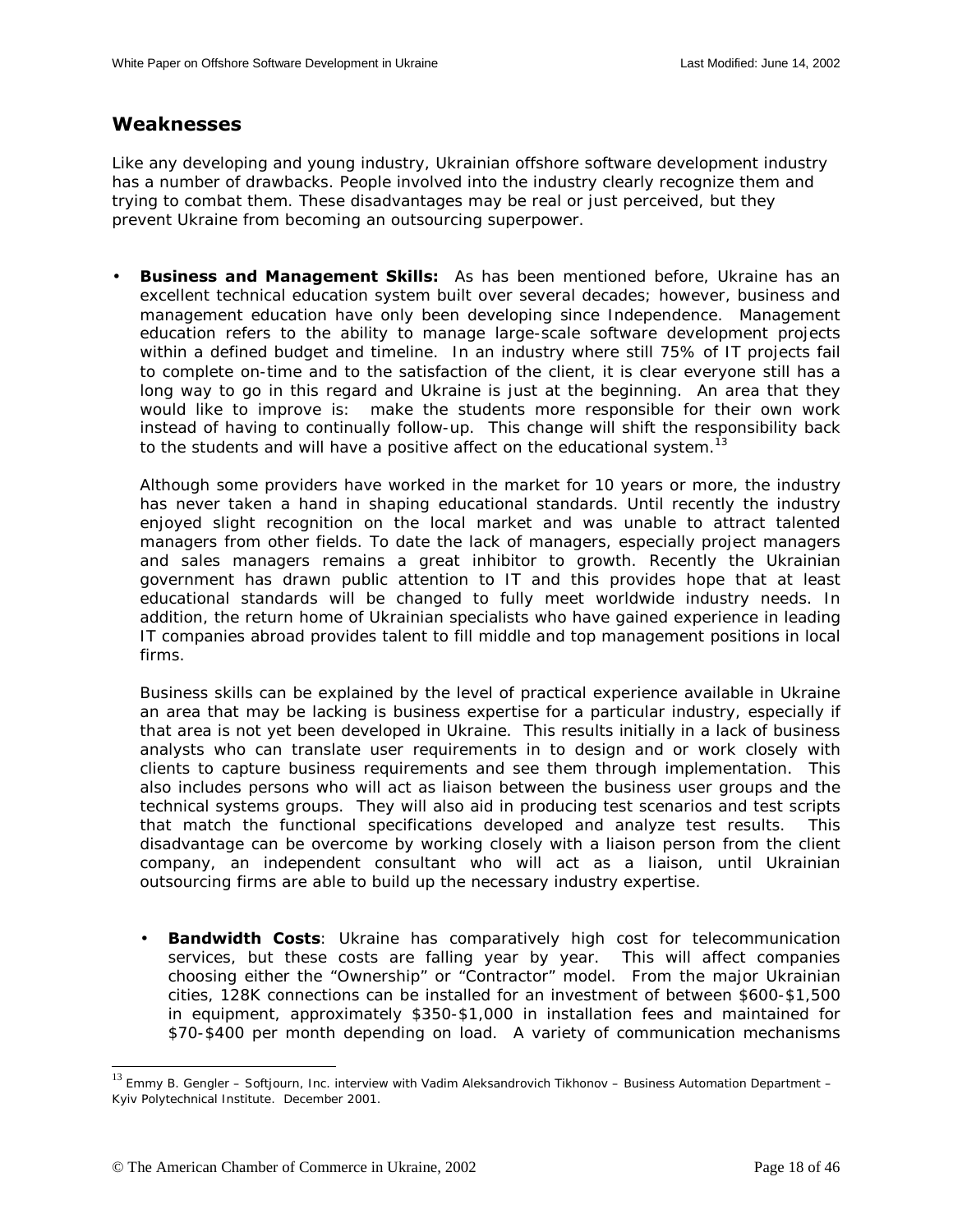## <span id="page-17-0"></span>**Weaknesses**

Like any developing and young industry, Ukrainian offshore software development industry has a number of drawbacks. People involved into the industry clearly recognize them and trying to combat them. These disadvantages may be real or just perceived, but they prevent Ukraine from becoming an outsourcing superpower.

• **Business and Management Skills:** As has been mentioned before, Ukraine has an excellent technical education system built over several decades; however, business and management education have only been developing since Independence. Management education refers to the ability to manage large-scale software development projects within a defined budget and timeline. In an industry where still 75% of IT projects fail to complete on-time and to the satisfaction of the client, it is clear everyone still has a long way to go in this regard and Ukraine is just at the beginning. An area that they would like to improve is: make the students more responsible for their own work instead of having to continually follow-up. This change will shift the responsibility back to the students and will have a positive affect on the educational system.<sup>13</sup>

Although some providers have worked in the market for 10 years or more, the industry has never taken a hand in shaping educational standards. Until recently the industry enjoyed slight recognition on the local market and was unable to attract talented managers from other fields. To date the lack of managers, especially project managers and sales managers remains a great inhibitor to growth. Recently the Ukrainian government has drawn public attention to IT and this provides hope that at least educational standards will be changed to fully meet worldwide industry needs. In addition, the return home of Ukrainian specialists who have gained experience in leading IT companies abroad provides talent to fill middle and top management positions in local firms.

Business skills can be explained by the level of practical experience available in Ukraine an area that may be lacking is business expertise for a particular industry, especially if that area is not yet been developed in Ukraine. This results initially in a lack of business analysts who can translate user requirements in to design and or work closely with clients to capture business requirements and see them through implementation. This also includes persons who will act as liaison between the business user groups and the technical systems groups. They will also aid in producing test scenarios and test scripts that match the functional specifications developed and analyze test results. This disadvantage can be overcome by working closely with a liaison person from the client company, an independent consultant who will act as a liaison, until Ukrainian outsourcing firms are able to build up the necessary industry expertise.

• **Bandwidth Costs**: Ukraine has comparatively high cost for telecommunication services, but these costs are falling year by year. This will affect companies choosing either the "Ownership" or "Contractor" model. From the major Ukrainian cities, 128K connections can be installed for an investment of between \$600-\$1,500 in equipment, approximately \$350-\$1,000 in installation fees and maintained for \$70-\$400 per month depending on load. A variety of communication mechanisms

-

<sup>&</sup>lt;sup>13</sup> Emmy B. Gengler – Softjourn, Inc. interview with Vadim Aleksandrovich Tikhonov – Business Automation Department – Kyiv Polytechnical Institute. December 2001.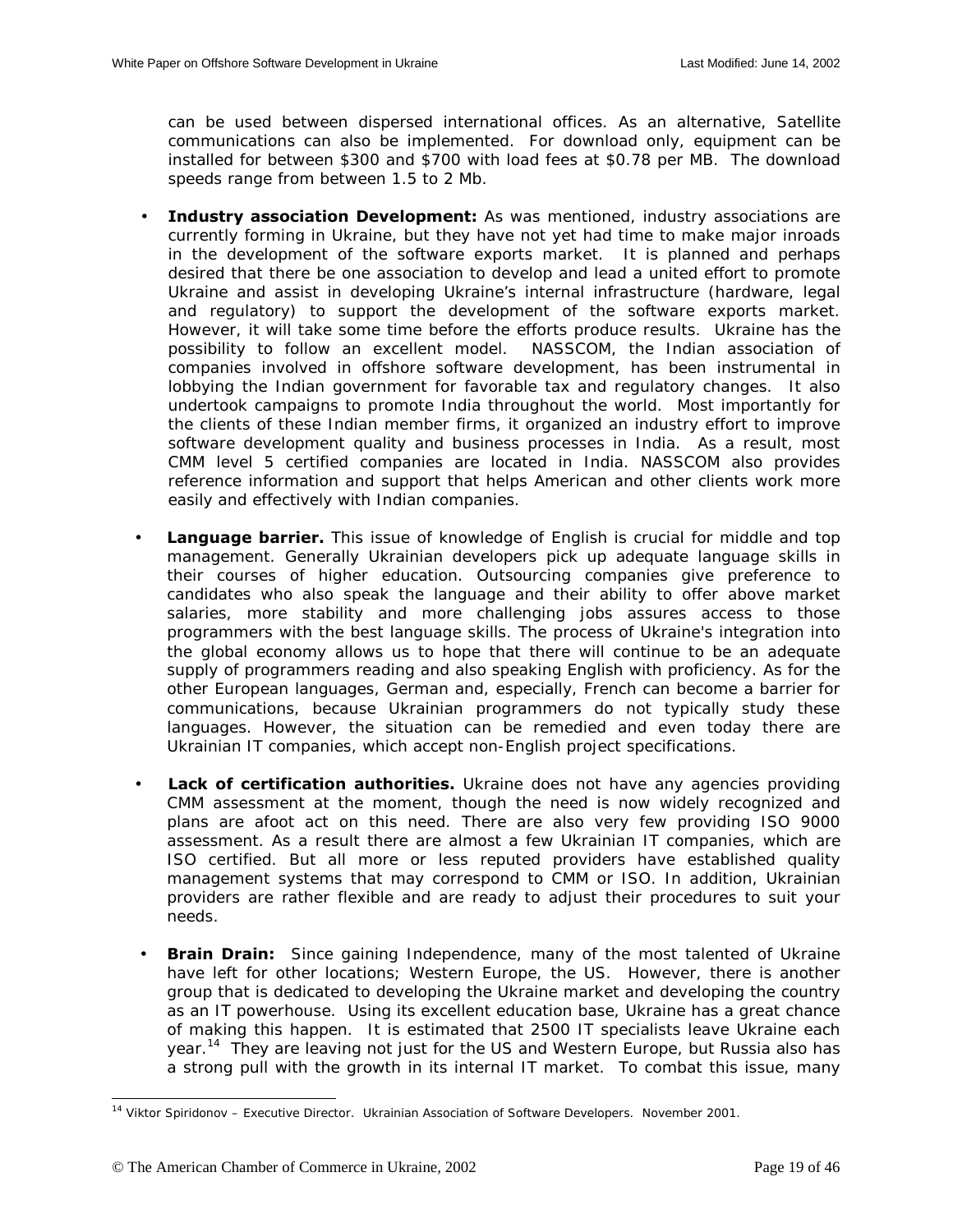can be used between dispersed international offices. As an alternative, Satellite communications can also be implemented. For download only, equipment can be installed for between \$300 and \$700 with load fees at \$0.78 per MB. The download speeds range from between 1.5 to 2 Mb.

- **Industry association Development:** As was mentioned, industry associations are currently forming in Ukraine, but they have not yet had time to make major inroads in the development of the software exports market. It is planned and perhaps desired that there be one association to develop and lead a united effort to promote Ukraine and assist in developing Ukraine's internal infrastructure (hardware, legal and regulatory) to support the development of the software exports market. However, it will take some time before the efforts produce results. Ukraine has the possibility to follow an excellent model. NASSCOM, the Indian association of companies involved in offshore software development, has been instrumental in lobbying the Indian government for favorable tax and regulatory changes. It also undertook campaigns to promote India throughout the world. Most importantly for the clients of these Indian member firms, it organized an industry effort to improve software development quality and business processes in India. As a result, most CMM level 5 certified companies are located in India. NASSCOM also provides reference information and support that helps American and other clients work more easily and effectively with Indian companies.
- **Language barrier.** This issue of knowledge of English is crucial for middle and top management. Generally Ukrainian developers pick up adequate language skills in their courses of higher education. Outsourcing companies give preference to candidates who also speak the language and their ability to offer above market salaries, more stability and more challenging jobs assures access to those programmers with the best language skills. The process of Ukraine's integration into the global economy allows us to hope that there will continue to be an adequate supply of programmers reading and also speaking English with proficiency. As for the other European languages, German and, especially, French can become a barrier for communications, because Ukrainian programmers do not typically study these languages. However, the situation can be remedied and even today there are Ukrainian IT companies, which accept non-English project specifications.
- **Lack of certification authorities.** Ukraine does not have any agencies providing CMM assessment at the moment, though the need is now widely recognized and plans are afoot act on this need. There are also very few providing ISO 9000 assessment. As a result there are almost a few Ukrainian IT companies, which are ISO certified. But all more or less reputed providers have established quality management systems that may correspond to CMM or ISO. In addition, Ukrainian providers are rather flexible and are ready to adjust their procedures to suit your needs.
- **Brain Drain:** Since gaining Independence, many of the most talented of Ukraine have left for other locations; Western Europe, the US. However, there is another group that is dedicated to developing the Ukraine market and developing the country as an IT powerhouse. Using its excellent education base, Ukraine has a great chance of making this happen. It is estimated that 2500 IT specialists leave Ukraine each year.<sup>14</sup> They are leaving not just for the US and Western Europe, but Russia also has a strong pull with the growth in its internal IT market. To combat this issue, many

 $\overline{\phantom{a}}$ 

<sup>14</sup> Viktor Spiridonov – Executive Director. Ukrainian Association of Software Developers. November 2001.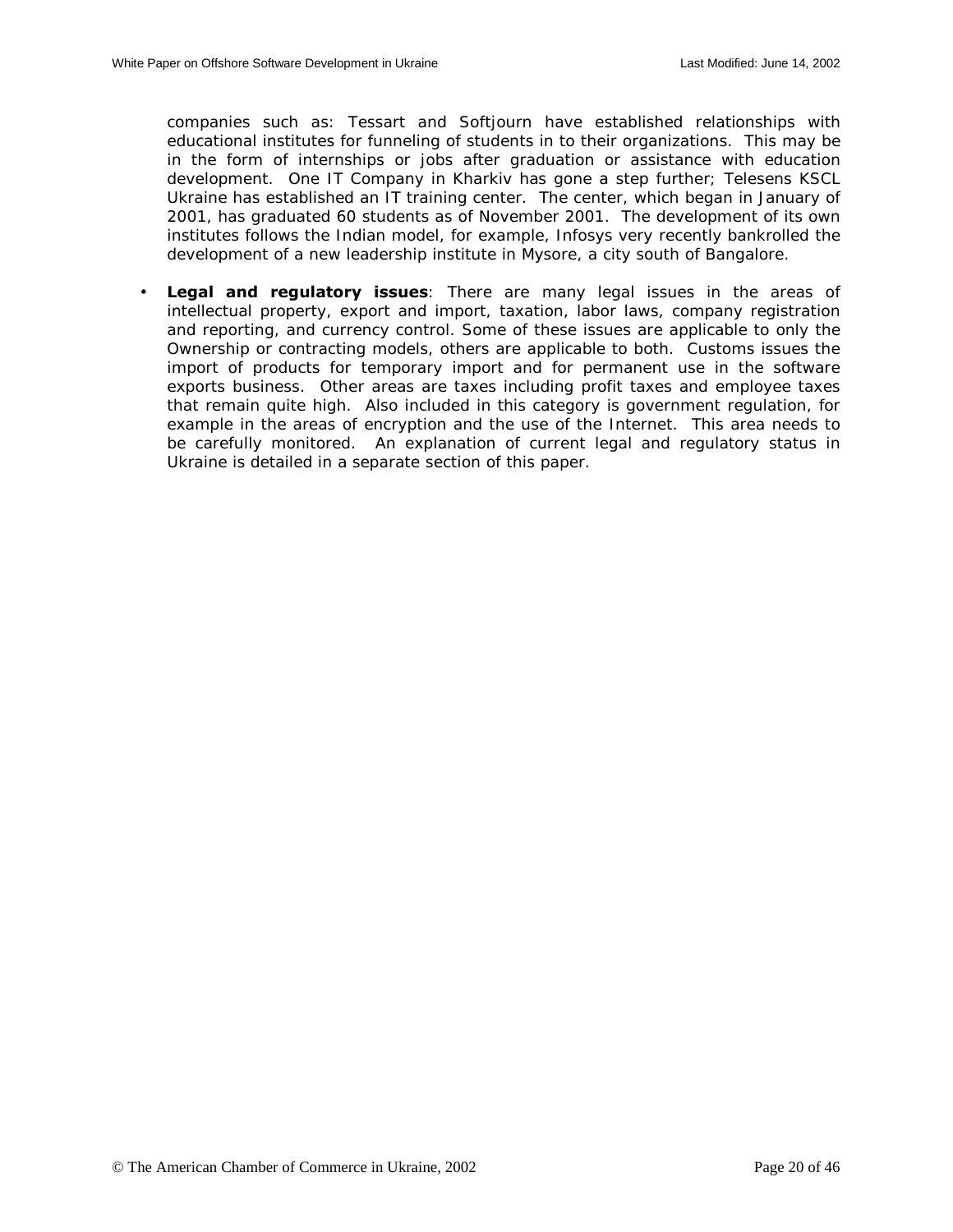companies such as: Tessart and Softjourn have established relationships with educational institutes for funneling of students in to their organizations. This may be in the form of internships or jobs after graduation or assistance with education development. One IT Company in Kharkiv has gone a step further; Telesens KSCL Ukraine has established an IT training center. The center, which began in January of 2001, has graduated 60 students as of November 2001. The development of its own institutes follows the Indian model, for example, Infosys very recently bankrolled the development of a new leadership institute in Mysore, a city south of Bangalore.

• **Legal and regulatory issues**: There are many legal issues in the areas of intellectual property, export and import, taxation, labor laws, company registration and reporting, and currency control. Some of these issues are applicable to only the Ownership or contracting models, others are applicable to both. Customs issues the import of products for temporary import and for permanent use in the software exports business. Other areas are taxes including profit taxes and employee taxes that remain quite high. Also included in this category is government regulation, for example in the areas of encryption and the use of the Internet. This area needs to be carefully monitored. An explanation of current legal and regulatory status in Ukraine is detailed in a separate section of this paper.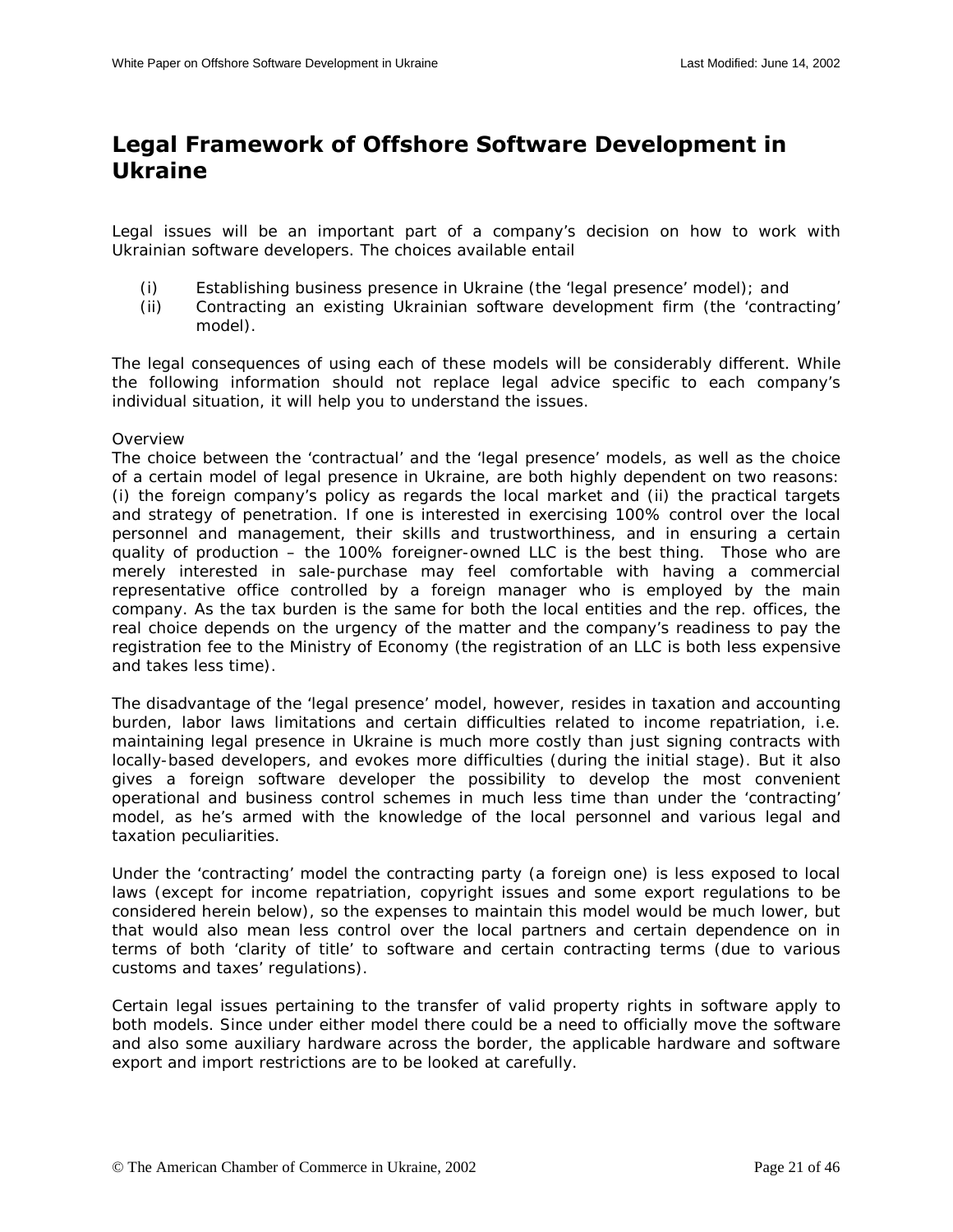## <span id="page-20-0"></span>**Legal Framework of Offshore Software Development in Ukraine**

Legal issues will be an important part of a company's decision on how to work with Ukrainian software developers. The choices available entail

- (i) Establishing business presence in Ukraine (the 'legal presence' model); and
- (ii) Contracting an existing Ukrainian software development firm (the 'contracting' model).

The legal consequences of using each of these models will be considerably different. While the following information should not replace legal advice specific to each company's individual situation, it will help you to understand the issues.

#### **Overview**

The choice between the 'contractual' and the 'legal presence' models, as well as the choice of a certain model of legal presence in Ukraine, are both highly dependent on two reasons: (i) the foreign company's policy as regards the local market and (ii) the practical targets and strategy of penetration. If one is interested in exercising 100% control over the local personnel and management, their skills and trustworthiness, and in ensuring a certain quality of production – the 100% foreigner-owned LLC is the best thing. Those who are merely interested in sale-purchase may feel comfortable with having a commercial representative office controlled by a foreign manager who is employed by the main company. As the tax burden is the same for both the local entities and the rep. offices, the real choice depends on the urgency of the matter and the company's readiness to pay the registration fee to the Ministry of Economy (the registration of an LLC is both less expensive and takes less time).

The disadvantage of the 'legal presence' model, however, resides in taxation and accounting burden, labor laws limitations and certain difficulties related to income repatriation, i.e. maintaining legal presence in Ukraine is much more costly than just signing contracts with locally-based developers, and evokes more difficulties (during the initial stage). But it also gives a foreign software developer the possibility to develop the most convenient operational and business control schemes in much less time than under the 'contracting' model, as he's armed with the knowledge of the local personnel and various legal and taxation peculiarities.

Under the 'contracting' model the contracting party (a foreign one) is less exposed to local laws (except for income repatriation, copyright issues and some export regulations to be considered herein below), so the expenses to maintain this model would be much lower, but that would also mean less control over the local partners and certain dependence on in terms of both 'clarity of title' to software and certain contracting terms (due to various customs and taxes' regulations).

Certain legal issues pertaining to the transfer of valid property rights in software apply to both models. Since under either model there could be a need to officially move the software and also some auxiliary hardware across the border, the applicable hardware and software export and import restrictions are to be looked at carefully.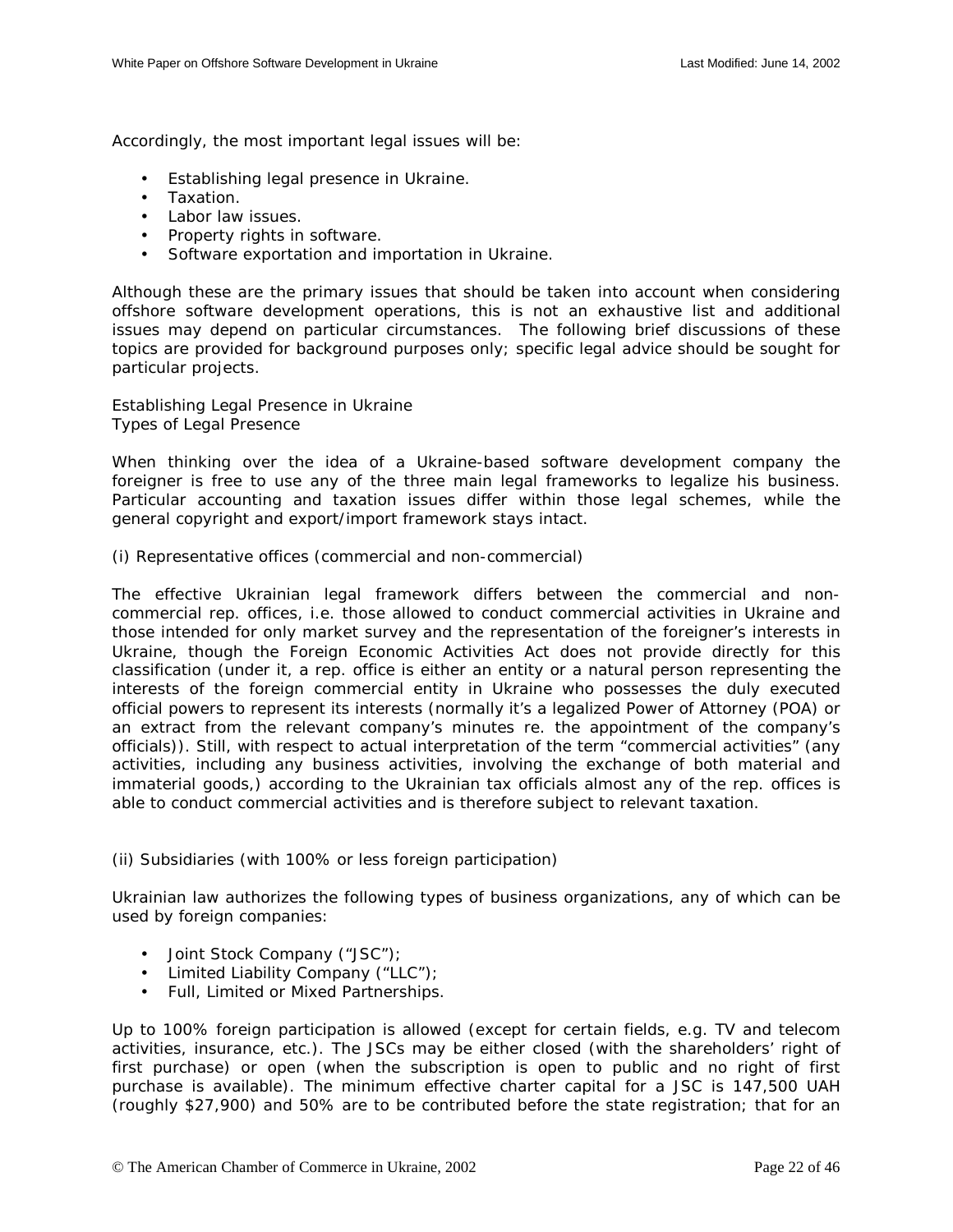<span id="page-21-0"></span>Accordingly, the most important legal issues will be:

- Establishing legal presence in Ukraine.
- Taxation.
- Labor law issues.
- Property rights in software.
- Software exportation and importation in Ukraine.

Although these are the primary issues that should be taken into account when considering offshore software development operations, this is not an exhaustive list and additional issues may depend on particular circumstances. The following brief discussions of these topics are provided for background purposes only; specific legal advice should be sought for particular projects.

Establishing Legal Presence in Ukraine *Types of Legal Presence* 

When thinking over the idea of a Ukraine-based software development company the foreigner is free to use any of the three main legal frameworks to legalize his business. Particular accounting and taxation issues differ within those legal schemes, while the general copyright and export/import framework stays intact.

(i) Representative offices (commercial and non-commercial)

The effective Ukrainian legal framework differs between the commercial and noncommercial rep. offices, i.e. those allowed to conduct commercial activities in Ukraine and those intended for only market survey and the representation of the foreigner's interests in Ukraine, though the Foreign Economic Activities Act does not provide directly for this classification (under it, a rep. office is either an entity or a natural person representing the interests of the foreign commercial entity in Ukraine who possesses the duly executed official powers to represent its interests (normally it's a legalized Power of Attorney (POA) or an extract from the relevant company's minutes re. the appointment of the company's officials)). Still, with respect to actual interpretation of the term "commercial activities" (any activities, including any business activities, involving the exchange of both material and immaterial goods,) according to the Ukrainian tax officials almost any of the rep. offices is able to conduct commercial activities and is therefore subject to relevant taxation.

#### (ii) Subsidiaries (with 100% or less foreign participation)

Ukrainian law authorizes the following types of business organizations, any of which can be used by foreign companies:

- Joint Stock Company ("JSC");
- Limited Liability Company ("LLC");
- Full, Limited or Mixed Partnerships.

Up to 100% foreign participation is allowed (except for certain fields, e.g. TV and telecom activities, insurance, etc.). The JSCs may be either closed (with the shareholders' right of first purchase) or open (when the subscription is open to public and no right of first purchase is available). The minimum effective charter capital for a JSC is 147,500 UAH (roughly \$27,900) and 50% are to be contributed before the state registration; that for an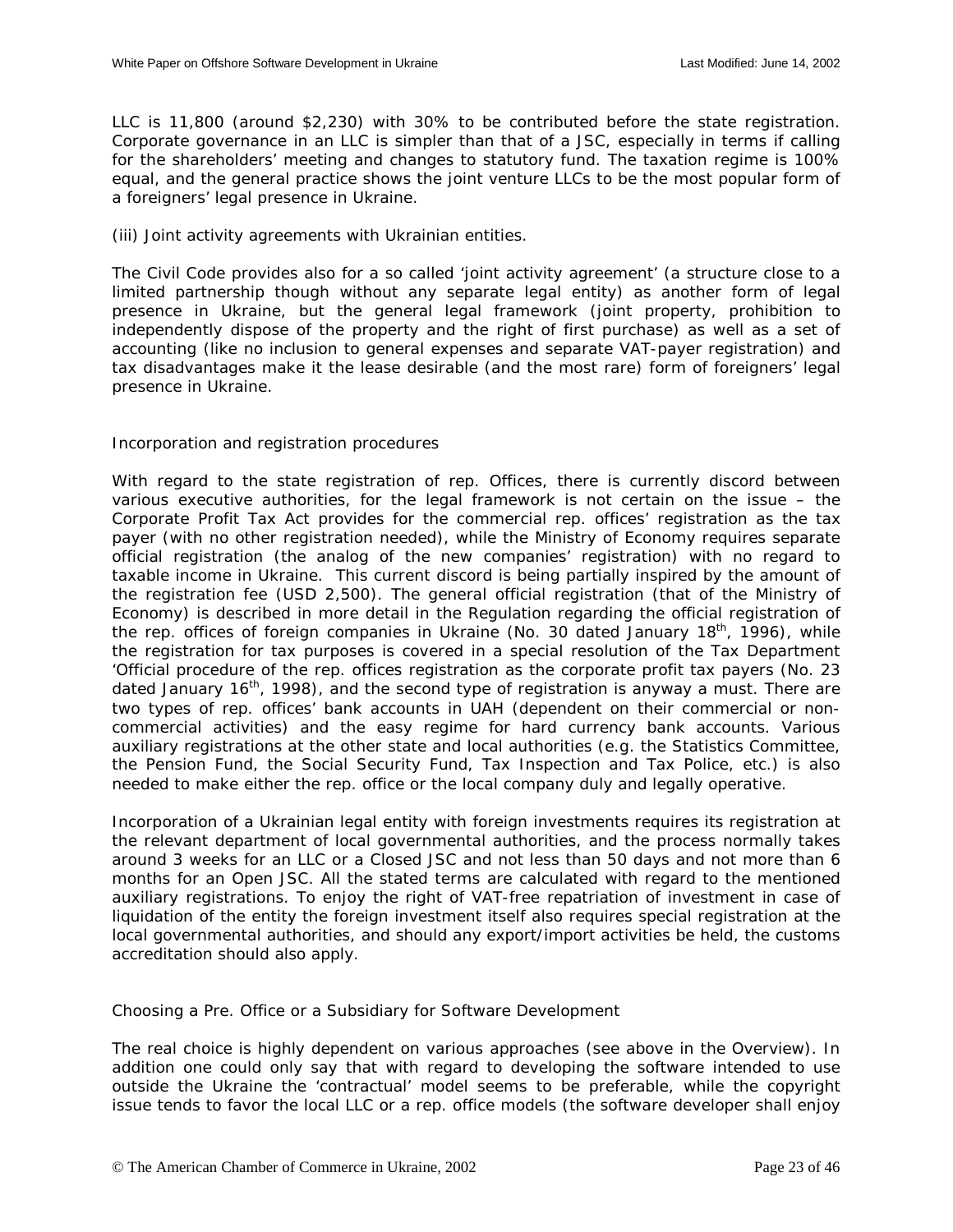LLC is 11,800 (around \$2,230) with 30% to be contributed before the state registration. Corporate governance in an LLC is simpler than that of a JSC, especially in terms if calling for the shareholders' meeting and changes to statutory fund. The taxation regime is 100% equal, and the general practice shows the joint venture LLCs to be the most popular form of a foreigners' legal presence in Ukraine.

(iii) Joint activity agreements with Ukrainian entities.

The Civil Code provides also for a so called 'joint activity agreement' (a structure close to a limited partnership though without any separate legal entity) as another form of legal presence in Ukraine, but the general legal framework (joint property, prohibition to independently dispose of the property and the right of first purchase) as well as a set of accounting (like no inclusion to general expenses and separate VAT-payer registration) and tax disadvantages make it the lease desirable (and the most rare) form of foreigners' legal presence in Ukraine.

## *Incorporation and registration procedures*

With regard to the state registration of rep. Offices, there is currently discord between various executive authorities, for the legal framework is not certain on the issue – the Corporate Profit Tax Act provides for the commercial rep. offices' registration as the tax payer (with no other registration needed), while the Ministry of Economy requires separate official registration (the analog of the new companies' registration) with no regard to taxable income in Ukraine. This current discord is being partially inspired by the amount of the registration fee (USD 2,500). The general official registration (that of the Ministry of Economy) is described in more detail in the Regulation regarding the official registration of the rep. offices of foreign companies in Ukraine (No. 30 dated January  $18<sup>th</sup>$ , 1996), while the registration for tax purposes is covered in a special resolution of the Tax Department 'Official procedure of the rep. offices registration as the corporate profit tax payers (No. 23 dated January 16<sup>th</sup>, 1998), and the second type of registration is anyway a must. There are two types of rep. offices' bank accounts in UAH (dependent on their commercial or noncommercial activities) and the easy regime for hard currency bank accounts. Various auxiliary registrations at the other state and local authorities (e.g. the Statistics Committee, the Pension Fund, the Social Security Fund, Tax Inspection and Tax Police, etc.) is also needed to make either the rep. office or the local company duly and legally operative.

Incorporation of a Ukrainian legal entity with foreign investments requires its registration at the relevant department of local governmental authorities, and the process normally takes around 3 weeks for an LLC or a Closed JSC and not less than 50 days and not more than 6 months for an Open JSC. All the stated terms are calculated with regard to the mentioned auxiliary registrations. To enjoy the right of VAT-free repatriation of investment in case of liquidation of the entity the foreign investment itself also requires special registration at the local governmental authorities, and should any export/import activities be held, the customs accreditation should also apply.

Choosing a Pre. Office or a Subsidiary for Software Development

The real choice is highly dependent on various approaches (see above in the *Overview*). In addition one could only say that with regard to developing the software intended to use outside the Ukraine the 'contractual' model seems to be preferable, while the copyright issue tends to favor the local LLC or a rep. office models (the software developer shall enjoy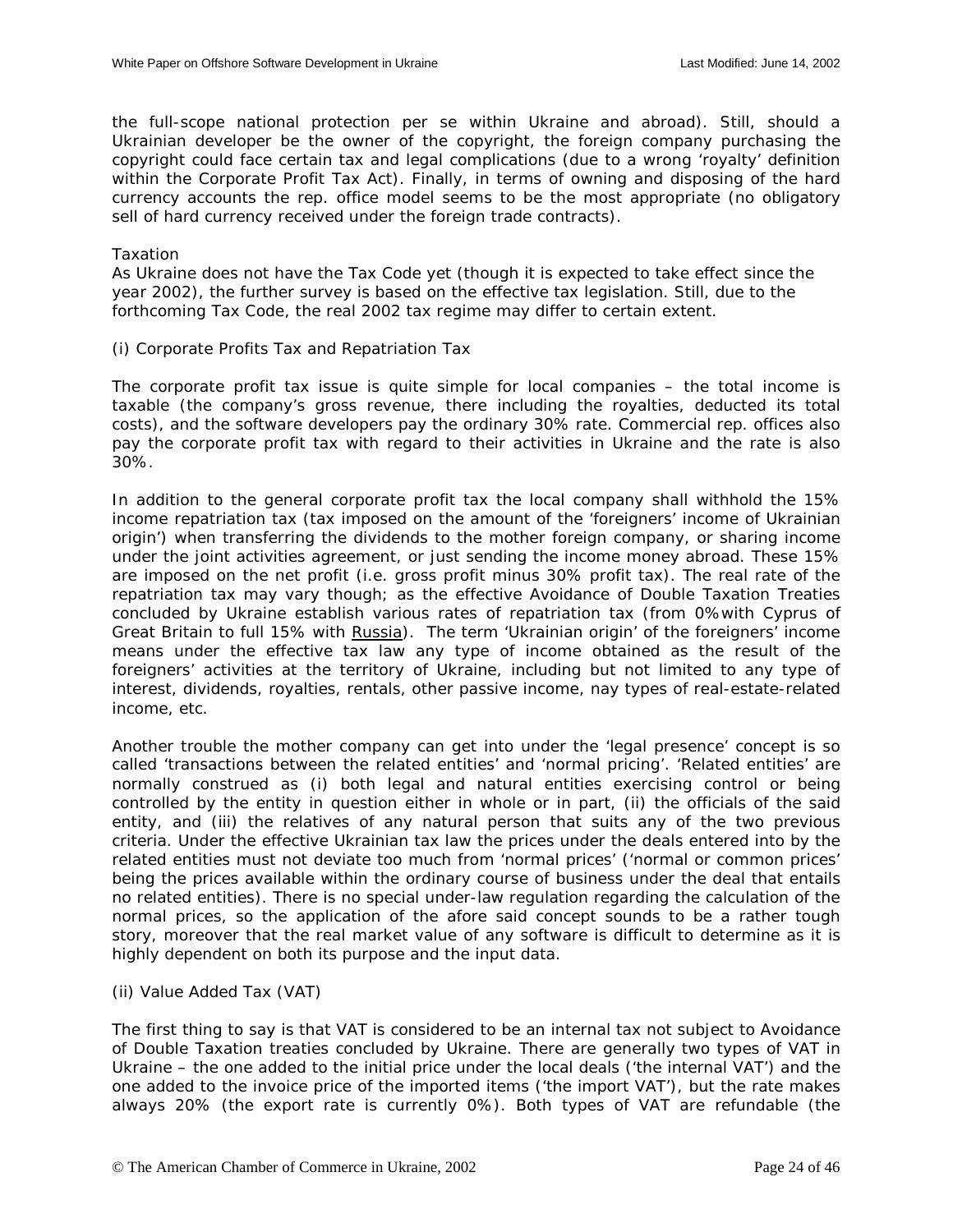<span id="page-23-0"></span>the full-scope national protection *per se* within Ukraine and abroad). Still, should a Ukrainian developer be the owner of the copyright, the foreign company purchasing the copyright could face certain tax and legal complications (due to a wrong 'royalty' definition within the Corporate Profit Tax Act). Finally, in terms of owning and disposing of the hard currency accounts the rep. office model seems to be the most appropriate (no obligatory sell of hard currency received under the foreign trade contracts).

#### Taxation

As Ukraine does not have the Tax Code yet (though it is expected to take effect since the year 2002), the further survey is based on the effective tax legislation. Still, due to the forthcoming Tax Code, the real 2002 tax regime may differ to certain extent.

(i) Corporate Profits Tax and Repatriation Tax

The corporate profit tax issue is quite simple for local companies – the total income is taxable (the company's gross revenue, there including the royalties, deducted its total costs), and the software developers pay the ordinary 30% rate. Commercial rep. offices also pay the corporate profit tax with regard to their activities in Ukraine and the rate is also 30%.

In addition to the general corporate profit tax the local company shall withhold the 15% income repatriation tax (tax imposed on the amount of the 'foreigners' income of Ukrainian origin') when transferring the dividends to the mother foreign company, or sharing income under the joint activities agreement, or just sending the income money abroad. These 15% are imposed on the net profit (i.e. gross profit minus 30% profit tax). The real rate of the repatriation tax may vary though; as the effective Avoidance of Double Taxation Treaties concluded by Ukraine establish various rates of repatriation tax (from 0%with Cyprus of Great Britain to full 15% with Russia). The term 'Ukrainian origin' of the foreigners' income means under the effective tax law any type of income obtained as the result of the foreigners' activities at the territory of Ukraine, including but not limited to any type of interest, dividends, royalties, rentals, other passive income, nay types of real-estate-related income, etc.

Another trouble the mother company can get into under the 'legal presence' concept is so called 'transactions between the related entities' and 'normal pricing'. 'Related entities' are normally construed as (i) both legal and natural entities exercising control or being controlled by the entity in question either in whole or in part, (ii) the officials of the said entity, and (iii) the relatives of any natural person that suits any of the two previous criteria. Under the effective Ukrainian tax law the prices under the deals entered into by the related entities must not deviate too much from 'normal prices' ('normal or common prices' being the prices available within the ordinary course of business under the deal that entails no related entities). There is no special under-law regulation regarding the calculation of the normal prices, so the application of the afore said concept sounds to be a rather tough story, moreover that the real market value of any software is difficult to determine as it is highly dependent on both its purpose and the input data.

(ii) Value Added Tax (VAT)

The first thing to say is that VAT is considered to be an internal tax not subject to Avoidance of Double Taxation treaties concluded by Ukraine. There are generally two types of VAT in Ukraine – the one added to the initial price under the local deals ('the internal VAT') and the one added to the invoice price of the imported items ('the import VAT'), but the rate makes always 20% (the export rate is currently 0%). Both types of VAT are refundable (the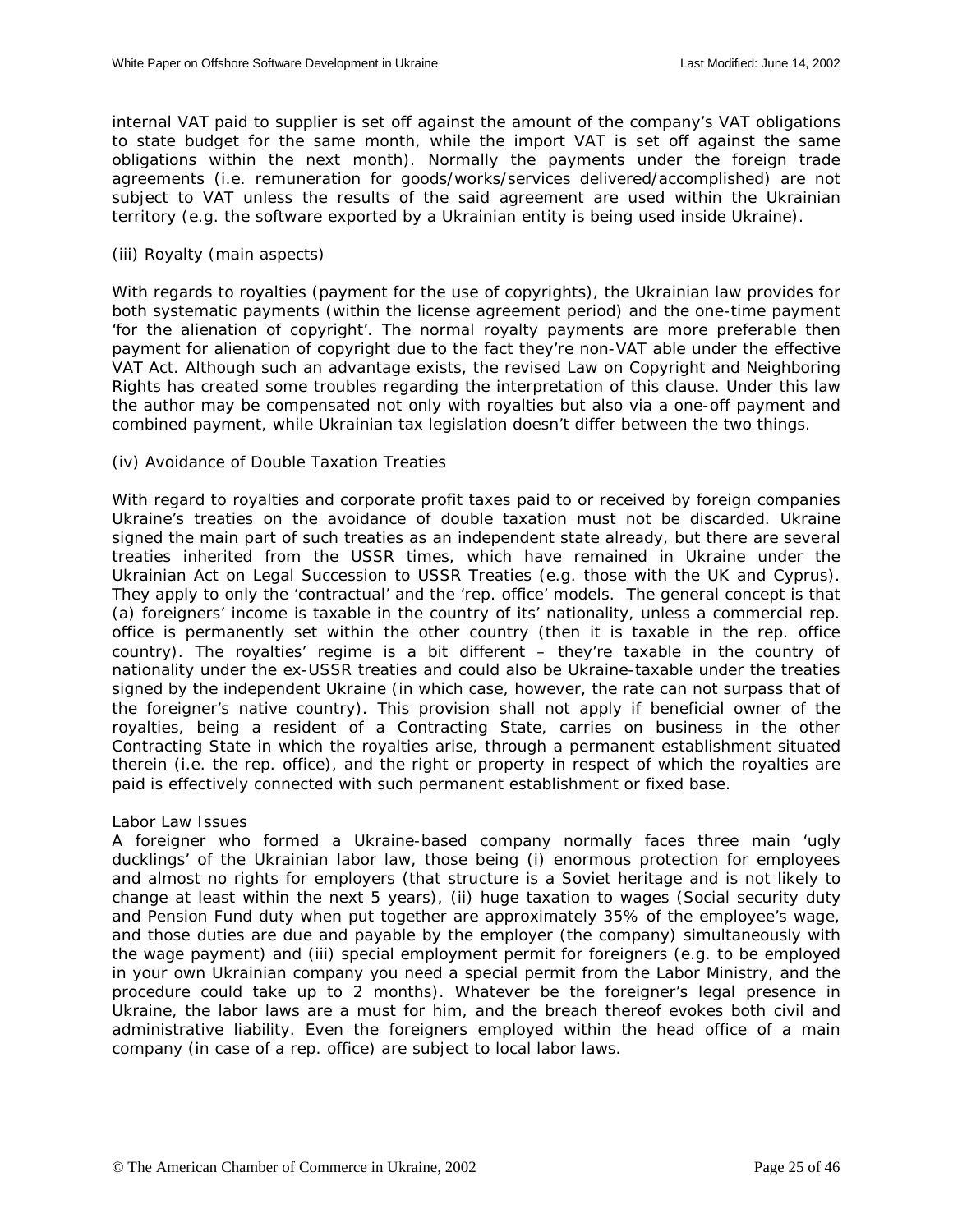<span id="page-24-0"></span>internal VAT paid to supplier is set off against the amount of the company's VAT obligations to state budget for the same month, while the import VAT is set off against the same obligations within the next month). Normally the payments under the foreign trade agreements (i.e. remuneration for goods/works/services delivered/accomplished) are not subject to VAT unless the results of the said agreement are used within the Ukrainian territory (e.g. the software exported by a Ukrainian entity is being used inside Ukraine).

## (iii) Royalty (main aspects)

With regards to royalties (payment for the use of copyrights), the Ukrainian law provides for both systematic payments (within the license agreement period) and the one-time payment 'for the alienation of copyright'. The normal royalty payments are more preferable then payment for alienation of copyright due to the fact they're non-VAT able under the effective VAT Act. Although such an advantage exists, the revised Law on Copyright and Neighboring Rights has created some troubles regarding the interpretation of this clause. Under this law the author may be compensated not only with royalties but also via a one-off payment and combined payment, while Ukrainian tax legislation doesn't differ between the two things.

## (iv) Avoidance of Double Taxation Treaties

With regard to royalties and corporate profit taxes paid to or received by foreign companies Ukraine's treaties on the avoidance of double taxation must not be discarded. Ukraine signed the main part of such treaties as an independent state already, but there are several treaties inherited from the USSR times, which have remained in Ukraine under the Ukrainian Act on Legal Succession to USSR Treaties (e.g. those with the UK and Cyprus). They apply to only the 'contractual' and the 'rep. office' models. The general concept is that (a) foreigners' income is taxable in the country of its' nationality, unless a commercial rep. office is permanently set within the other country (then it is taxable in the rep. office country). The royalties' regime is a bit different – they're taxable in the country of nationality under the ex-USSR treaties and could also be Ukraine-taxable under the treaties signed by the independent Ukraine (in which case, however, the rate can not surpass that of the foreigner's native country). This provision shall not apply if beneficial owner of the royalties, being a resident of a Contracting State, carries on business in the other Contracting State in which the royalties arise, through a permanent establishment situated therein (i.e. the rep. office), and the right or property in respect of which the royalties are paid is effectively connected with such permanent establishment or fixed base.

#### Labor Law Issues

A foreigner who formed a Ukraine-based company normally faces three main 'ugly ducklings' of the Ukrainian labor law, those being (i) enormous protection for employees and almost no rights for employers (that structure is a Soviet heritage and is not likely to change at least within the next 5 years), (ii) huge taxation to wages (Social security duty and Pension Fund duty when put together are approximately 35% of the employee's wage, and those duties are due and payable by the employer (the company) simultaneously with the wage payment) and (iii) special employment permit for foreigners (e.g. to be employed in your own Ukrainian company you need a special permit from the Labor Ministry, and the procedure could take up to 2 months). Whatever be the foreigner's legal presence in Ukraine, the labor laws are a must for him, and the breach thereof evokes both civil and administrative liability. Even the foreigners employed within the head office of a main company (in case of a rep. office) are subject to local labor laws.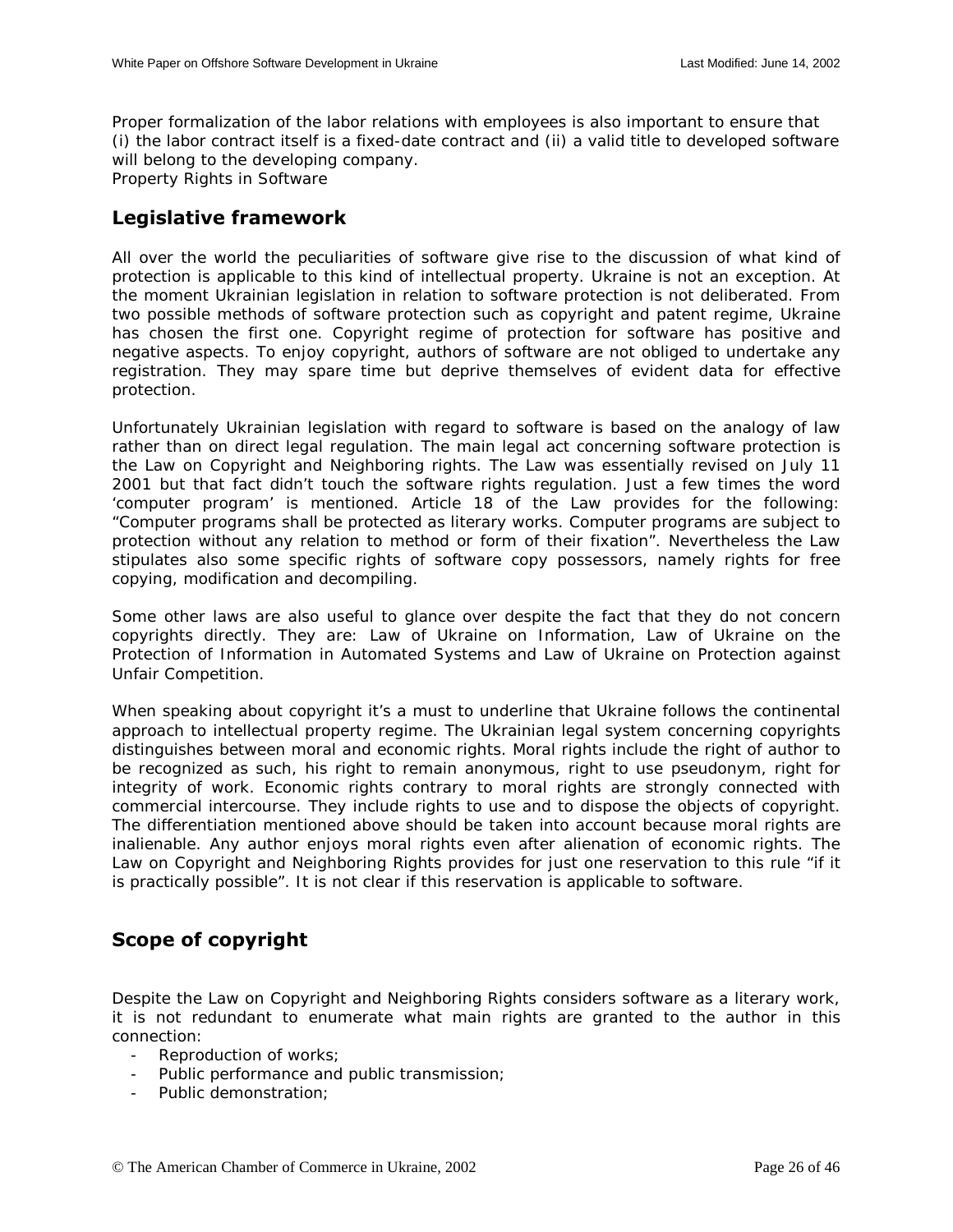<span id="page-25-0"></span>Proper formalization of the labor relations with employees is also important to ensure that (i) the labor contract itself is a fixed-date contract and (ii) a valid title to developed software will belong to the developing company. Property Rights in Software

## **Legislative framework**

All over the world the peculiarities of software give rise to the discussion of what kind of protection is applicable to this kind of intellectual property. Ukraine is not an exception. At the moment Ukrainian legislation in relation to software protection is not deliberated. From two possible methods of software protection such as copyright and patent regime, Ukraine has chosen the first one. Copyright regime of protection for software has positive and negative aspects. To enjoy copyright, authors of software are not obliged to undertake any registration. They may spare time but deprive themselves of evident data for effective protection.

Unfortunately Ukrainian legislation with regard to software is based on the analogy of law rather than on direct legal regulation. The main legal act concerning software protection is the Law on Copyright and Neighboring rights. The Law was essentially revised on July 11 2001 but that fact didn't touch the software rights regulation. Just a few times the word 'computer program' is mentioned. Article 18 of the Law provides for the following: "Computer programs shall be protected as literary works. Computer programs are subject to protection without any relation to method or form of their fixation". Nevertheless the Law stipulates also some specific rights of software copy possessors, namely rights for free copying, modification and decompiling.

Some other laws are also useful to glance over despite the fact that they do not concern copyrights directly. They are: Law of Ukraine on Information, Law of Ukraine on the Protection of Information in Automated Systems and Law of Ukraine on Protection against Unfair Competition.

When speaking about copyright it's a must to underline that Ukraine follows the continental approach to intellectual property regime. The Ukrainian legal system concerning copyrights distinguishes between moral and economic rights. Moral rights include the right of author to be recognized as such, his right to remain anonymous, right to use pseudonym, right for integrity of work. Economic rights contrary to moral rights are strongly connected with commercial intercourse. They include rights to use and to dispose the objects of copyright. The differentiation mentioned above should be taken into account because moral rights are inalienable. Any author enjoys moral rights even after alienation of economic rights. The Law on Copyright and Neighboring Rights provides for just one reservation to this rule "if it is practically possible". It is not clear if this reservation is applicable to software.

## **Scope of copyright**

Despite the Law on Copyright and Neighboring Rights considers software as a literary work, it is not redundant to enumerate what main rights are granted to the author in this connection:

- Reproduction of works;
- Public performance and public transmission;
- Public demonstration;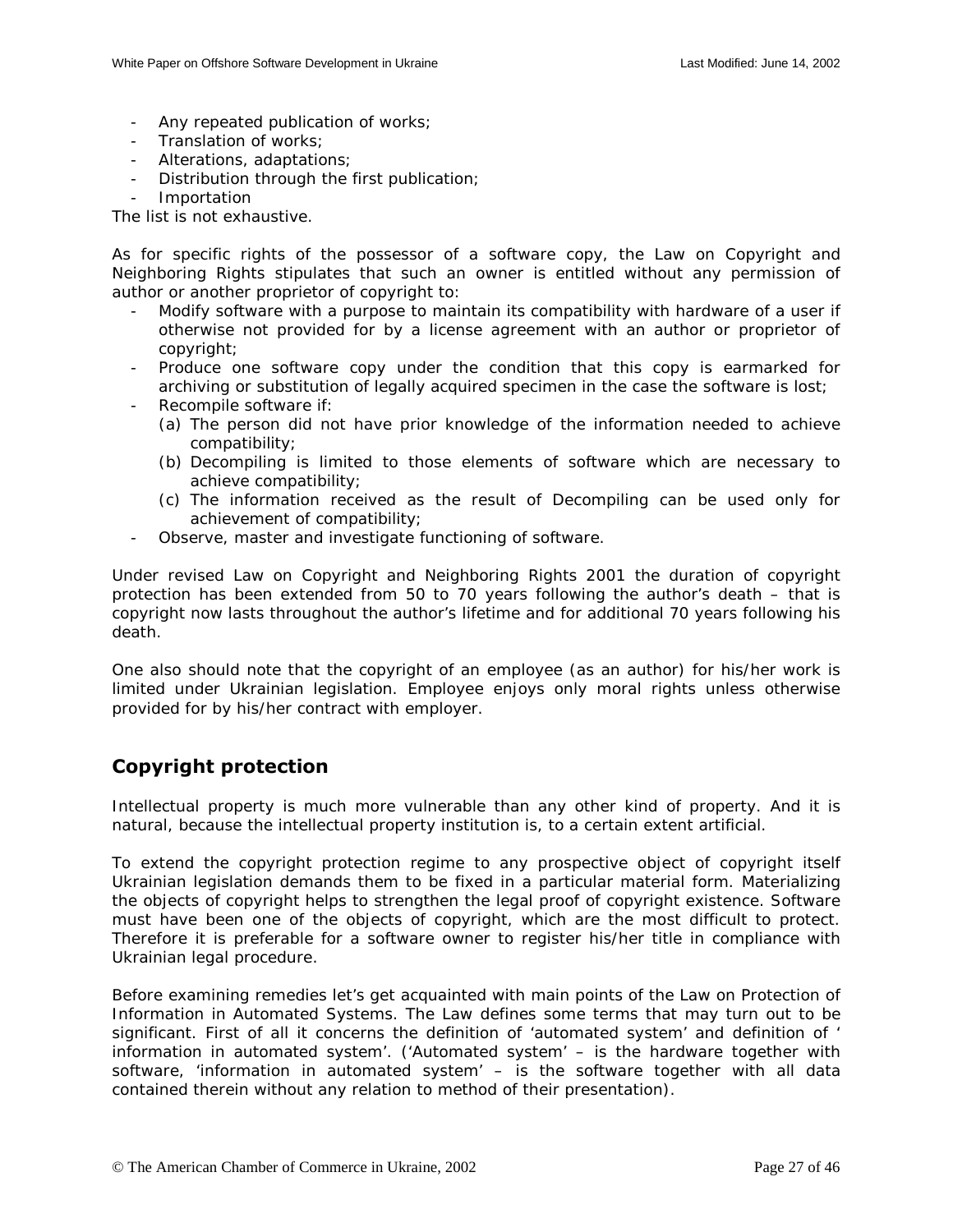- <span id="page-26-0"></span>- Any repeated publication of works;
- Translation of works;
- Alterations, adaptations;
- Distribution through the first publication;
- Importation

The list is not exhaustive.

As for specific rights of the possessor of a software copy, the Law on Copyright and Neighboring Rights stipulates that such an owner is entitled without any permission of author or another proprietor of copyright to:

- Modify software with a purpose to maintain its compatibility with hardware of a user if otherwise not provided for by a license agreement with an author or proprietor of copyright;
- Produce one software copy under the condition that this copy is earmarked for archiving or substitution of legally acquired specimen in the case the software is lost;
- Recompile software if:
	- (a) The person did not have prior knowledge of the information needed to achieve compatibility;
	- (b) Decompiling is limited to those elements of software which are necessary to achieve compatibility;
	- (c) The information received as the result of Decompiling can be used only for achievement of compatibility;
- Observe, master and investigate functioning of software.

Under revised Law on Copyright and Neighboring Rights 2001 the duration of copyright protection has been extended from 50 to 70 years following the author's death – that is copyright now lasts throughout the author's lifetime and for additional 70 years following his death.

One also should note that the copyright of an employee (as an author) for his/her work is limited under Ukrainian legislation. Employee enjoys only moral rights unless otherwise provided for by his/her contract with employer.

## **Copyright protection**

Intellectual property is much more vulnerable than any other kind of property. And it is natural, because the intellectual property institution is, to a certain extent artificial.

To extend the copyright protection regime to any prospective object of copyright itself Ukrainian legislation demands them to be fixed in a particular material form. Materializing the objects of copyright helps to strengthen the legal proof of copyright existence. Software must have been one of the objects of copyright, which are the most difficult to protect. Therefore it is preferable for a software owner to register his/her title in compliance with Ukrainian legal procedure.

Before examining remedies let's get acquainted with main points of the Law on Protection of Information in Automated Systems. The Law defines some terms that may turn out to be significant. First of all it concerns the definition of 'automated system' and definition of ' information in automated system'. ('Automated system' – is the hardware together with software, 'information in automated system' – is the software together with all data contained therein without any relation to method of their presentation).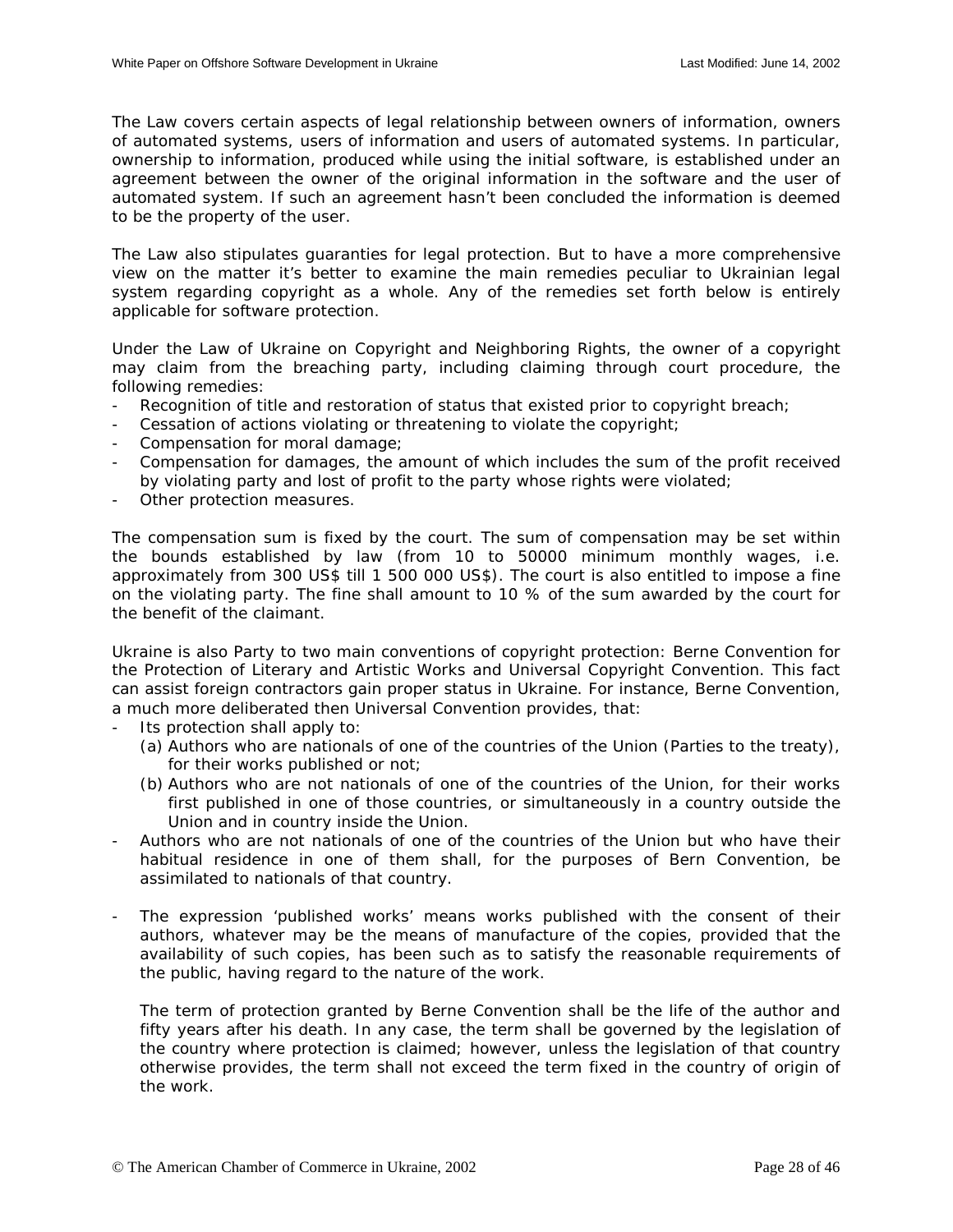The Law covers certain aspects of legal relationship between owners of information, owners of automated systems, users of information and users of automated systems. In particular, ownership to information, produced while using the initial software, is established under an agreement between the owner of the original information in the software and the user of automated system. If such an agreement hasn't been concluded the information is deemed to be the property of the user.

The Law also stipulates guaranties for legal protection. But to have a more comprehensive view on the matter it's better to examine the main remedies peculiar to Ukrainian legal system regarding copyright as a whole. Any of the remedies set forth below is entirely applicable for software protection.

Under the Law of Ukraine on Copyright and Neighboring Rights, the owner of a copyright may claim from the breaching party, including claiming through court procedure, the following remedies:

- Recognition of title and restoration of status that existed prior to copyright breach;
- Cessation of actions violating or threatening to violate the copyright;
- Compensation for moral damage;
- Compensation for damages, the amount of which includes the sum of the profit received by violating party and lost of profit to the party whose rights were violated;
- Other protection measures.

The compensation sum is fixed by the court. The sum of compensation may be set within the bounds established by law (from 10 to 50000 minimum monthly wages, i.e. approximately from 300 US\$ till 1 500 000 US\$). The court is also entitled to impose a fine on the violating party. The fine shall amount to 10 % of the sum awarded by the court for the benefit of the claimant.

Ukraine is also Party to two main conventions of copyright protection: Berne Convention for the Protection of Literary and Artistic Works and Universal Copyright Convention. This fact can assist foreign contractors gain proper status in Ukraine. For instance, Berne Convention, a much more deliberated then Universal Convention provides, that:

- Its protection shall apply to:
	- (a) Authors who are nationals of one of the countries of the Union (Parties to the treaty), for their works published or not;
	- (b) Authors who are not nationals of one of the countries of the Union, for their works first published in one of those countries, or simultaneously in a country outside the Union and in country inside the Union.
- Authors who are not nationals of one of the countries of the Union but who have their habitual residence in one of them shall, for the purposes of Bern Convention, be assimilated to nationals of that country.
- The expression 'published works' means works published with the consent of their authors, whatever may be the means of manufacture of the copies, provided that the availability of such copies, has been such as to satisfy the reasonable requirements of the public, having regard to the nature of the work.

The term of protection granted by Berne Convention shall be the life of the author and fifty years after his death. In any case, the term shall be governed by the legislation of the country where protection is claimed; however, unless the legislation of that country otherwise provides, the term shall not exceed the term fixed in the country of origin of the work.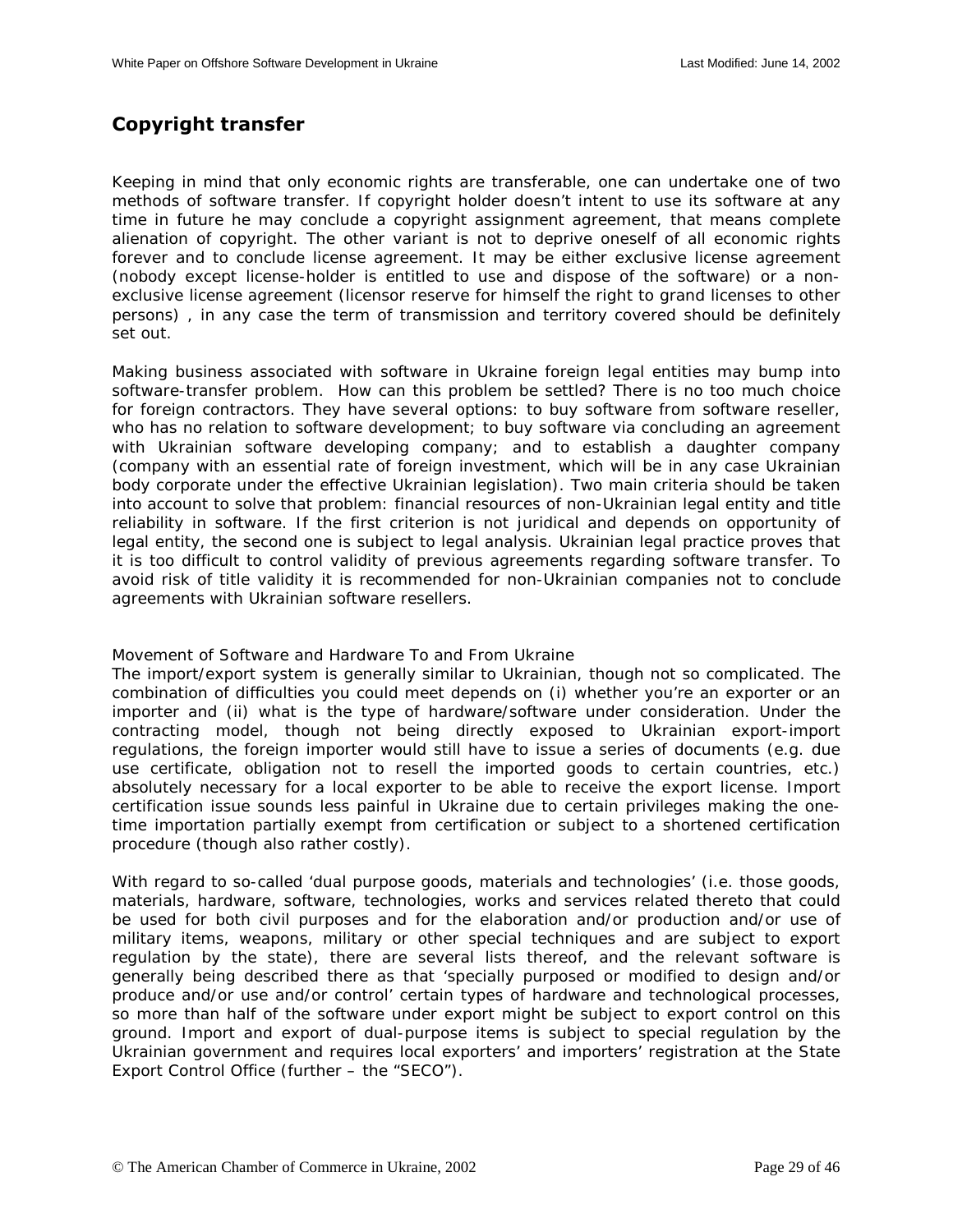## <span id="page-28-0"></span>**Copyright transfer**

Keeping in mind that only economic rights are transferable, one can undertake one of two methods of software transfer. If copyright holder doesn't intent to use its software at any time in future he may conclude a copyright assignment agreement, that means complete alienation of copyright. The other variant is not to deprive oneself of all economic rights forever and to conclude license agreement. It may be either exclusive license agreement (nobody except license-holder is entitled to use and dispose of the software) or a nonexclusive license agreement (licensor reserve for himself the right to grand licenses to other persons) , in any case the term of transmission and territory covered should be definitely set out.

Making business associated with software in Ukraine foreign legal entities may bump into software-transfer problem. How can this problem be settled? There is no too much choice for foreign contractors. They have several options: to buy software from software reseller, who has no relation to software development; to buy software via concluding an agreement with Ukrainian software developing company; and to establish a daughter company (company with an essential rate of foreign investment, which will be in any case Ukrainian body corporate under the effective Ukrainian legislation). Two main criteria should be taken into account to solve that problem: financial resources of non-Ukrainian legal entity and title reliability in software. If the first criterion is not juridical and depends on opportunity of legal entity, the second one is subject to legal analysis. Ukrainian legal practice proves that it is too difficult to control validity of previous agreements regarding software transfer. To avoid risk of title validity it is recommended for non-Ukrainian companies not to conclude agreements with Ukrainian software resellers.

Movement of Software and Hardware To and From Ukraine

The import/export system is generally similar to Ukrainian, though not so complicated. The combination of difficulties you could meet depends on (i) whether you're an exporter or an importer and (ii) what is the type of hardware/software under consideration. Under the contracting model, though not being directly exposed to Ukrainian export-import regulations, the foreign importer would still have to issue a series of documents (e.g. due use certificate, obligation not to resell the imported goods to certain countries, etc.) absolutely necessary for a local exporter to be able to receive the export license. Import certification issue sounds less painful in Ukraine due to certain privileges making the onetime importation partially exempt from certification or subject to a shortened certification procedure (though also rather costly).

With regard to so-called 'dual purpose goods, materials and technologies' (i.e. those goods, materials, hardware, software, technologies, works and services related thereto that could be used for both civil purposes and for the elaboration and/or production and/or use of military items, weapons, military or other special techniques and are subject to export regulation by the state), there are several lists thereof, and the relevant software is generally being described there as that 'specially purposed or modified to design and/or produce and/or use and/or control' certain types of hardware and technological processes, so more than half of the software under export might be subject to export control on this ground. Import and export of dual-purpose items is subject to special regulation by the Ukrainian government and requires local exporters' and importers' registration at the State Export Control Office (further – the "SECO").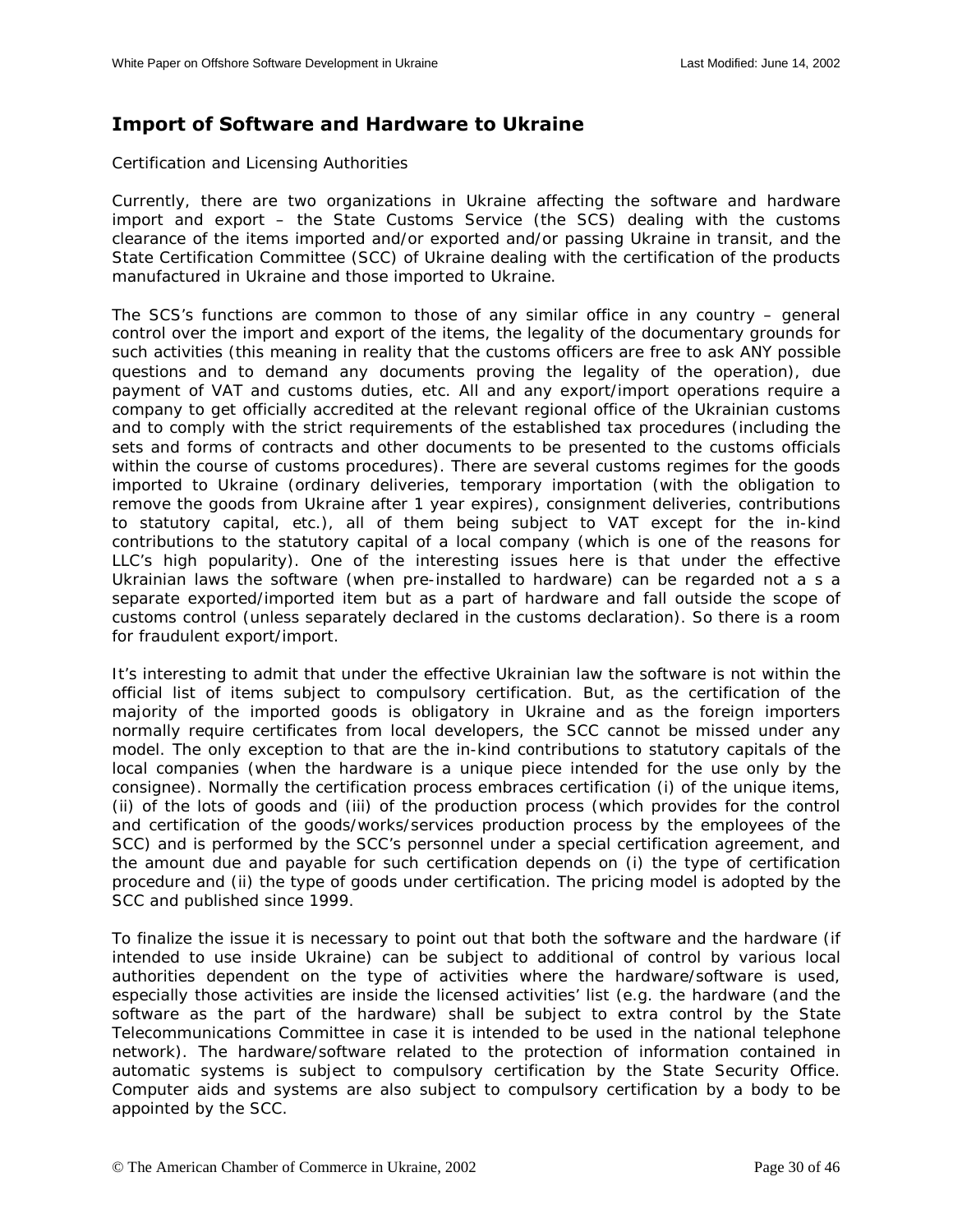## <span id="page-29-0"></span>**Import of Software and Hardware to Ukraine**

Certification and Licensing Authorities

Currently, there are two organizations in Ukraine affecting the software and hardware import and export – the State Customs Service (the SCS) dealing with the customs clearance of the items imported and/or exported and/or passing Ukraine in transit, and the State Certification Committee (SCC) of Ukraine dealing with the certification of the products manufactured in Ukraine and those imported to Ukraine.

The SCS's functions are common to those of any similar office in any country – general control over the import and export of the items, the legality of the documentary grounds for such activities (this meaning in reality that the customs officers are free to ask ANY possible questions and to demand any documents proving the legality of the operation), due payment of VAT and customs duties, etc. All and any export/import operations require a company to get officially accredited at the relevant regional office of the Ukrainian customs and to comply with the strict requirements of the established tax procedures (including the sets and forms of contracts and other documents to be presented to the customs officials within the course of customs procedures). There are several customs regimes for the goods imported to Ukraine (ordinary deliveries, temporary importation (with the obligation to remove the goods from Ukraine after 1 year expires), consignment deliveries, contributions to statutory capital, etc.), all of them being subject to VAT except for the in-kind contributions to the statutory capital of a local company (which is one of the reasons for LLC's high popularity). One of the interesting issues here is that under the effective Ukrainian laws the software (when pre-installed to hardware) can be regarded not a s a separate exported/imported item but as a part of hardware and fall outside the scope of customs control (unless separately declared in the customs declaration). So there is a room for fraudulent export/import.

It's interesting to admit that under the effective Ukrainian law the software is not within the official list of items subject to compulsory certification. But, as the certification of the majority of the imported goods is obligatory in Ukraine and as the foreign importers normally require certificates from local developers, the SCC cannot be missed under any model. The only exception to that are the in-kind contributions to statutory capitals of the local companies (when the hardware is a unique piece intended for the use only by the consignee). Normally the certification process embraces certification (i) of the unique items, (ii) of the lots of goods and (iii) of the production process (which provides for the control and certification of the goods/works/services production process by the employees of the SCC) and is performed by the SCC's personnel under a special certification agreement, and the amount due and payable for such certification depends on (i) the type of certification procedure and (ii) the type of goods under certification. The pricing model is adopted by the SCC and published since 1999.

To finalize the issue it is necessary to point out that both the software and the hardware (if intended to use inside Ukraine) can be subject to additional of control by various local authorities dependent on the type of activities where the hardware/software is used, especially those activities are inside the licensed activities' list (e.g. the hardware (and the software as the part of the hardware) shall be subject to extra control by the State Telecommunications Committee in case it is intended to be used in the national telephone network). The hardware/software related to the protection of information contained in automatic systems is subject to compulsory certification by the State Security Office. Computer aids and systems are also subject to compulsory certification by a body to be appointed by the SCC.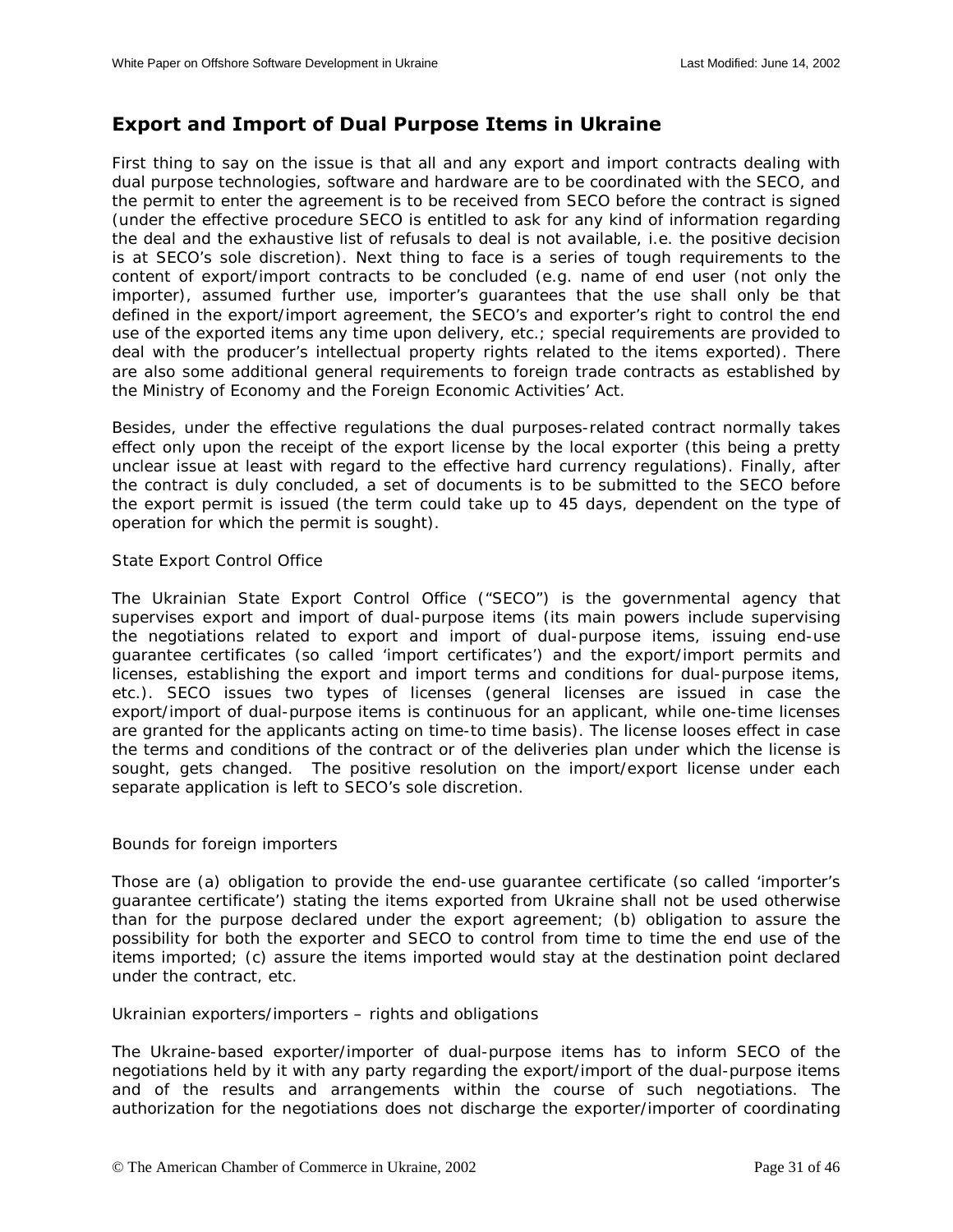## <span id="page-30-0"></span>**Export and Import of Dual Purpose Items in Ukraine**

First thing to say on the issue is that all and any export and import contracts dealing with dual purpose technologies, software and hardware are to be coordinated with the SECO, and the permit to enter the agreement is to be received from SECO before the contract is signed (under the effective procedure SECO is entitled to ask for any kind of information regarding the deal and the exhaustive list of refusals to deal is not available, i.e. the positive decision is at SECO's sole discretion). Next thing to face is a series of tough requirements to the content of export/import contracts to be concluded (e.g. name of end user (not only the importer), assumed further use, importer's guarantees that the use shall only be that defined in the export/import agreement, the SECO's and exporter's right to control the end use of the exported items any time upon delivery, etc.; special requirements are provided to deal with the producer's intellectual property rights related to the items exported). There are also some additional general requirements to foreign trade contracts as established by the Ministry of Economy and the Foreign Economic Activities' Act.

Besides, under the effective regulations the dual purposes-related contract normally takes effect only upon the receipt of the export license by the local exporter (this being a pretty unclear issue at least with regard to the effective hard currency regulations). Finally, after the contract is duly concluded, a set of documents is to be submitted to the SECO before the export permit is issued (the term could take up to 45 days, dependent on the type of operation for which the permit is sought).

#### State Export Control Office

The Ukrainian State Export Control Office ("SECO") is the governmental agency that supervises export and import of dual-purpose items (its main powers include supervising the negotiations related to export and import of dual-purpose items, issuing end-use guarantee certificates (so called 'import certificates') and the export/import permits and licenses, establishing the export and import terms and conditions for dual-purpose items, etc.). SECO issues two types of licenses (general licenses are issued in case the export/import of dual-purpose items is continuous for an applicant, while one-time licenses are granted for the applicants acting on time-to time basis). The license looses effect in case the terms and conditions of the contract or of the deliveries plan under which the license is sought, gets changed. The positive resolution on the import/export license under each separate application is left to SECO's sole discretion.

#### Bounds for foreign importers

Those are (a) obligation to provide the end-use guarantee certificate (so called 'importer's guarantee certificate') stating the items exported from Ukraine shall not be used otherwise than for the purpose declared under the export agreement; (b) obligation to assure the possibility for both the exporter and SECO to control from time to time the end use of the items imported; (c) assure the items imported would stay at the destination point declared under the contract, etc.

#### Ukrainian exporters/importers – rights and obligations

The Ukraine-based exporter/importer of dual-purpose items has to inform SECO of the negotiations held by it with any party regarding the export/import of the dual-purpose items and of the results and arrangements within the course of such negotiations. The authorization for the negotiations does not discharge the exporter/importer of coordinating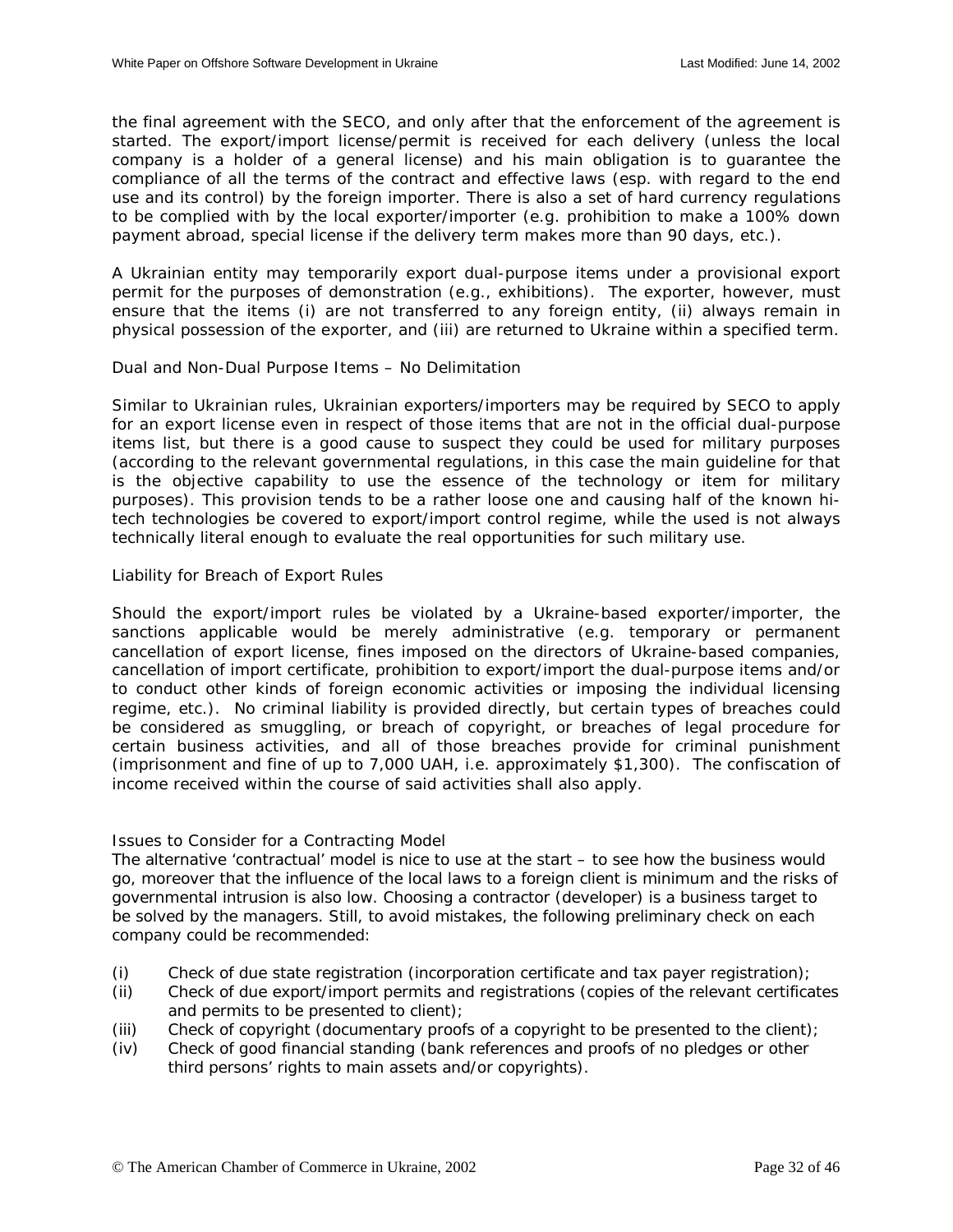<span id="page-31-0"></span>the final agreement with the SECO, and only after that the enforcement of the agreement is started. The export/import license/permit is received for each delivery (unless the local company is a holder of a general license) and his main obligation is to guarantee the compliance of all the terms of the contract and effective laws (esp. with regard to the end use and its control) by the foreign importer. There is also a set of hard currency regulations to be complied with by the local exporter/importer (e.g. prohibition to make a 100% down payment abroad, special license if the delivery term makes more than 90 days, etc.).

A Ukrainian entity may temporarily export dual-purpose items under a provisional export permit for the purposes of demonstration (e.g., exhibitions). The exporter, however, must ensure that the items (i) are not transferred to any foreign entity, (ii) always remain in physical possession of the exporter, and (iii) are returned to Ukraine within a specified term.

## Dual and Non-Dual Purpose Items – No Delimitation

Similar to Ukrainian rules, Ukrainian exporters/importers may be required by SECO to apply for an export license even in respect of those items that are not in the official dual-purpose items list, but there is a good cause to suspect they could be used for military purposes (according to the relevant governmental regulations, in this case the main guideline for that is the objective capability to use the essence of the technology or item for military purposes). This provision tends to be a rather loose one and causing half of the known hitech technologies be covered to export/import control regime, while the used is not always technically literal enough to evaluate the real opportunities for such military use.

## Liability for Breach of Export Rules

Should the export/import rules be violated by a Ukraine-based exporter/importer, the sanctions applicable would be merely administrative (e.g. temporary or permanent cancellation of export license, fines imposed on the directors of Ukraine-based companies, cancellation of import certificate, prohibition to export/import the dual-purpose items and/or to conduct other kinds of foreign economic activities or imposing the individual licensing regime, etc.). No criminal liability is provided directly, but certain types of breaches could be considered as smuggling, or breach of copyright, or breaches of legal procedure for certain business activities, and all of those breaches provide for criminal punishment (imprisonment and fine of up to 7,000 UAH, i.e. approximately \$1,300). The confiscation of income received within the course of said activities shall also apply.

## Issues to Consider for a Contracting Model

The alternative 'contractual' model is nice to use at the start – to see how the business would go, moreover that the influence of the local laws to a foreign client is minimum and the risks of governmental intrusion is also low. Choosing a contractor (developer) is a business target to be solved by the managers. Still, to avoid mistakes, the following preliminary check on each company could be recommended:

- (i) Check of due state registration (incorporation certificate and tax payer registration);
- (ii) Check of due export/import permits and registrations (copies of the relevant certificates and permits to be presented to client);
- (iii) Check of copyright (documentary proofs of a copyright to be presented to the client);
- (iv) Check of good financial standing (bank references and proofs of no pledges or other third persons' rights to main assets and/or copyrights).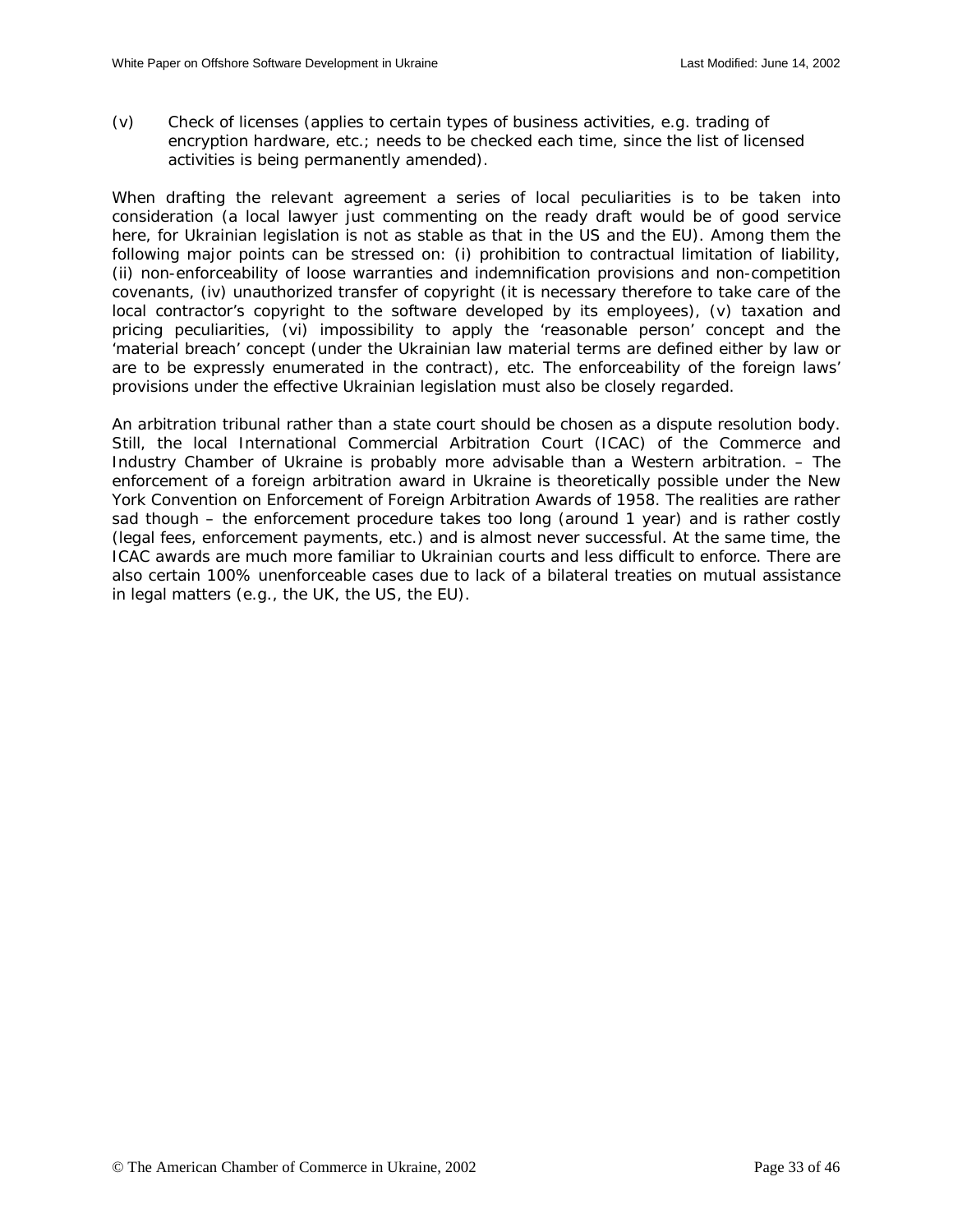(v) Check of licenses (applies to certain types of business activities, e.g. trading of encryption hardware, etc.; needs to be checked each time, since the list of licensed activities is being permanently amended).

When drafting the relevant agreement a series of local peculiarities is to be taken into consideration (a local lawyer just commenting on the ready draft would be of good service here, for Ukrainian legislation is not as stable as that in the US and the EU). Among them the following major points can be stressed on: (i) prohibition to contractual limitation of liability, (ii) non-enforceability of loose warranties and indemnification provisions and non-competition covenants, (iv) unauthorized transfer of copyright (it is necessary therefore to take care of the local contractor's copyright to the software developed by its employees), (v) taxation and pricing peculiarities, (vi) impossibility to apply the 'reasonable person' concept and the 'material breach' concept (under the Ukrainian law material terms are defined either by law or are to be expressly enumerated in the contract), etc. The enforceability of the foreign laws' provisions under the effective Ukrainian legislation must also be closely regarded.

An arbitration tribunal rather than a state court should be chosen as a dispute resolution body. Still, the local International Commercial Arbitration Court (ICAC) of the Commerce and Industry Chamber of Ukraine is probably more advisable than a Western arbitration. – The enforcement of a foreign arbitration award in Ukraine is theoretically possible under the New York Convention on Enforcement of Foreign Arbitration Awards of 1958. The realities are rather sad though – the enforcement procedure takes too long (around 1 year) and is rather costly (legal fees, enforcement payments, etc.) and is almost never successful. At the same time, the ICAC awards are much more familiar to Ukrainian courts and less difficult to enforce. There are also certain 100% unenforceable cases due to lack of a bilateral treaties on mutual assistance in legal matters (e.g., the UK, the US, the EU).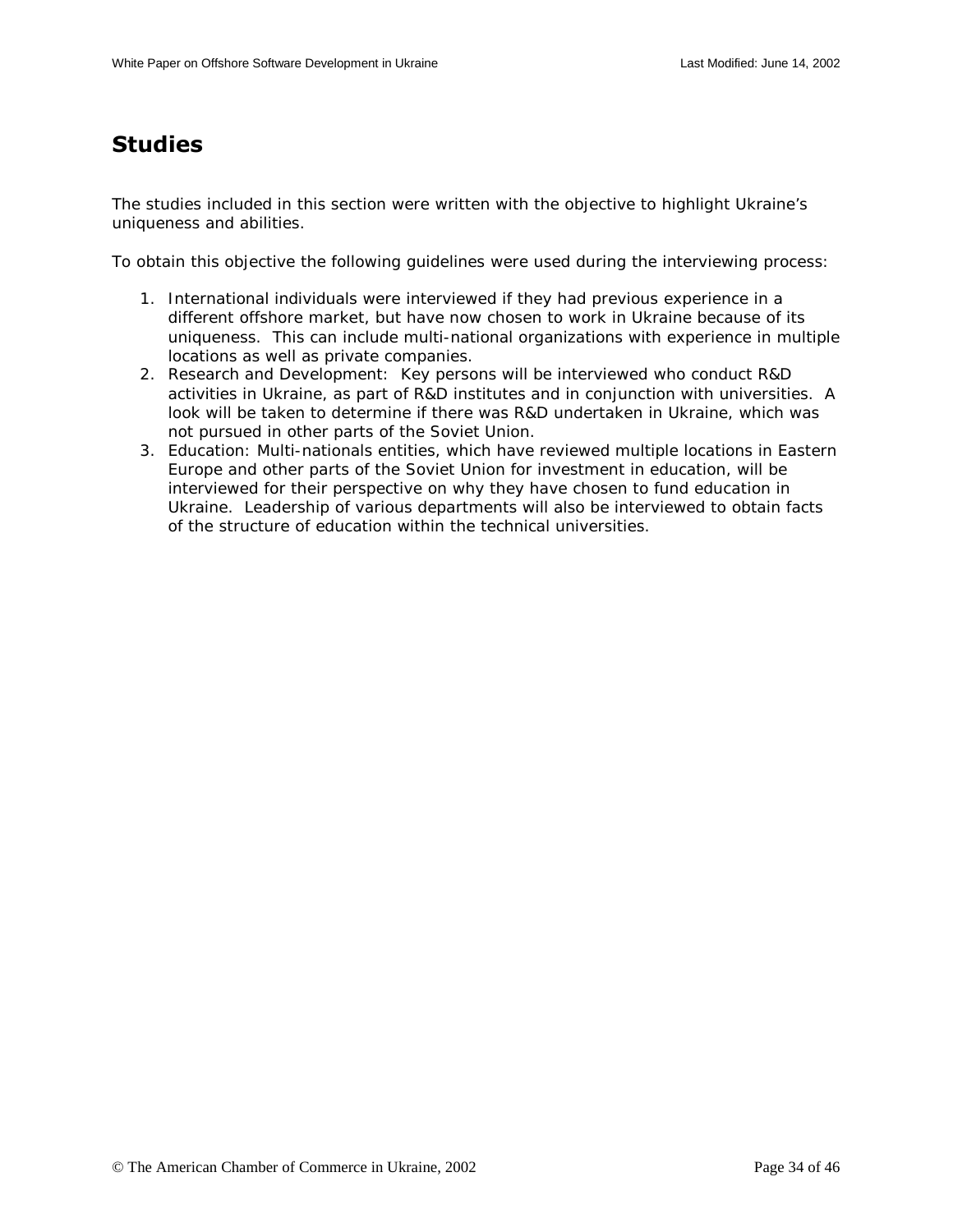# <span id="page-33-0"></span>**Studies**

The studies included in this section were written with the objective to highlight Ukraine's uniqueness and abilities.

To obtain this objective the following guidelines were used during the interviewing process:

- 1. International individuals were interviewed if they had previous experience in a different offshore market, but have now chosen to work in Ukraine because of its uniqueness. This can include multi-national organizations with experience in multiple locations as well as private companies.
- 2. Research and Development: Key persons will be interviewed who conduct R&D activities in Ukraine, as part of R&D institutes and in conjunction with universities. A look will be taken to determine if there was R&D undertaken in Ukraine, which was not pursued in other parts of the Soviet Union.
- 3. Education: Multi-nationals entities, which have reviewed multiple locations in Eastern Europe and other parts of the Soviet Union for investment in education, will be interviewed for their perspective on why they have chosen to fund education in Ukraine. Leadership of various departments will also be interviewed to obtain facts of the structure of education within the technical universities.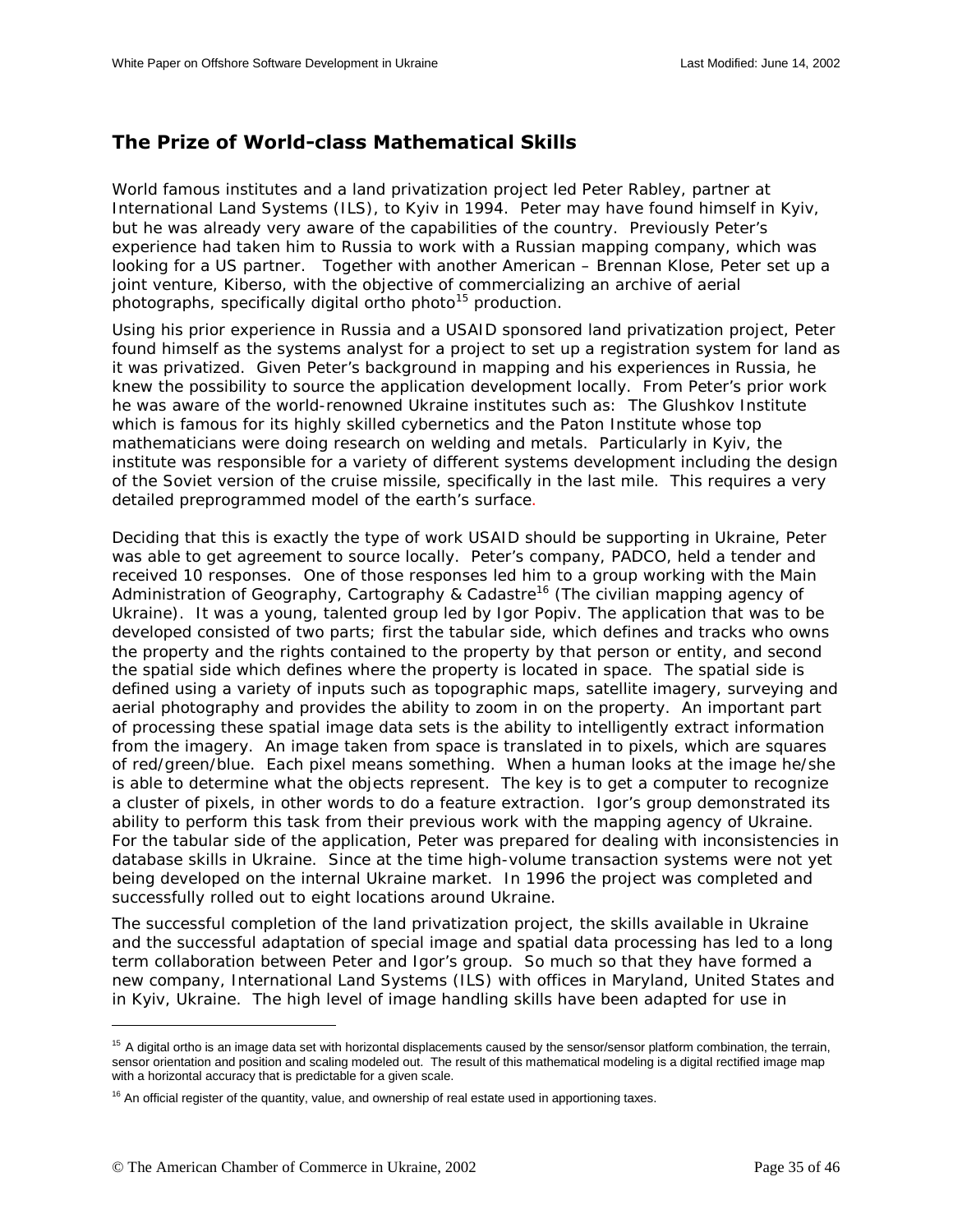## <span id="page-34-0"></span>**The Prize of World-class Mathematical Skills**

World famous institutes and a land privatization project led Peter Rabley, partner at International Land Systems (ILS), to Kyiv in 1994. Peter may have found himself in Kyiv, but he was already very aware of the capabilities of the country. Previously Peter's experience had taken him to Russia to work with a Russian mapping company, which was looking for a US partner. Together with another American – Brennan Klose, Peter set up a joint venture, Kiberso, with the objective of commercializing an archive of aerial photographs, specifically digital ortho photo<sup>15</sup> production.

Using his prior experience in Russia and a USAID sponsored land privatization project, Peter found himself as the systems analyst for a project to set up a registration system for land as it was privatized. Given Peter's background in mapping and his experiences in Russia, he knew the possibility to source the application development locally. From Peter's prior work he was aware of the world-renowned Ukraine institutes such as: The Glushkov Institute which is famous for its highly skilled cybernetics and the Paton Institute whose top mathematicians were doing research on welding and metals. Particularly in Kyiv, the institute was responsible for a variety of different systems development including the design of the Soviet version of the cruise missile, specifically in the last mile. This requires a very detailed preprogrammed model of the earth's surface.

Deciding that this is exactly the type of work USAID should be supporting in Ukraine, Peter was able to get agreement to source locally. Peter's company, PADCO, held a tender and received 10 responses. One of those responses led him to a group working with the Main Administration of Geography, Cartography & Cadastre<sup>16</sup> (The civilian mapping agency of Ukraine). It was a young, talented group led by Igor Popiv. The application that was to be developed consisted of two parts; first the tabular side, which defines and tracks who owns the property and the rights contained to the property by that person or entity, and second the spatial side which defines where the property is located in space. The spatial side is defined using a variety of inputs such as topographic maps, satellite imagery, surveying and aerial photography and provides the ability to zoom in on the property. An important part of processing these spatial image data sets is the ability to intelligently extract information from the imagery. An image taken from space is translated in to pixels, which are squares of red/green/blue. Each pixel means something. When a human looks at the image he/she is able to determine what the objects represent. The key is to get a computer to recognize a cluster of pixels, in other words to do a feature extraction. Igor's group demonstrated its ability to perform this task from their previous work with the mapping agency of Ukraine. For the tabular side of the application, Peter was prepared for dealing with inconsistencies in database skills in Ukraine. Since at the time high-volume transaction systems were not yet being developed on the internal Ukraine market. In 1996 the project was completed and successfully rolled out to eight locations around Ukraine.

The successful completion of the land privatization project, the skills available in Ukraine and the successful adaptation of special image and spatial data processing has led to a long term collaboration between Peter and Igor's group. So much so that they have formed a new company, International Land Systems (ILS) with offices in Maryland, United States and in Kyiv, Ukraine. The high level of image handling skills have been adapted for use in

 $\overline{\phantom{a}}$ 

<sup>&</sup>lt;sup>15</sup> A digital ortho is an image data set with horizontal displacements caused by the sensor/sensor platform combination, the terrain, sensor orientation and position and scaling modeled out. The result of this mathematical modeling is a digital rectified image map with a horizontal accuracy that is predictable for a given scale.

 $16$  An official register of the quantity, value, and ownership of real estate used in apportioning taxes.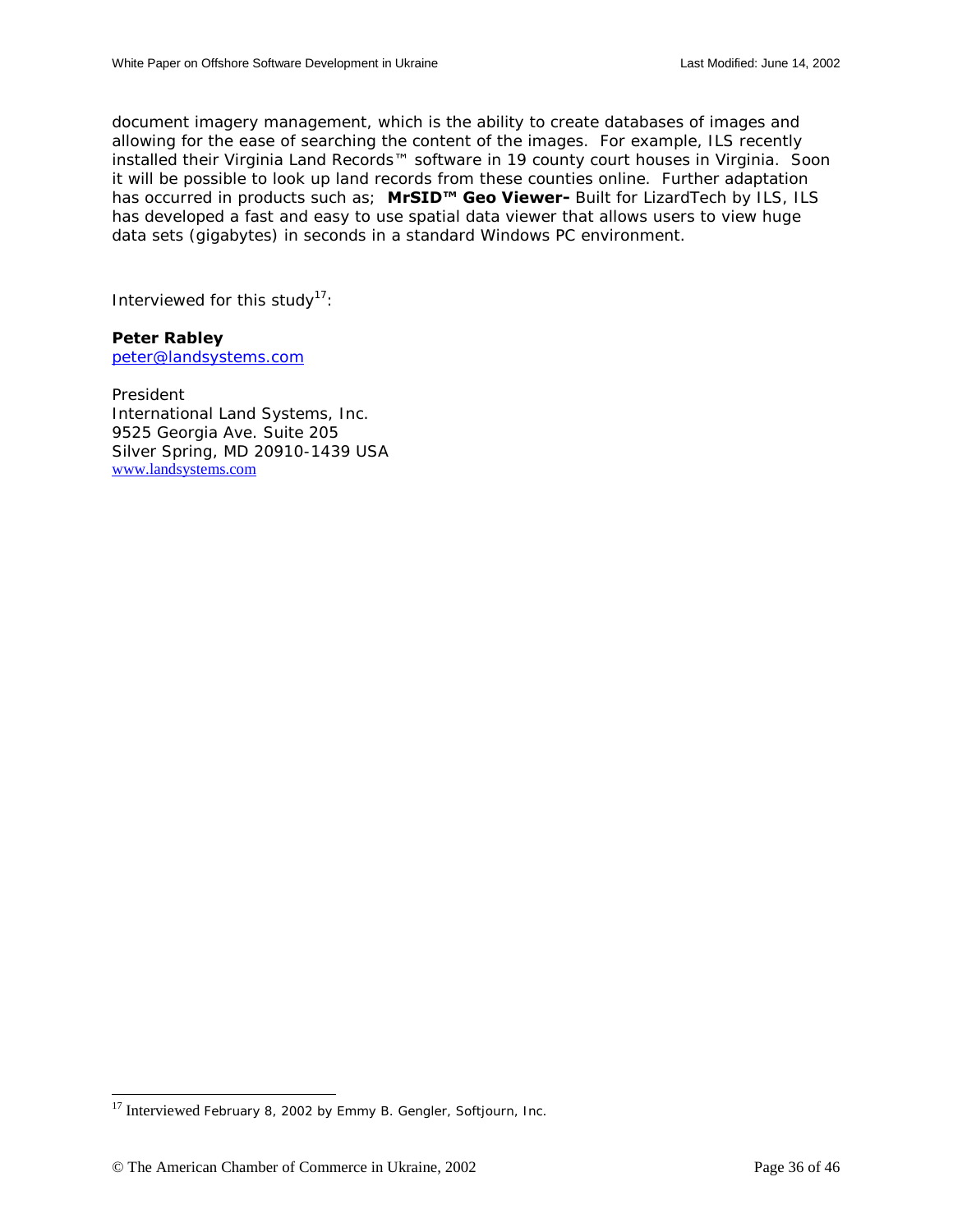document imagery management, which is the ability to create databases of images and allowing for the ease of searching the content of the images. For example, ILS recently installed their Virginia Land Records™ software in 19 county court houses in Virginia. Soon it will be possible to look up land records from these counties online. Further adaptation has occurred in products such as; MrSID<sup>™</sup> Geo Viewer- Built for LizardTech by ILS, ILS has developed a fast and easy to use spatial data viewer that allows users to view huge data sets (gigabytes) in seconds in a standard Windows PC environment.

Interviewed for this study<sup>17</sup>:

## **Peter Rabley**

[peter@landsystems.com](mailto:peter@landsystems.com)

President International Land Systems, Inc. 9525 Georgia Ave. Suite 205 Silver Spring, MD 20910-1439 USA [www.landsystems.com](http://www.landsystems.com/)

 $\overline{a}$ 

<sup>&</sup>lt;sup>17</sup> Interviewed February 8, 2002 by Emmy B. Gengler, Softjourn, Inc.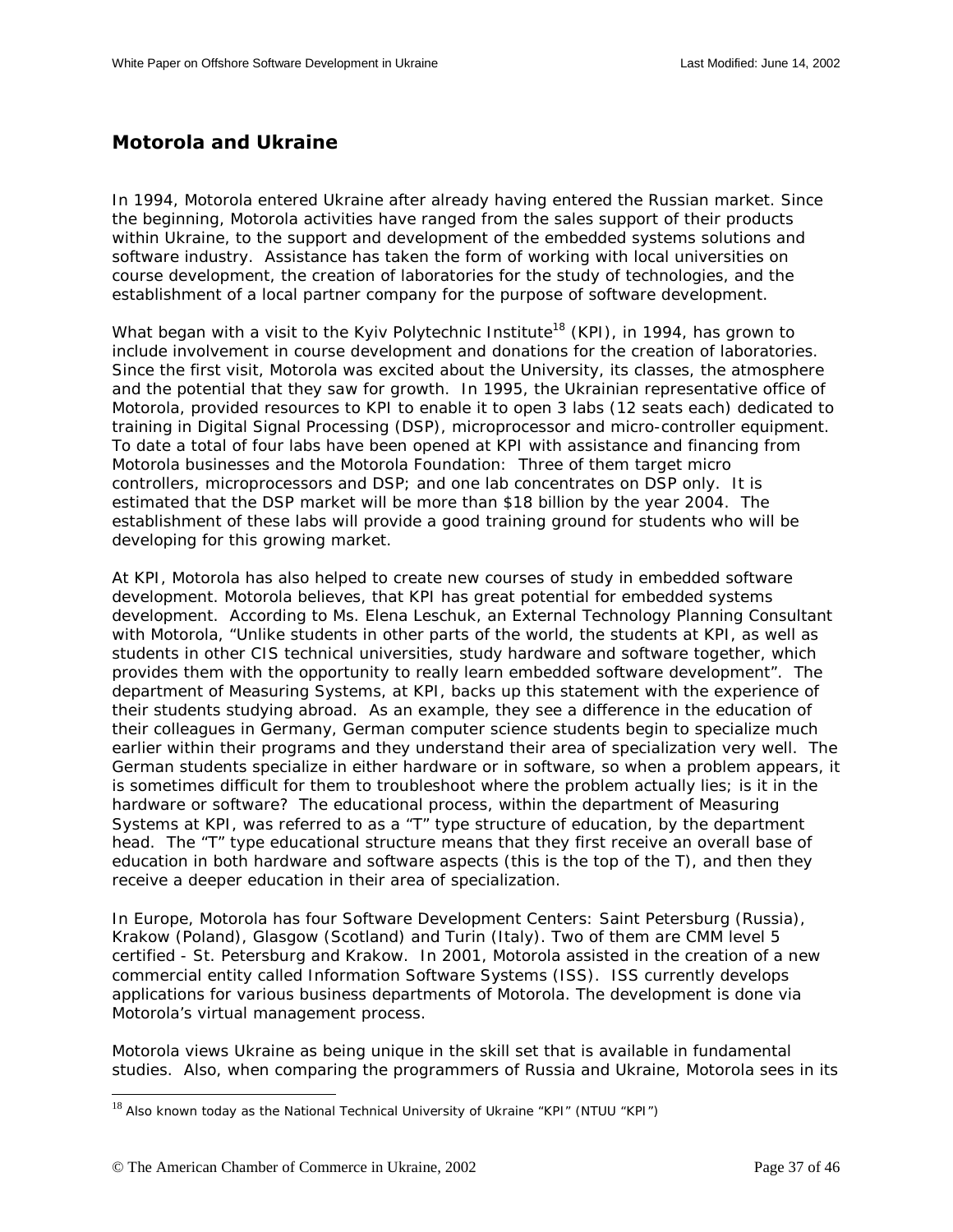## <span id="page-36-0"></span>**Motorola and Ukraine**

In 1994, Motorola entered Ukraine after already having entered the Russian market. Since the beginning, Motorola activities have ranged from the sales support of their products within Ukraine, to the support and development of the embedded systems solutions and software industry. Assistance has taken the form of working with local universities on course development, the creation of laboratories for the study of technologies, and the establishment of a local partner company for the purpose of software development.

What began with a visit to the Kyiv Polytechnic Institute<sup>18</sup> (KPI), in 1994, has grown to include involvement in course development and donations for the creation of laboratories. Since the first visit, Motorola was excited about the University, its classes, the atmosphere and the potential that they saw for growth. In 1995, the Ukrainian representative office of Motorola, provided resources to KPI to enable it to open 3 labs (12 seats each) dedicated to training in Digital Signal Processing (DSP), microprocessor and micro-controller equipment. To date a total of four labs have been opened at KPI with assistance and financing from Motorola businesses and the Motorola Foundation: Three of them target micro controllers, microprocessors and DSP; and one lab concentrates on DSP only. It is estimated that the DSP market will be more than \$18 billion by the year 2004. The establishment of these labs will provide a good training ground for students who will be developing for this growing market.

At KPI, Motorola has also helped to create new courses of study in embedded software development. Motorola believes, that KPI has great potential for embedded systems development. According to Ms. Elena Leschuk, an External Technology Planning Consultant with Motorola, "Unlike students in other parts of the world, the students at KPI, as well as students in other CIS technical universities, study hardware and software together, which provides them with the opportunity to really learn embedded software development". The department of Measuring Systems, at KPI, backs up this statement with the experience of their students studying abroad. As an example, they see a difference in the education of their colleagues in Germany, German computer science students begin to specialize much earlier within their programs and they understand their area of specialization very well. The German students specialize in either hardware or in software, so when a problem appears, it is sometimes difficult for them to troubleshoot where the problem actually lies; is it in the hardware or software? The educational process, within the department of Measuring Systems at KPI, was referred to as a "T" type structure of education, by the department head. The "T" type educational structure means that they first receive an overall base of education in both hardware and software aspects (this is the top of the T), and then they receive a deeper education in their area of specialization.

In Europe, Motorola has four Software Development Centers: Saint Petersburg (Russia), Krakow (Poland), Glasgow (Scotland) and Turin (Italy). Two of them are CMM level 5 certified - St. Petersburg and Krakow. In 2001, Motorola assisted in the creation of a new commercial entity called Information Software Systems (ISS). ISS currently develops applications for various business departments of Motorola. The development is done via Motorola's virtual management process.

Motorola views Ukraine as being unique in the skill set that is available in fundamental studies. Also, when comparing the programmers of Russia and Ukraine, Motorola sees in its

 $\overline{a}$ 

 $18$  Also known today as the National Technical University of Ukraine "KPI" (NTUU "KPI")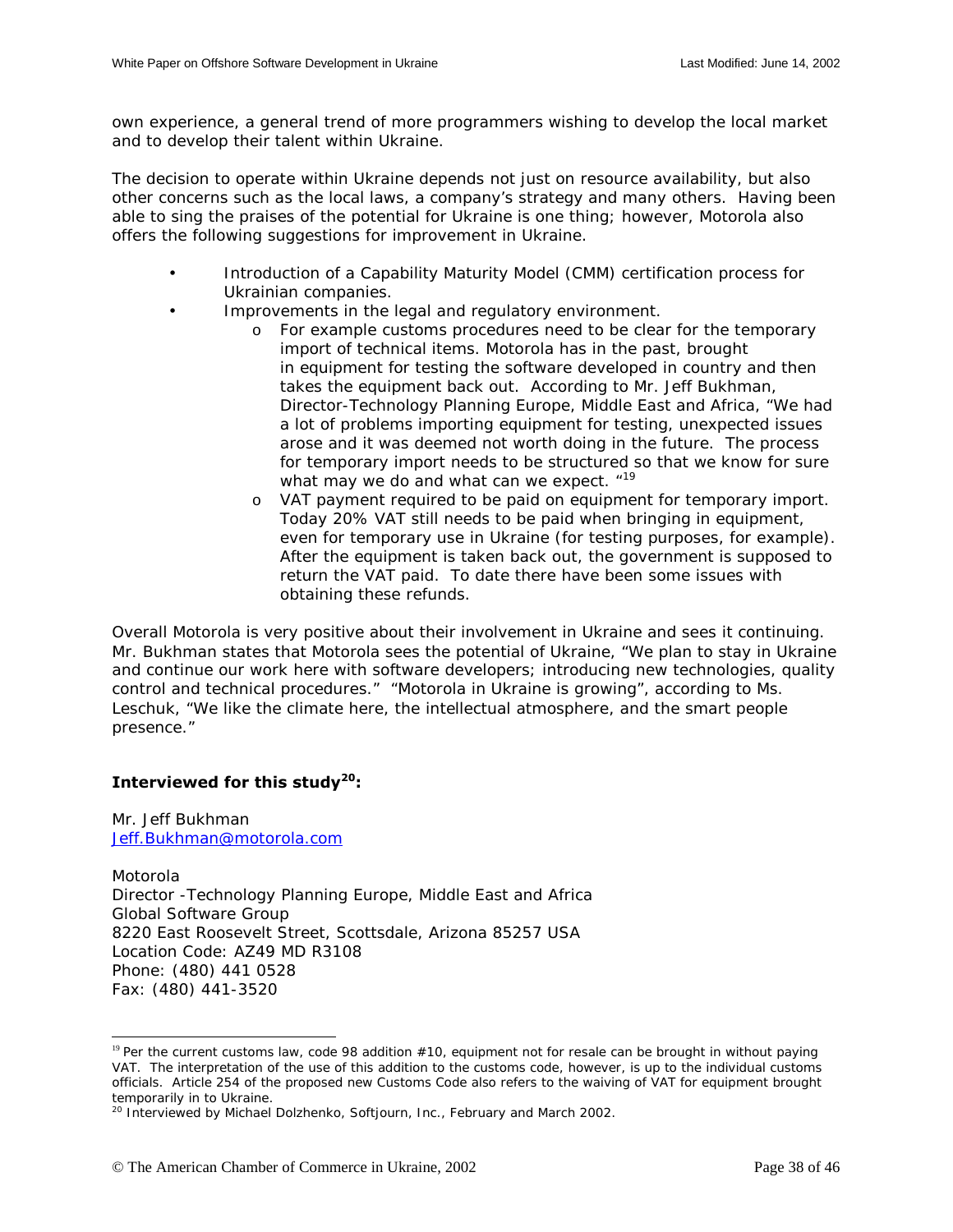own experience, a general trend of more programmers wishing to develop the local market and to develop their talent within Ukraine.

The decision to operate within Ukraine depends not just on resource availability, but also other concerns such as the local laws, a company's strategy and many others. Having been able to sing the praises of the potential for Ukraine is one thing; however, Motorola also offers the following suggestions for improvement in Ukraine.

- Introduction of a Capability Maturity Model (CMM) certification process for Ukrainian companies.
- Improvements in the legal and regulatory environment.
	- o For example customs procedures need to be clear for the temporary import of technical items. Motorola has in the past, brought in equipment for testing the software developed in country and then takes the equipment back out. According to Mr. Jeff Bukhman, Director-Technology Planning Europe, Middle East and Africa, "We had a lot of problems importing equipment for testing, unexpected issues arose and it was deemed not worth doing in the future. The process for temporary import needs to be structured so that we know for sure what may we do and what can we expect.  $19$
	- o VAT payment required to be paid on equipment for temporary import. Today 20% VAT still needs to be paid when bringing in equipment, even for temporary use in Ukraine (for testing purposes, for example). After the equipment is taken back out, the government is supposed to return the VAT paid. To date there have been some issues with obtaining these refunds.

Overall Motorola is very positive about their involvement in Ukraine and sees it continuing. Mr. Bukhman states that Motorola sees the potential of Ukraine, "We plan to stay in Ukraine and continue our work here with software developers; introducing new technologies, quality control and technical procedures." "Motorola in Ukraine is growing", according to Ms. Leschuk, "We like the climate here, the intellectual atmosphere, and the smart people presence."

## **Interviewed for this study20:**

Mr. Jeff Bukhman [Jeff.Bukhman@motorola.com](mailto:Jeff.Bukhman@motorola.com)

 $\overline{a}$ 

Motorola Director -Technology Planning Europe, Middle East and Africa Global Software Group 8220 East Roosevelt Street, Scottsdale, Arizona 85257 USA Location Code: AZ49 MD R3108 Phone: (480) 441 0528 Fax: (480) 441-3520

<sup>&</sup>lt;sup>19</sup> Per the current customs law, code 98 addition  $#10$ , equipment not for resale can be brought in without paying VAT. The interpretation of the use of this addition to the customs code, however, is up to the individual customs officials. Article 254 of the proposed new Customs Code also refers to the waiving of VAT for equipment brought temporarily in to Ukraine.

<sup>&</sup>lt;sup>20</sup> Interviewed by Michael Dolzhenko, Softjourn, Inc., February and March 2002.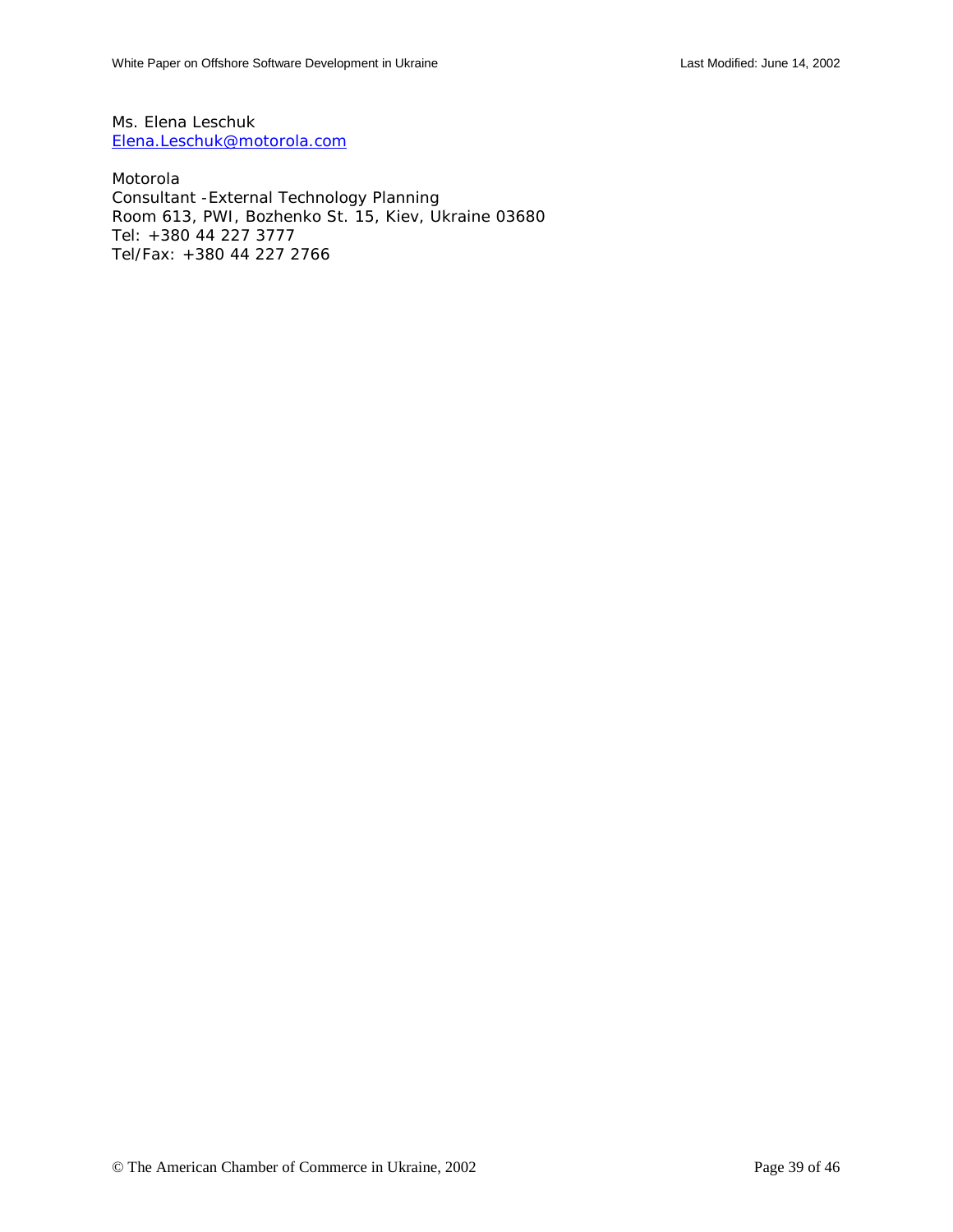Ms. Elena Leschuk [Elena.Leschuk@motorola.com](mailto:Elena.Leschuk@motorola.com)

Motorola Consultant -External Technology Planning Room 613, PWI, Bozhenko St. 15, Kiev, Ukraine 03680 Tel: +380 44 227 3777 Tel/Fax: +380 44 227 2766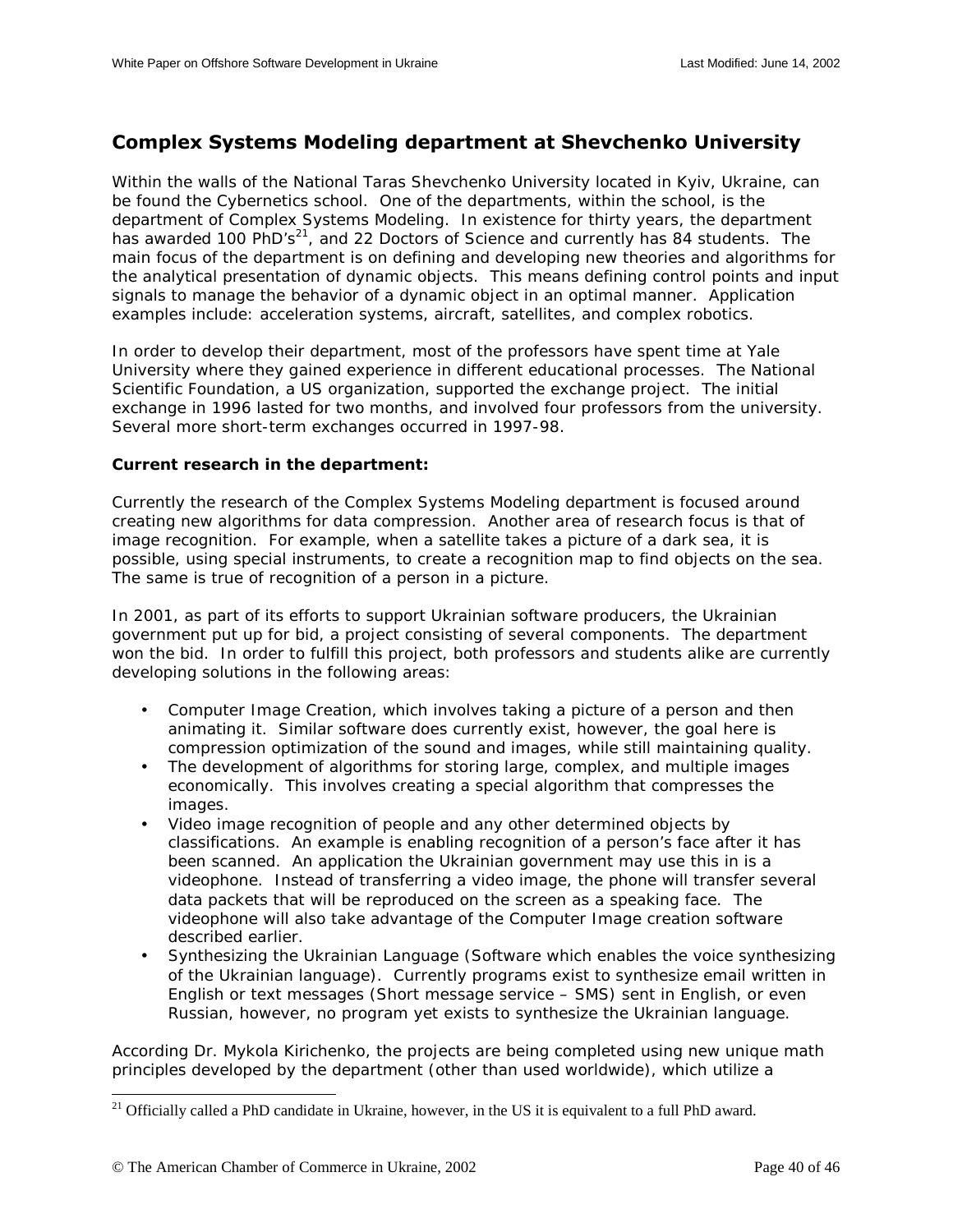## <span id="page-39-0"></span>**Complex Systems Modeling department at Shevchenko University**

Within the walls of the National Taras Shevchenko University located in Kyiv, Ukraine, can be found the Cybernetics school. One of the departments, within the school, is the department of Complex Systems Modeling. In existence for thirty years, the department has awarded 100 PhD's<sup>21</sup>, and 22 Doctors of Science and currently has 84 students. The main focus of the department is on defining and developing new theories and algorithms for the analytical presentation of dynamic objects. This means defining control points and input signals to manage the behavior of a dynamic object in an optimal manner. Application examples include: acceleration systems, aircraft, satellites, and complex robotics.

In order to develop their department, most of the professors have spent time at Yale University where they gained experience in different educational processes. The National Scientific Foundation, a US organization, supported the exchange project. The initial exchange in 1996 lasted for two months, and involved four professors from the university. Several more short-term exchanges occurred in 1997-98.

#### **Current research in the department:**

Currently the research of the Complex Systems Modeling department is focused around creating new algorithms for data compression. Another area of research focus is that of image recognition. For example, when a satellite takes a picture of a dark sea, it is possible, using special instruments, to create a recognition map to find objects on the sea. The same is true of recognition of a person in a picture.

In 2001, as part of its efforts to support Ukrainian software producers, the Ukrainian government put up for bid, a project consisting of several components. The department won the bid. In order to fulfill this project, both professors and students alike are currently developing solutions in the following areas:

- Computer Image Creation, which involves taking a picture of a person and then animating it. Similar software does currently exist, however, the goal here is compression optimization of the sound and images, while still maintaining quality.
- The development of algorithms for storing large, complex, and multiple images economically. This involves creating a special algorithm that compresses the images.
- Video image recognition of people and any other determined objects by classifications. An example is enabling recognition of a person's face after it has been scanned. An application the Ukrainian government may use this in is a videophone. Instead of transferring a video image, the phone will transfer several data packets that will be reproduced on the screen as a speaking face. The videophone will also take advantage of the Computer Image creation software described earlier.
- Synthesizing the Ukrainian Language (Software which enables the voice synthesizing of the Ukrainian language). Currently programs exist to synthesize email written in English or text messages (Short message service – SMS) sent in English, or even Russian, however, no program yet exists to synthesize the Ukrainian language.

According Dr. Mykola Kirichenko, the projects are being completed using new unique math principles developed by the department (other than used worldwide), which utilize a

1

<sup>&</sup>lt;sup>21</sup> Officially called a PhD candidate in Ukraine, however, in the US it is equivalent to a full PhD award.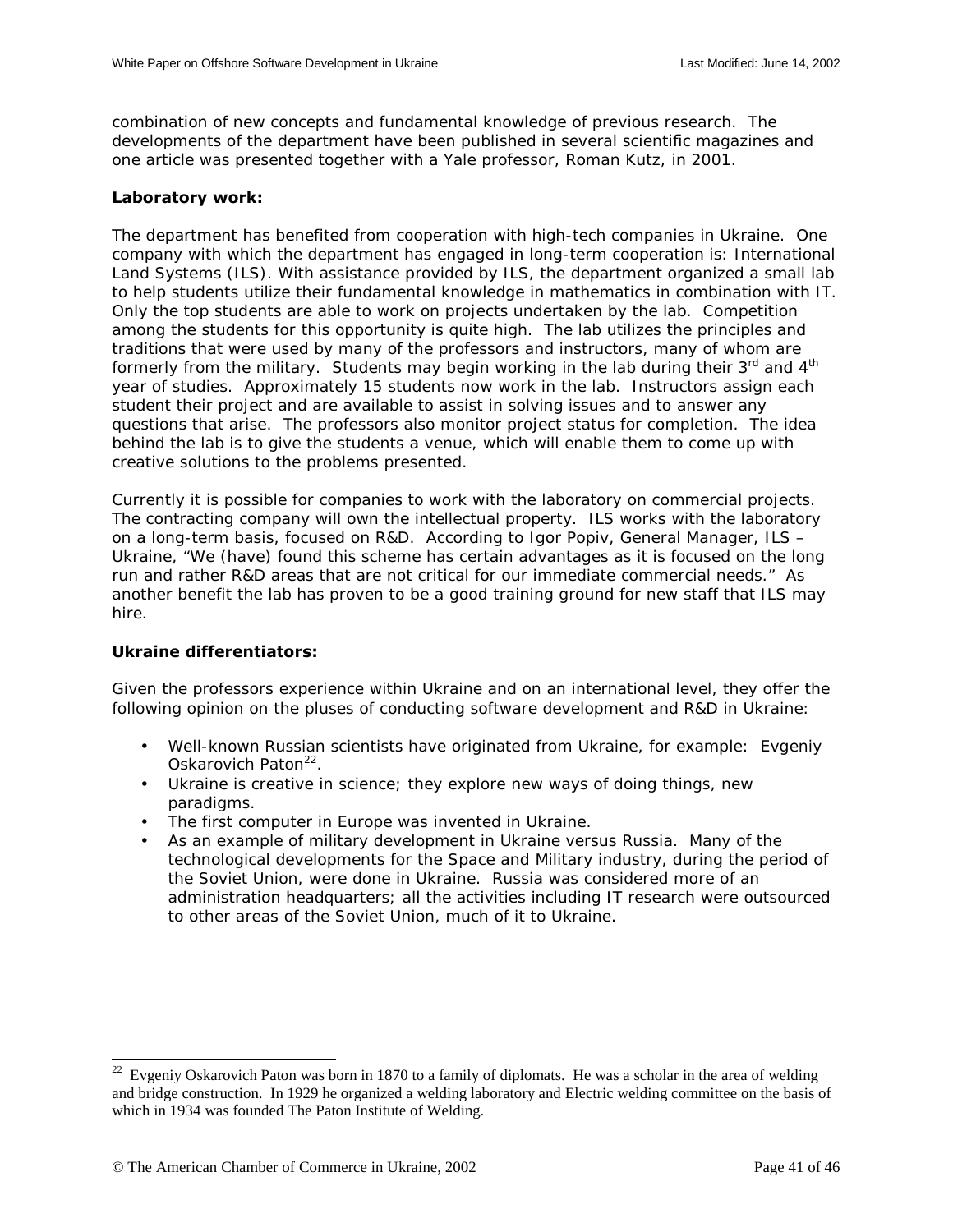combination of new concepts and fundamental knowledge of previous research. The developments of the department have been published in several scientific magazines and one article was presented together with a Yale professor, Roman Kutz, in 2001.

## **Laboratory work:**

The department has benefited from cooperation with high-tech companies in Ukraine. One company with which the department has engaged in long-term cooperation is: International Land Systems (ILS). With assistance provided by ILS, the department organized a small lab to help students utilize their fundamental knowledge in mathematics in combination with IT. Only the top students are able to work on projects undertaken by the lab. Competition among the students for this opportunity is quite high. The lab utilizes the principles and traditions that were used by many of the professors and instructors, many of whom are formerly from the military. Students may begin working in the lab during their 3<sup>rd</sup> and 4<sup>th</sup> year of studies. Approximately 15 students now work in the lab. Instructors assign each student their project and are available to assist in solving issues and to answer any questions that arise. The professors also monitor project status for completion. The idea behind the lab is to give the students a venue, which will enable them to come up with creative solutions to the problems presented.

Currently it is possible for companies to work with the laboratory on commercial projects. The contracting company will own the intellectual property. ILS works with the laboratory on a long-term basis, focused on R&D. According to Igor Popiv, General Manager, ILS – Ukraine, "We (have) found this scheme has certain advantages as it is focused on the long run and rather R&D areas that are not critical for our immediate commercial needs." As another benefit the lab has proven to be a good training ground for new staff that ILS may hire.

## **Ukraine differentiators:**

1

Given the professors experience within Ukraine and on an international level, they offer the following opinion on the pluses of conducting software development and R&D in Ukraine:

- Well-known Russian scientists have originated from Ukraine, for example: Evgeniy Oskarovich Paton<sup>22</sup>.
- Ukraine is creative in science; they explore new ways of doing things, new paradigms.
- The first computer in Europe was invented in Ukraine.
- As an example of military development in Ukraine versus Russia. Many of the technological developments for the Space and Military industry, during the period of the Soviet Union, were done in Ukraine. Russia was considered more of an administration headquarters; all the activities including IT research were outsourced to other areas of the Soviet Union, much of it to Ukraine.

 $22$  Evgeniy Oskarovich Paton was born in 1870 to a family of diplomats. He was a scholar in the area of welding and bridge construction. In 1929 he organized a welding laboratory and Electric welding committee on the basis of which in 1934 was founded The Paton Institute of Welding.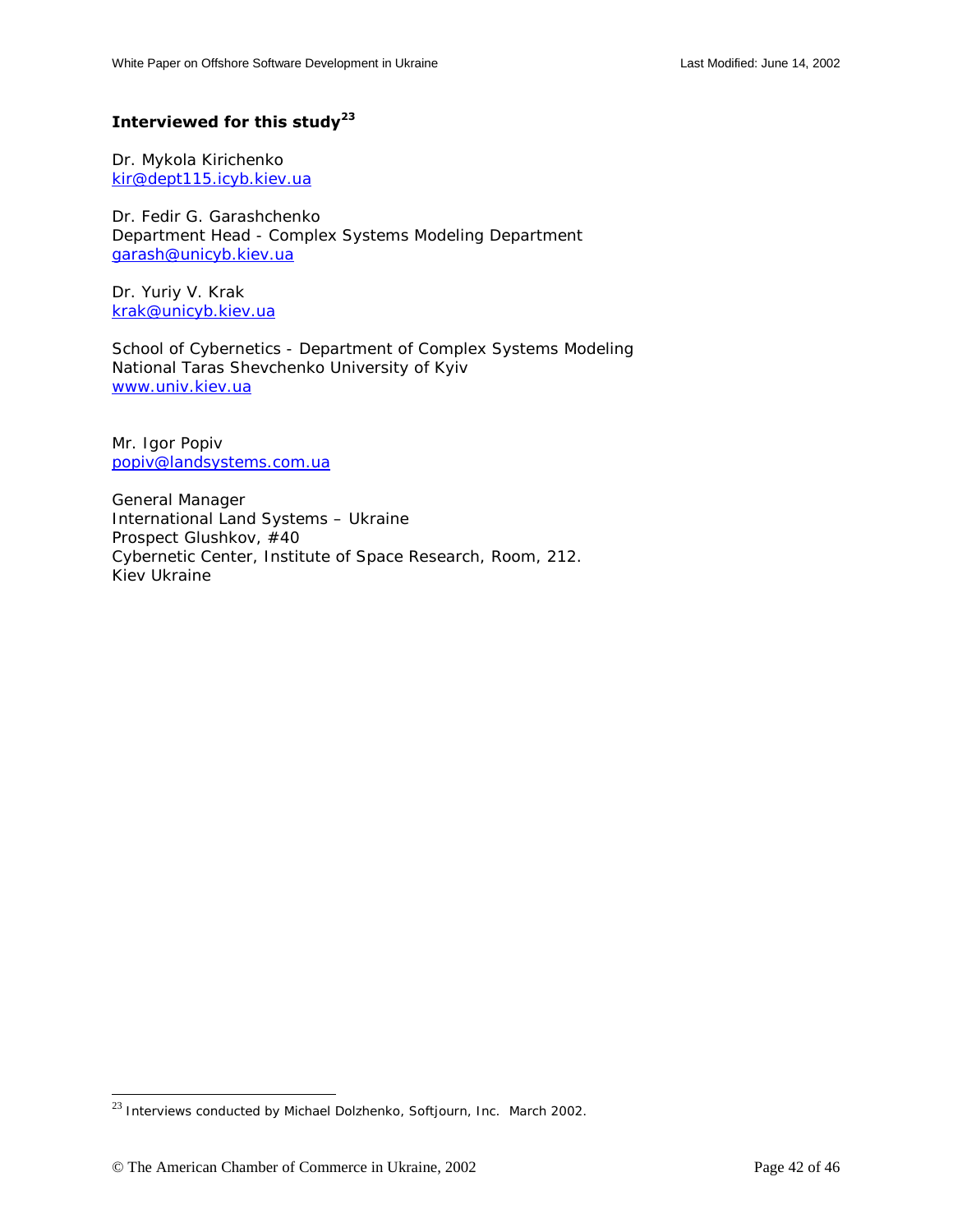## **Interviewed for this study<sup>23</sup>**

Dr. Mykola Kirichenko [kir@dept115.icyb.kiev.ua](mailto:kir@dept115.icyb.kiev.ua) 

Dr. Fedir G. Garashchenko Department Head - Complex Systems Modeling Department [garash@unicyb.kiev.ua](mailto:garash@unicyb.kiev.ua)

Dr. Yuriy V. Krak [krak@unicyb.kiev.ua](mailto:krak@unicyb.kiev.ua) 

School of Cybernetics - Department of Complex Systems Modeling National Taras Shevchenko University of Kyiv [www.univ.kiev.ua](http://www.univ.kiev.ua/)

Mr. Igor Popiv [popiv@landsystems.com.ua](mailto:popiv@landsystems.com.ua)

General Manager International Land Systems – Ukraine Prospect Glushkov, #40 Cybernetic Center, Institute of Space Research, Room, 212. Kiev Ukraine

 $\overline{a}$ 

<sup>&</sup>lt;sup>23</sup> Interviews conducted by Michael Dolzhenko, Softjourn, Inc. March 2002.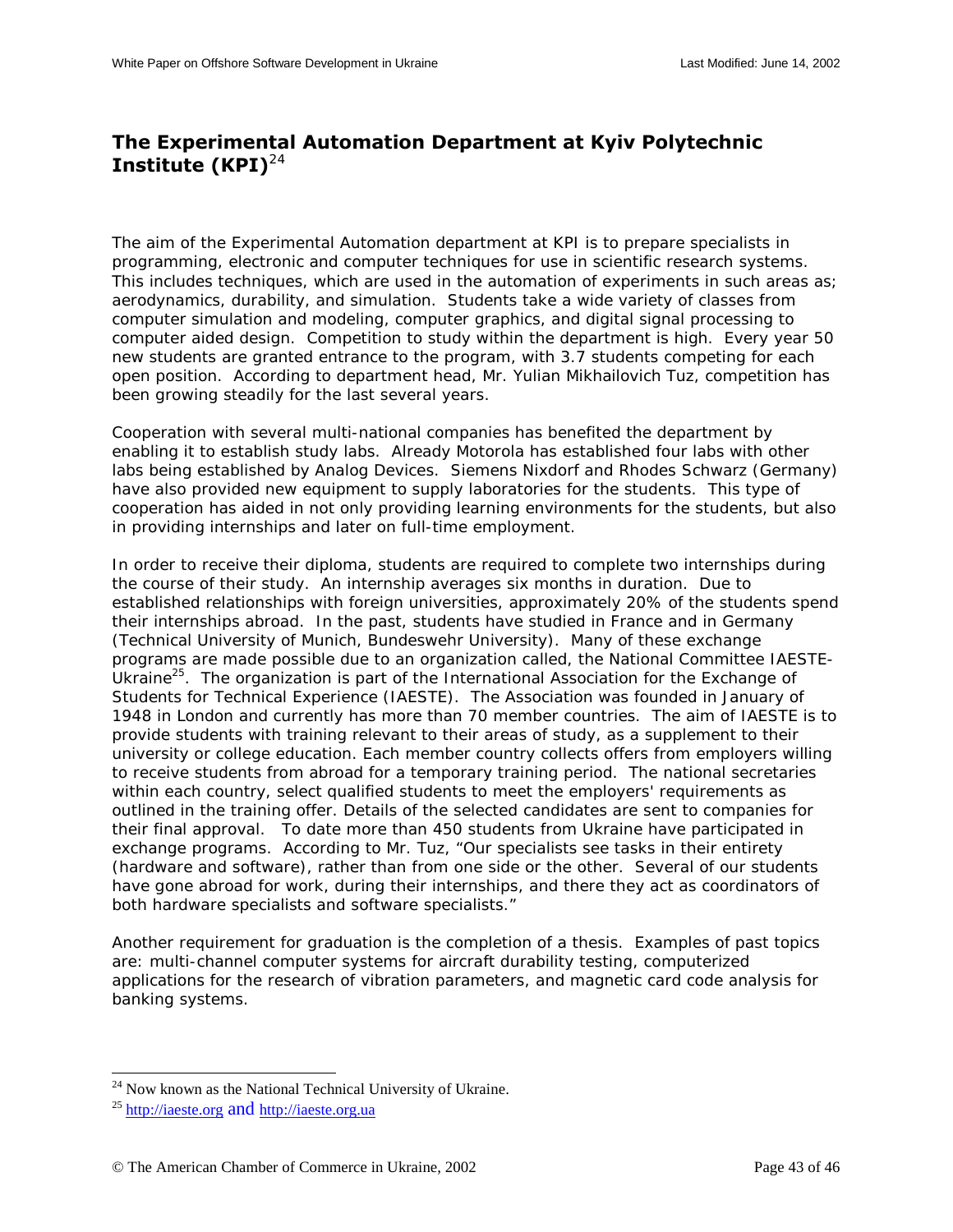## <span id="page-42-0"></span>**The Experimental Automation Department at Kyiv Polytechnic Institute (KPI)**<sup>24</sup>

The aim of the Experimental Automation department at KPI is to prepare specialists in programming, electronic and computer techniques for use in scientific research systems. This includes techniques, which are used in the automation of experiments in such areas as; aerodynamics, durability, and simulation. Students take a wide variety of classes from computer simulation and modeling, computer graphics, and digital signal processing to computer aided design. Competition to study within the department is high. Every year 50 new students are granted entrance to the program, with 3.7 students competing for each open position. According to department head, Mr. Yulian Mikhailovich Tuz, competition has been growing steadily for the last several years.

Cooperation with several multi-national companies has benefited the department by enabling it to establish study labs. Already Motorola has established four labs with other labs being established by Analog Devices. Siemens Nixdorf and Rhodes Schwarz (Germany) have also provided new equipment to supply laboratories for the students. This type of cooperation has aided in not only providing learning environments for the students, but also in providing internships and later on full-time employment.

In order to receive their diploma, students are required to complete two internships during the course of their study. An internship averages six months in duration. Due to established relationships with foreign universities, approximately 20% of the students spend their internships abroad. In the past, students have studied in France and in Germany (Technical University of Munich, Bundeswehr University). Many of these exchange programs are made possible due to an organization called, the National Committee IAESTE-Ukraine<sup>25</sup>. The organization is part of the International Association for the Exchange of Students for Technical Experience (IAESTE). The Association was founded in January of 1948 in London and currently has more than 70 member countries. The aim of IAESTE is to provide students with training relevant to their areas of study, as a supplement to their university or college education. Each member country collects offers from employers willing to receive students from abroad for a temporary training period. The national secretaries within each country, select qualified students to meet the employers' requirements as outlined in the training offer. Details of the selected candidates are sent to companies for their final approval. To date more than 450 students from Ukraine have participated in exchange programs. According to Mr. Tuz, "Our specialists see tasks in their entirety (hardware and software), rather than from one side or the other. Several of our students have gone abroad for work, during their internships, and there they act as coordinators of both hardware specialists and software specialists."

Another requirement for graduation is the completion of a thesis. Examples of past topics are: multi-channel computer systems for aircraft durability testing, computerized applications for the research of vibration parameters, and magnetic card code analysis for banking systems.

l

<sup>&</sup>lt;sup>24</sup> Now known as the National Technical University of Ukraine.

<sup>25</sup> http://iaeste.org and http://iaeste.org.ua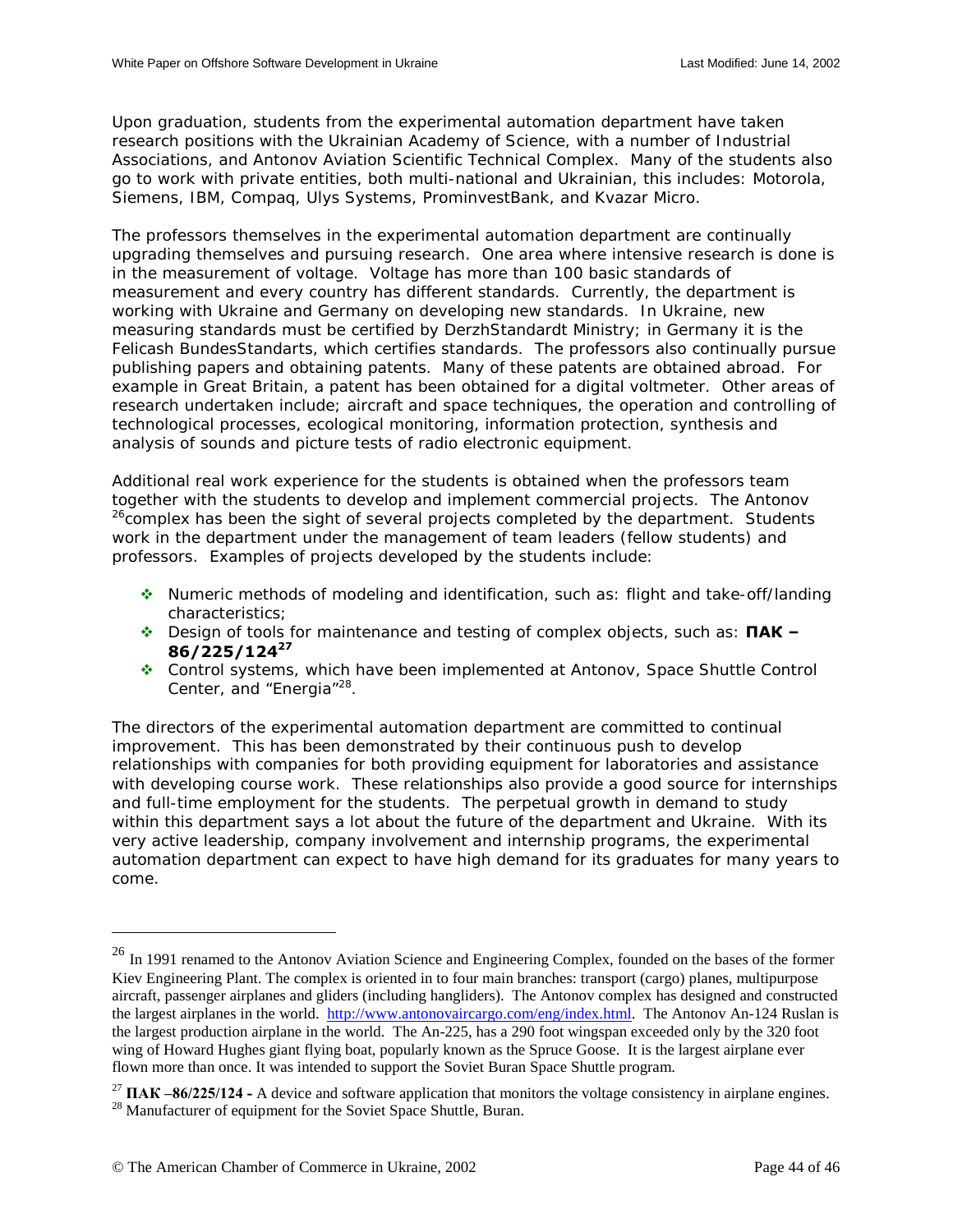Upon graduation, students from the experimental automation department have taken research positions with the Ukrainian Academy of Science, with a number of Industrial Associations, and Antonov Aviation Scientific Technical Complex. Many of the students also go to work with private entities, both multi-national and Ukrainian, this includes: Motorola, Siemens, IBM, Compaq, Ulys Systems, ProminvestBank, and Kvazar Micro.

The professors themselves in the experimental automation department are continually upgrading themselves and pursuing research. One area where intensive research is done is in the measurement of voltage. Voltage has more than 100 basic standards of measurement and every country has different standards. Currently, the department is working with Ukraine and Germany on developing new standards. In Ukraine, new measuring standards must be certified by DerzhStandardt Ministry; in Germany it is the Felicash BundesStandarts, which certifies standards. The professors also continually pursue publishing papers and obtaining patents. Many of these patents are obtained abroad. For example in Great Britain, a patent has been obtained for a digital voltmeter. Other areas of research undertaken include; aircraft and space techniques, the operation and controlling of technological processes, ecological monitoring, information protection, synthesis and analysis of sounds and picture tests of radio electronic equipment.

Additional real work experience for the students is obtained when the professors team together with the students to develop and implement commercial projects. The Antonov <sup>26</sup>complex has been the sight of several projects completed by the department. Students work in the department under the management of team leaders (fellow students) and professors. Examples of projects developed by the students include:

- $\cdot$  Numeric methods of modeling and identification, such as: flight and take-off/landing characteristics;
- $\triangle$  **Design of tools for maintenance and testing of complex objects, such as: ПАК − 86/225/124<sup>27</sup>**
- ! Control systems, which have been implemented at Antonov, Space Shuttle Control Center, and "Energia"<sup>28</sup>.

The directors of the experimental automation department are committed to continual improvement. This has been demonstrated by their continuous push to develop relationships with companies for both providing equipment for laboratories and assistance with developing course work. These relationships also provide a good source for internships and full-time employment for the students. The perpetual growth in demand to study within this department says a lot about the future of the department and Ukraine. With its very active leadership, company involvement and internship programs, the experimental automation department can expect to have high demand for its graduates for many years to come.

1

<sup>&</sup>lt;sup>26</sup> In 1991 renamed to the Antonov Aviation Science and Engineering Complex, founded on the bases of the former Kiev Engineering Plant. The complex is oriented in to four main branches: transport (cargo) planes, multipurpose aircraft, passenger airplanes and gliders (including hangliders). The Antonov complex has designed and constructed the largest airplanes in the world. http://www.antonovaircargo.com/eng/index.html. The Antonov An-124 Ruslan is the largest production airplane in the world. The An-225, has a 290 foot wingspan exceeded only by the 320 foot wing of Howard Hughes giant flying boat, popularly known as the Spruce Goose. It is the largest airplane ever flown more than once. It was intended to support the Soviet Buran Space Shuttle program.

<sup>&</sup>lt;sup>27</sup> **ПАК**  $-86/225/124$  - A device and software application that monitors the voltage consistency in airplane engines. <sup>28</sup> Manufacturer of equipment for the Soviet Space Shuttle, Buran.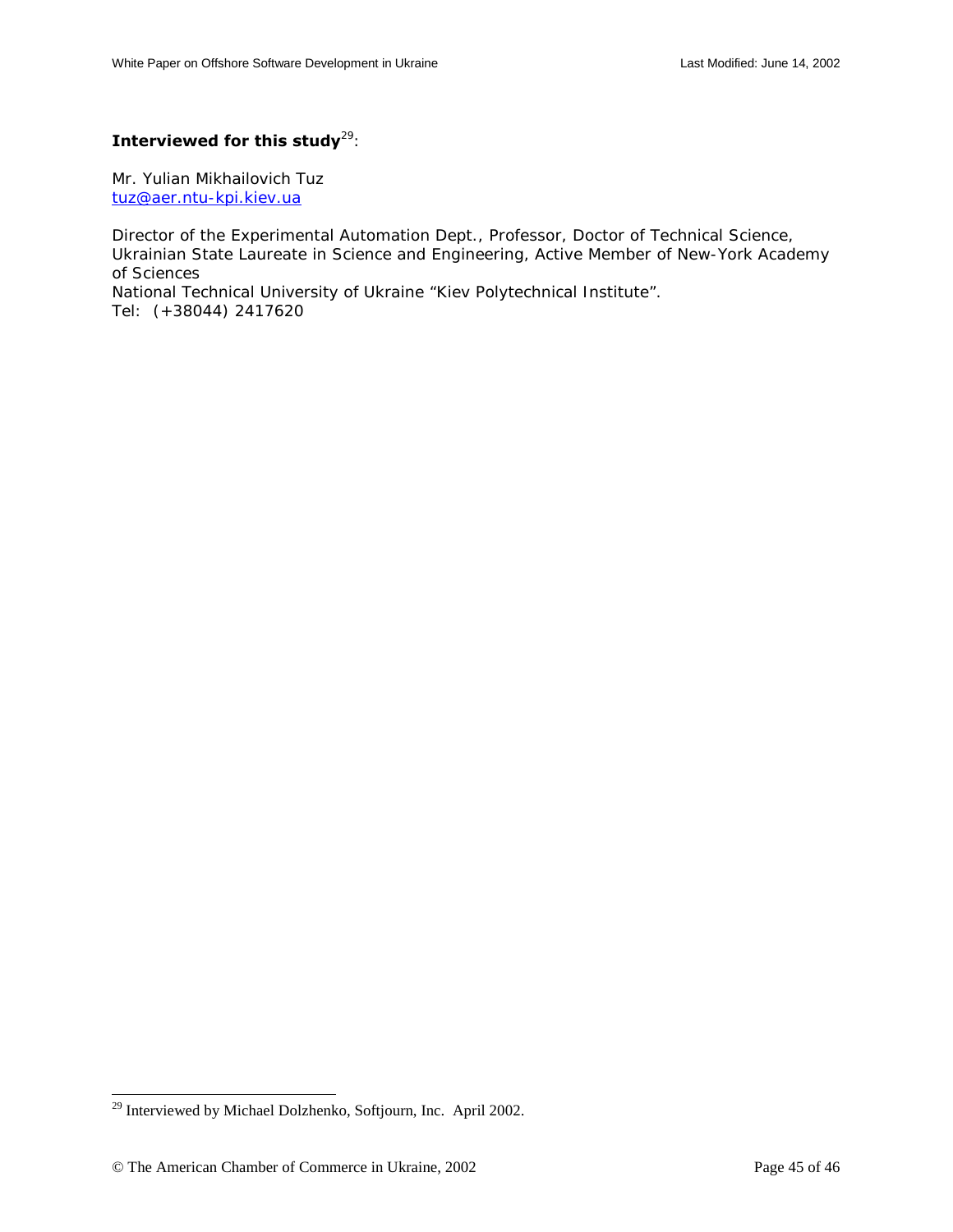## **Interviewed for this study**<sup>29</sup>:

Mr. Yulian Mikhailovich Tuz [tuz@aer.ntu-kpi.kiev.ua](mailto:tuz@aer.ntu-kpi.kiev.ua)

Director of the Experimental Automation Dept., Professor, Doctor of Technical Science, Ukrainian State Laureate in Science and Engineering, Active Member of New-York Academy of Sciences

National Technical University of Ukraine "Kiev Polytechnical Institute". Tel: (+38044) 2417620

 $\overline{a}$ 

<sup>&</sup>lt;sup>29</sup> Interviewed by Michael Dolzhenko, Softjourn, Inc. April 2002.